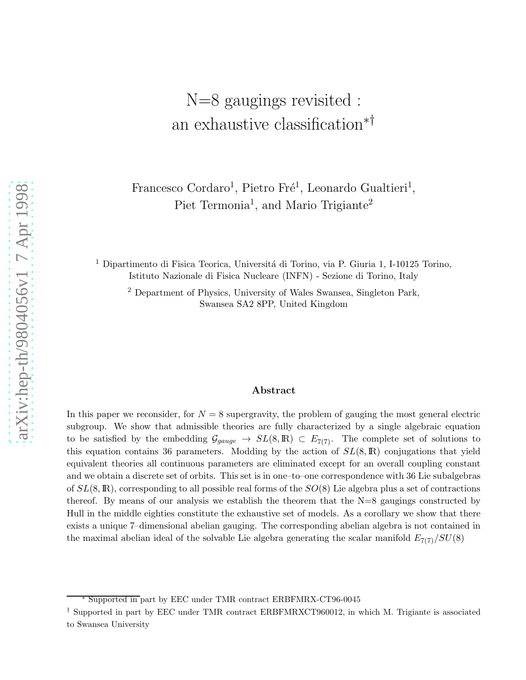# N=8 gaugings revisited : an exhaustive classification∗†

Francesco Cordaro<sup>1</sup>, Pietro Fré<sup>1</sup>, Leonardo Gualtieri<sup>1</sup>, Piet Termonia<sup>1</sup>, and Mario Trigiante<sup>2</sup>

<sup>1</sup> Dipartimento di Fisica Teorica, Universitá di Torino, via P. Giuria 1, I-10125 Torino, Istituto Nazionale di Fisica Nucleare (INFN) - Sezione di Torino, Italy

<sup>2</sup> Department of Physics, University of Wales Swansea, Singleton Park, Swansea SA2 8PP, United Kingdom

#### Abstract

In this paper we reconsider, for  $N = 8$  supergravity, the problem of gauging the most general electric subgroup. We show that admissible theories are fully characterized by a single algebraic equation to be satisfied by the embedding  $\mathcal{G}_{gauge} \to SL(8,\mathbb{R}) \subset E_{7(7)}$ . The complete set of solutions to this equation contains 36 parameters. Modding by the action of  $SL(8,\mathbb{R})$  conjugations that yield equivalent theories all continuous parameters are eliminated except for an overall coupling constant and we obtain a discrete set of orbits. This set is in one–to–one correspondence with 36 Lie subalgebras of  $SL(8,\mathbb{R})$ , corresponding to all possible real forms of the  $SO(8)$  Lie algebra plus a set of contractions thereof. By means of our analysis we establish the theorem that the N=8 gaugings constructed by Hull in the middle eighties constitute the exhaustive set of models. As a corollary we show that there exists a unique 7–dimensional abelian gauging. The corresponding abelian algebra is not contained in the maximal abelian ideal of the solvable Lie algebra generating the scalar manifold  $E_{7(7)}/SU(8)$ 

<sup>∗</sup> Supported in part by EEC under TMR contract ERBFMRX-CT96-004 5

<sup>†</sup> Supported in part by EEC under TMR contract ERBFMRXCT960012, in which M. Trigiante is associated to Swansea University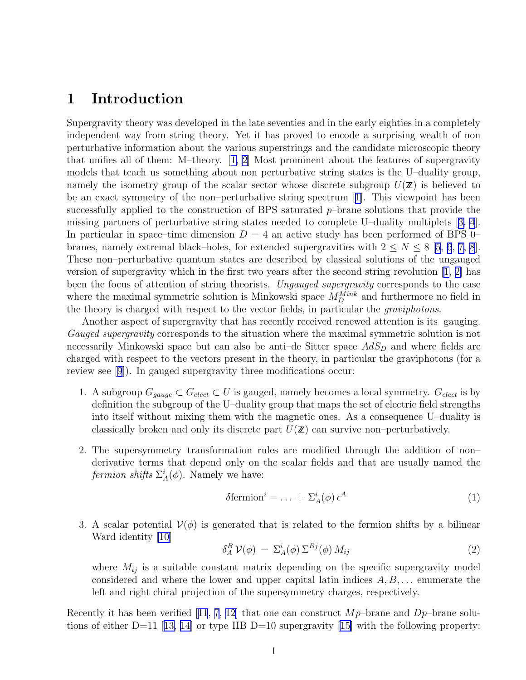# 1 Introduction

Supergravity theory was developed in the late seventies and in the early eighties in a completely independent way from string theory. Yet it has proved to encode a surprising wealth of non perturbative information about the various superstrings and the candidate microscopic theory that unifies all of them: M–theory.[[1, 2](#page-26-0)] Most prominent about the features of supergravity models that teach us something about non perturbative string states is the U–duality group, namely the isometry group of the scalar sector whose discrete subgroup  $U(\mathbf{Z})$  is believed to be an exact symmetry of the non–perturbative string spectrum[[1\]](#page-26-0). This viewpoint has been successfully applied to the construction of BPS saturated  $p$ -brane solutions that provide the missing partners of perturbative string states needed to complete U–duality multiplets[[3, 4](#page-27-0)]. In particular in space–time dimension  $D = 4$  an active study has been performed of BPS 0– branes, namely extremal black–holes, for extended supergravities with  $2 \le N \le 8$  [\[5](#page-27-0), [6](#page-27-0), [7, 8](#page-27-0)]. These non–perturbative quantum states are described by classical solutions of the ungauged versionof supergravity which in the first two years after the second string revolution  $\ket{1, 2}$  has been the focus of attention of string theorists. Ungauged supergravity corresponds to the case where the maximal symmetric solution is Minkowski space  $M_D^{Mink}$  and furthermore no field in the theory is charged with respect to the vector fields, in particular the graviphotons.

Another aspect of supergravity that has recently received renewed attention is its gauging. Gauged supergravity corresponds to the situation where the maximal symmetric solution is not necessarily Minkowski space but can also be anti-de Sitter space  $AdS<sub>D</sub>$  and where fields are charged with respect to the vectors present in the theory, in particular the graviphotons (for a review see[[9](#page-27-0)]). In gauged supergravity three modifications occur:

- 1. A subgroup  $G_{gauge} \subset G_{elect} \subset U$  is gauged, namely becomes a local symmetry.  $G_{elect}$  is by definition the subgroup of the U–duality group that maps the set of electric field strengths into itself without mixing them with the magnetic ones. As a consequence U–duality is classically broken and only its discrete part  $U(\mathbf{Z})$  can survive non–perturbatively.
- 2. The supersymmetry transformation rules are modified through the addition of non– derivative terms that depend only on the scalar fields and that are usually named the fermion shifts  $\Sigma_A^i(\phi)$ . Namely we have:

$$
\delta \text{fermion}^i = \dots + \Sigma_A^i(\phi) \,\epsilon^A \tag{1}
$$

3. A scalar potential  $V(\phi)$  is generated that is related to the fermion shifts by a bilinear Ward identity [\[10](#page-27-0)]

$$
\delta_A^B \mathcal{V}(\phi) = \Sigma_A^i(\phi) \Sigma^{Bj}(\phi) M_{ij} \tag{2}
$$

where  $M_{ij}$  is a suitable constant matrix depending on the specific supergravity model considered and where the lower and upper capital latin indices  $A, B, \ldots$  enumerate the left and right chiral projection of the supersymmetry charges, respectively.

Recentlyit has been verified [[11](#page-27-0), [7](#page-27-0), [12](#page-27-0)] that one can construct  $Mp$ -brane and  $Dp$ -brane solu-tionsof either D=11 [[13, 14\]](#page-27-0) or type IIB D=10 supergravity [\[15](#page-28-0)] with the following property: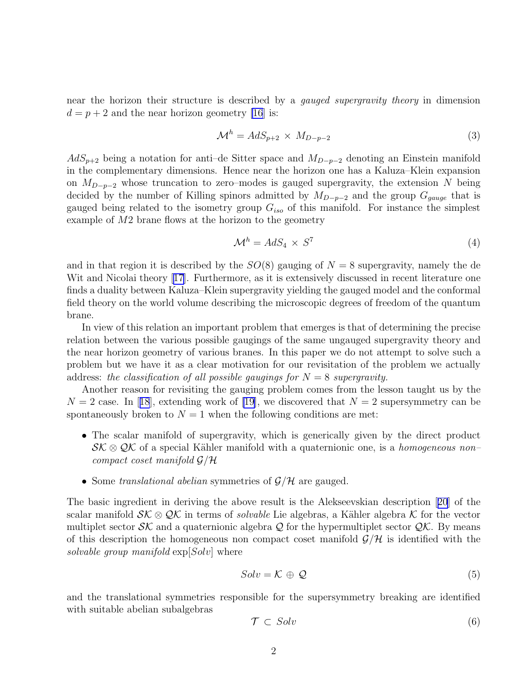near the horizon their structure is described by a gauged supergravity theory in dimension  $d = p + 2$  and the near horizon geometry [\[16](#page-28-0)] is:

$$
\mathcal{M}^h = AdS_{p+2} \times M_{D-p-2} \tag{3}
$$

 $AdS_{p+2}$  being a notation for anti–de Sitter space and  $M_{D-p-2}$  denoting an Einstein manifold in the complementary dimensions. Hence near the horizon one has a Kaluza–Klein expansion on  $M_{D-p-2}$  whose truncation to zero–modes is gauged supergravity, the extension N being decided by the number of Killing spinors admitted by  $M_{D-p-2}$  and the group  $G_{gauge}$  that is gauged being related to the isometry group  $G_{iso}$  of this manifold. For instance the simplest example of  $M2$  brane flows at the horizon to the geometry

$$
\mathcal{M}^h = AdS_4 \times S^7 \tag{4}
$$

and in that region it is described by the  $SO(8)$  gauging of  $N = 8$  supergravity, namely the de Wit and Nicolai theory [\[17\]](#page-28-0). Furthermore, as it is extensively discussed in recent literature one finds a duality between Kaluza–Klein supergravity yielding the gauged model and the conformal field theory on the world volume describing the microscopic degrees of freedom of the quantum brane.

In view of this relation an important problem that emerges is that of determining the precise relation between the various possible gaugings of the same ungauged supergravity theory and the near horizon geometry of various branes. In this paper we do not attempt to solve such a problem but we have it as a clear motivation for our revisitation of the problem we actually address: the classification of all possible gaugings for  $N = 8$  supergravity.

Another reason for revisiting the gauging problem comes from the lesson taught us by the  $N = 2$  $N = 2$  $N = 2$  case. In [[18](#page-28-0)], extending work of [\[19](#page-28-0)], we discovered that  $N = 2$  supersymmetry can be spontaneously broken to  $N = 1$  when the following conditions are met:

- The scalar manifold of supergravity, which is generically given by the direct product  $\mathcal{SK} \otimes \mathcal{QK}$  of a special Kähler manifold with a quaternionic one, is a *homogeneous non*– compact coset manifold  $\mathcal{G}/\mathcal{H}$
- Some translational abelian symmetries of  $\mathcal{G}/\mathcal{H}$  are gauged.

The basic ingredient in deriving the above result is the Alekseevskian description[[20](#page-28-0)] of the scalar manifold  $\mathcal{SK} \otimes \mathcal{QK}$  in terms of *solvable* Lie algebras, a Kähler algebra K for the vector multiplet sector  $\mathcal{SK}$  and a quaternionic algebra Q for the hypermultiplet sector  $\mathcal{QK}$ . By means of this description the homogeneous non compact coset manifold  $\mathcal{G}/\mathcal{H}$  is identified with the solvable group manifold  $\exp[Solv]$  where

$$
Solv = \mathcal{K} \oplus \mathcal{Q} \tag{5}
$$

and the translational symmetries responsible for the supersymmetry breaking are identified with suitable abelian subalgebras

$$
\mathcal{T} \subset Solv \tag{6}
$$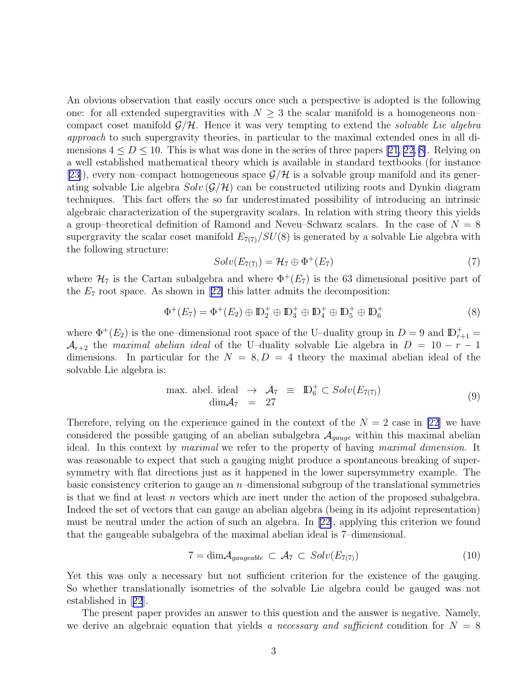An obvious observation that easily occurs once such a perspective is adopted is the following one: for all extended supergravities with  $N \geq 3$  the scalar manifold is a homogeneous non– compact coset manifold  $\mathcal{G}/\mathcal{H}$ . Hence it was very tempting to extend the *solvable Lie algebra* approach to such supergravity theories, in particular to the maximal extended ones in all dimensions  $4 \leq D \leq 10$ . This is what was done in the series of three papers [\[21, 22,](#page-28-0) [8\]](#page-27-0). Relying on a well established mathematical theory which is available in standard textbooks (for instance [[23\]](#page-28-0)), every non–compact homogeneous space  $\mathcal{G}/\mathcal{H}$  is a solvable group manifold and its generating solvable Lie algebra  $Solv(\mathcal{G}/\mathcal{H})$  can be constructed utilizing roots and Dynkin diagram techniques. This fact offers the so far underestimated possibility of introducing an intrinsic algebraic characterization of the supergravity scalars. In relation with string theory this yields a group–theoretical definition of Ramond and Neveu–Schwarz scalars. In the case of  $N = 8$ supergravity the scalar coset manifold  $E_{7(7)}/SU(8)$  is generated by a solvable Lie algebra with the following structure:

$$
Solv(E_{7(7)}) = \mathcal{H}_7 \oplus \Phi^+(E_7)
$$
\n<sup>(7)</sup>

where  $\mathcal{H}_7$  is the Cartan subalgebra and where  $\Phi^+(E_7)$  is the 63 dimensional positive part of the $E_7$  root space. As shown in [[22\]](#page-28-0) this latter admits the decomposition:

$$
\Phi^+(E_7) = \Phi^+(E_2) \oplus \mathbb{D}_2^+ \oplus \mathbb{D}_3^+ \oplus \mathbb{D}_4^+ \oplus \mathbb{D}_5^+ \oplus \mathbb{D}_6^+ \tag{8}
$$

where  $\Phi^+(E_2)$  is the one-dimensional root space of the U-duality group in  $D=9$  and  $\mathbb{D}_{r+1}^+$  $\mathcal{A}_{r+2}$  the maximal abelian ideal of the U–duality solvable Lie algebra in  $D = 10 - r - 1$ dimensions. In particular for the  $N = 8, D = 4$  theory the maximal abelian ideal of the solvable Lie algebra is:

max. abel. ideal 
$$
\rightarrow \mathcal{A}_7 \equiv \mathbb{D}_6^+ \subset Solv(E_{7(7)})
$$
  
\n $\dim \mathcal{A}_7 = 27$  (9)

Therefore, relying on the experience gained in the context of the  $N = 2$  case in [\[22](#page-28-0)] we have considered the possible gauging of an abelian subalgebra  $A_{gauge}$  within this maximal abelian ideal. In this context by maximal we refer to the property of having maximal dimension. It was reasonable to expect that such a gauging might produce a spontaneous breaking of supersymmetry with flat directions just as it happened in the lower supersymmetry example. The basic consistency criterion to gauge an  $n$ –dimensional subgroup of the translational symmetries is that we find at least n vectors which are inert under the action of the proposed subalgebra. Indeed the set of vectors that can gauge an abelian algebra (being in its adjoint representation) must be neutral under the action of such an algebra. In[[22\]](#page-28-0), applying this criterion we found that the gaugeable subalgebra of the maximal abelian ideal is 7–dimensional.

$$
7 = \dim \mathcal{A}_{gaugeable} \subset \mathcal{A}_7 \subset Solv(E_{7(7)}) \tag{10}
$$

Yet this was only a necessary but not sufficient criterion for the existence of the gauging. So whether translationally isometries of the solvable Lie algebra could be gauged was not established in[[22](#page-28-0)].

The present paper provides an answer to this question and the answer is negative. Namely, we derive an algebraic equation that yields a necessary and sufficient condition for  $N = 8$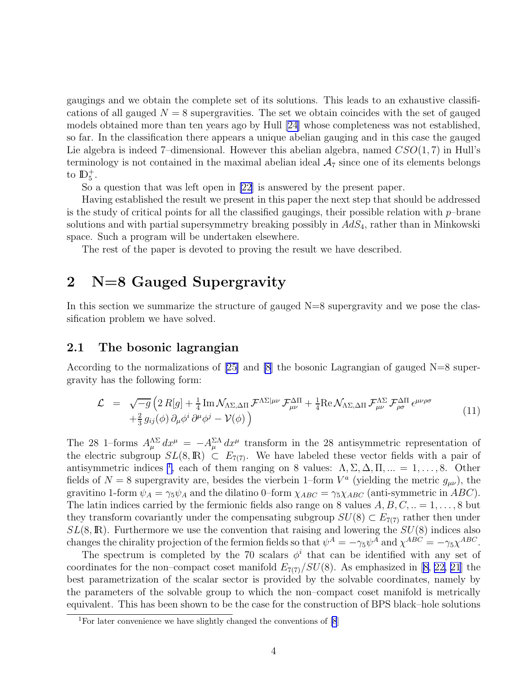<span id="page-4-0"></span>gaugings and we obtain the complete set of its solutions. This leads to an exhaustive classifications of all gauged  $N = 8$  supergravities. The set we obtain coincides with the set of gauged models obtained more than ten years ago by Hull [\[24\]](#page-28-0) whose completeness was not established, so far. In the classification there appears a unique abelian gauging and in this case the gauged Lie algebra is indeed 7-dimensional. However this abelian algebra, named  $CSO(1, 7)$  in Hull's terminology is not contained in the maximal abelian ideal  $A_7$  since one of its elements belongs to  $\mathbb{D}_5^+$ .

So a question that was left open in [\[22](#page-28-0)] is answered by the present paper.

Having established the result we present in this paper the next step that should be addressed is the study of critical points for all the classified gaugings, their possible relation with  $p$ -brane solutions and with partial supersymmetry breaking possibly in  $AdS<sub>4</sub>$ , rather than in Minkowski space. Such a program will be undertaken elsewhere.

The rest of the paper is devoted to proving the result we have described.

# 2 N=8 Gauged Supergravity

In this section we summarize the structure of gauged  $N=8$  supergravity and we pose the classification problem we have solved.

### 2.1 The bosonic lagrangian

According to the normalizations of  $[25]$  and  $[8]$  the bosonic Lagrangian of gauged N=8 supergravity has the following form:

$$
\mathcal{L} = \sqrt{-g} \left( 2 R[g] + \frac{1}{4} \text{Im} \, \mathcal{N}_{\Lambda \Sigma, \Delta \Pi} \, \mathcal{F}^{\Lambda \Sigma | \mu \nu} \, \mathcal{F}^{\Delta \Pi}_{\mu \nu} + \frac{1}{4} \text{Re} \, \mathcal{N}_{\Lambda \Sigma, \Delta \Pi} \, \mathcal{F}^{\Lambda \Sigma}_{\mu \nu} \, \mathcal{F}^{\Delta \Pi}_{\rho \sigma} \, \epsilon^{\mu \nu \rho \sigma} \right. \tag{11}
$$

The 28 1–forms  $A_{\mu}^{\Lambda\Sigma} dx^{\mu} = -A_{\mu}^{\Sigma\Lambda} dx^{\mu}$  transform in the 28 antisymmetric representation of the electric subgroup  $SL(8,\mathbb{R}) \subset E_{7(7)}$ . We have labeled these vector fields with a pair of antisymmetric indices <sup>1</sup>, each of them ranging on 8 values:  $\Lambda$ ,  $\Sigma$ ,  $\Delta$ ,  $\Pi$ , ... = 1, ..., 8. Other fields of  $N = 8$  supergravity are, besides the vierbein 1-form  $V^a$  (yielding the metric  $g_{\mu\nu}$ ), the gravitino 1-form  $\psi_A = \gamma_5 \psi_A$  and the dilatino 0–form  $\chi_{ABC} = \gamma_5 \chi_{ABC}$  (anti-symmetric in ABC). The latin indices carried by the fermionic fields also range on 8 values  $A, B, C, ... = 1, ..., 8$  but they transform covariantly under the compensating subgroup  $SU(8) \subset E_{7(7)}$  rather then under  $SL(8,\mathbb{R})$ . Furthermore we use the convention that raising and lowering the  $SU(8)$  indices also changes the chirality projection of the fermion fields so that  $\psi^A = -\gamma_5 \psi^A$  and  $\chi^{ABC} = -\gamma_5 \chi^{ABC}$ .

The spectrum is completed by the 70 scalars  $\phi^i$  that can be identified with any set of coordinates for the non–compact coset manifold  $E_{7(7)}/SU(8)$ . As emphasized in [\[8,](#page-27-0) [22, 21](#page-28-0)] the best parametrization of the scalar sector is provided by the solvable coordinates, namely by the parameters of the solvable group to which the non–compact coset manifold is metrically equivalent. This has been shown to be the case for the construction of BPS black–hole solutions

<sup>&</sup>lt;sup>1</sup>For later convenience we have slightly changed the conventions of  $[8]$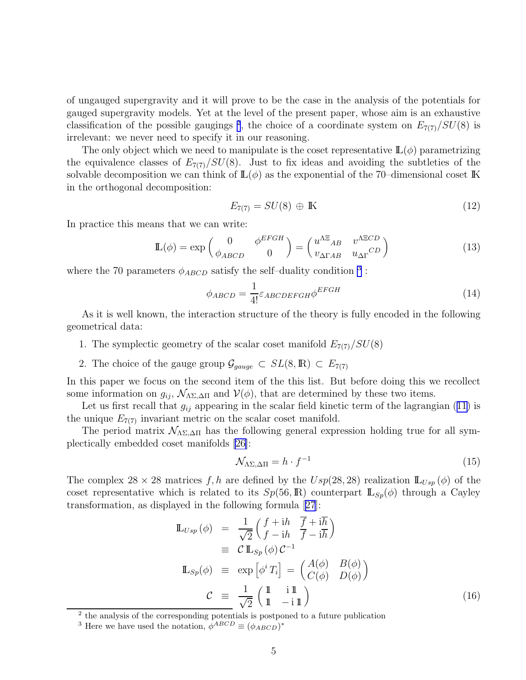<span id="page-5-0"></span>of ungauged supergravity and it will prove to be the case in the analysis of the potentials for gauged supergravity models. Yet at the level of the present paper, whose aim is an exhaustive classification of the possible gaugings<sup>2</sup>, the choice of a coordinate system on  $E_{7(7)}/SU(8)$  is irrelevant: we never need to specify it in our reasoning.

The only object which we need to manipulate is the coset representative  $\mathbb{L}(\phi)$  parametrizing the equivalence classes of  $E_{7(7)}/SU(8)$ . Just to fix ideas and avoiding the subtleties of the solvable decomposition we can think of  $\mathbb{L}(\phi)$  as the exponential of the 70-dimensional coset K in the orthogonal decomposition:

$$
E_{7(7)} = SU(8) \oplus \mathbb{K} \tag{12}
$$

In practice this means that we can write:

$$
\mathbb{L}(\phi) = \exp\begin{pmatrix} 0 & \phi^{EFGH} \\ \phi_{ABCD} & 0 \end{pmatrix} = \begin{pmatrix} u^{\Lambda \Xi}{}_{AB} & v^{\Lambda \Xi CD} \\ v_{\Delta \Gamma AB} & u_{\Delta \Gamma}{}^{CD} \end{pmatrix}
$$
(13)

where the 70 parameters  $\phi_{ABCD}$  satisfy the self-duality condition <sup>3</sup>:

$$
\phi_{ABCD} = \frac{1}{4!} \varepsilon_{ABCDEFGH} \phi^{EFGH} \tag{14}
$$

As it is well known, the interaction structure of the theory is fully encoded in the following geometrical data:

- 1. The symplectic geometry of the scalar coset manifold  $E_{7(7)}/SU(8)$
- 2. The choice of the gauge group  $\mathcal{G}_{gauge} \subset SL(8,\mathbb{R}) \subset E_{7(7)}$

In this paper we focus on the second item of the this list. But before doing this we recollect some information on  $g_{ij}$ ,  $\mathcal{N}_{\Lambda\Sigma,\Delta\Pi}$  and  $\mathcal{V}(\phi)$ , that are determined by these two items.

Letus first recall that  $g_{ij}$  appearing in the scalar field kinetic term of the lagrangian ([11\)](#page-4-0) is the unique  $E_{7(7)}$  invariant metric on the scalar coset manifold.

The period matrix  $\mathcal{N}_{\Lambda\Sigma,\Delta\Pi}$  has the following general expression holding true for all symplectically embedded coset manifolds [\[26\]](#page-28-0):

$$
\mathcal{N}_{\Lambda\Sigma,\Delta\Pi} = h \cdot f^{-1} \tag{15}
$$

The complex 28 × 28 matrices f, h are defined by the  $Usp(28, 28)$  realization  $\mathbb{L}_{Usp}(\phi)$  of the coset representative which is related to its  $Sp(56,\mathbb{R})$  counterpart  $\mathbb{L}_{Sp}(\phi)$  through a Cayley transformation, as displayed in the following formula[[27](#page-28-0)]:

$$
\mathbb{L}_{Usp}(\phi) = \frac{1}{\sqrt{2}} \begin{pmatrix} f + i h & \overline{f} + i \overline{h} \\ f - i h & \overline{f} - i \overline{h} \end{pmatrix}
$$
  
\n
$$
\equiv C \mathbb{L}_{Sp}(\phi) C^{-1}
$$
  
\n
$$
\mathbb{L}_{Sp}(\phi) \equiv \exp \left[\phi^i T_i\right] = \begin{pmatrix} A(\phi) & B(\phi) \\ C(\phi) & D(\phi) \end{pmatrix}
$$
  
\n
$$
C \equiv \frac{1}{\sqrt{2}} \begin{pmatrix} \mathbb{1} & \mathbb{1} \mathbb{1} \\ \mathbb{1} & -\mathbb{1} \mathbb{1} \end{pmatrix}
$$
(16)

2 the analysis of the corresponding potentials is postponed to a future publication

<sup>&</sup>lt;sup>3</sup> Here we have used the notation,  $\phi^{ABCD} \equiv (\phi_{ABCD})^*$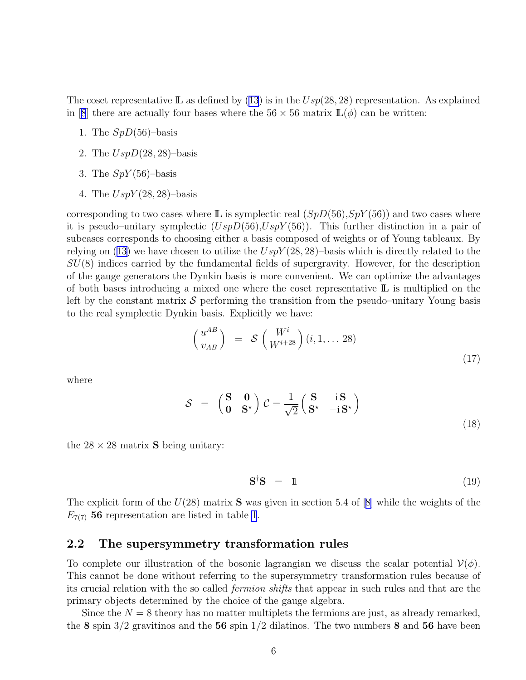Thecoset representative L as defined by ([13](#page-5-0)) is in the  $Usp(28, 28)$  representation. As explained in[[8](#page-27-0)] there are actually four bases where the  $56 \times 56$  matrix  $\mathbb{L}(\phi)$  can be written:

- 1. The  $SpD(56)$ -basis
- 2. The  $UspD(28, 28)$ -basis
- 3. The  $SpY(56)$ -basis
- 4. The  $UspY(28, 28)$ -basis

corresponding to two cases where  $\mathbb{L}$  is symplectic real  $(SpD(56), SpY(56))$  and two cases where it is pseudo–unitary symplectic  $(UspD(56),UspY(56))$ . This further distinction in a pair of subcases corresponds to choosing either a basis composed of weights or of Young tableaux. By relyingon ([13\)](#page-5-0) we have chosen to utilize the  $UspY(28, 28)$ -basis which is directly related to the  $SU(8)$  indices carried by the fundamental fields of supergravity. However, for the description of the gauge generators the Dynkin basis is more convenient. We can optimize the advantages of both bases introducing a mixed one where the coset representative  $\mathbb{L}$  is multiplied on the left by the constant matrix  $\mathcal S$  performing the transition from the pseudo–unitary Young basis to the real symplectic Dynkin basis. Explicitly we have:

$$
\begin{pmatrix} u^{AB} \\ v_{AB} \end{pmatrix} = S \begin{pmatrix} W^i \\ W^{i+28} \end{pmatrix} (i, 1, \dots 28) \tag{17}
$$

where

$$
S = \begin{pmatrix} S & 0 \\ 0 & S^* \end{pmatrix} C = \frac{1}{\sqrt{2}} \begin{pmatrix} S & iS \\ S^* & -iS^* \end{pmatrix}
$$
(18)

the  $28 \times 28$  matrix **S** being unitary:

$$
\mathbf{S}^{\dagger}\mathbf{S} = 1 \tag{19}
$$

Theexplicit form of the  $U(28)$  matrix **S** was given in section 5.4 of [[8\]](#page-27-0) while the weights of the  $E_{7(7)}$  56 representation are listed in table [1](#page-30-0).

### 2.2 The supersymmetry transformation rules

To complete our illustration of the bosonic lagrangian we discuss the scalar potential  $V(\phi)$ . This cannot be done without referring to the supersymmetry transformation rules because of its crucial relation with the so called fermion shifts that appear in such rules and that are the primary objects determined by the choice of the gauge algebra.

Since the  $N = 8$  theory has no matter multiplets the fermions are just, as already remarked, the 8 spin  $3/2$  gravitinos and the 56 spin  $1/2$  dilatinos. The two numbers 8 and 56 have been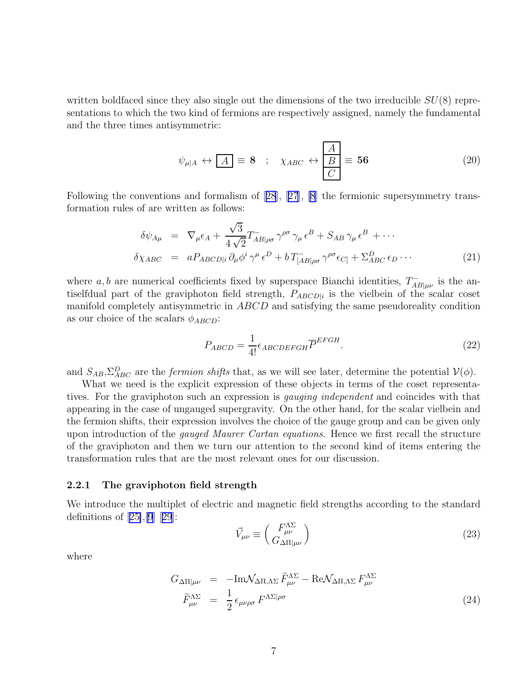<span id="page-7-0"></span>written boldfaced since they also single out the dimensions of the two irreducible  $SU(8)$  representations to which the two kind of fermions are respectively assigned, namely the fundamental and the three times antisymmetric:

$$
\psi_{\mu|A} \leftrightarrow \boxed{A} \equiv \mathbf{8} \quad ; \quad \chi_{ABC} \leftrightarrow \boxed{\frac{A}{B}} \equiv \mathbf{56} \tag{20}
$$

Following the conventions and formalism of[[28](#page-28-0)],[[27](#page-28-0)], [\[8](#page-27-0)] the fermionic supersymmetry transformation rules of are written as follows:

$$
\delta\psi_{A\mu} = \nabla_{\mu}\epsilon_{A} + \frac{\sqrt{3}}{4\sqrt{2}}T_{AB|\rho\sigma}^{-}\gamma^{\rho\sigma}\gamma_{\mu}\epsilon^{B} + S_{AB}\gamma_{\mu}\epsilon^{B} + \cdots
$$
  
\n
$$
\delta\chi_{ABC} = aP_{ABCD|i}\partial_{\mu}\phi^{i}\gamma^{\mu}\epsilon^{D} + bT_{[AB|\rho\sigma}^{-}\gamma^{\rho\sigma}\epsilon_{C]} + \Sigma_{ABC}^{D}\epsilon_{D}\cdots
$$
\n(21)

where a, b are numerical coefficients fixed by superspace Bianchi identities,  $T_{AB|\mu\nu}^-$  is the antiselfdual part of the graviphoton field strength,  $P_{ABCD|i}$  is the vielbein of the scalar coset manifold completely antisymmetric in ABCD and satisfying the same pseudoreality condition as our choice of the scalars  $\phi_{ABCD}$ :

$$
P_{ABCD} = \frac{1}{4!} \epsilon_{ABCDEFGH} \overline{P}^{EFGH}.
$$
 (22)

and  $S_{AB}, \Sigma_{ABC}^D$  are the *fermion shifts* that, as we will see later, determine the potential  $\mathcal{V}(\phi)$ .

What we need is the explicit expression of these objects in terms of the coset representatives. For the graviphoton such an expression is gauging independent and coincides with that appearing in the case of ungauged supergravity. On the other hand, for the scalar vielbein and the fermion shifts, their expression involves the choice of the gauge group and can be given only upon introduction of the *gauged Maurer Cartan equations*. Hence we first recall the structure of the graviphoton and then we turn our attention to the second kind of items entering the transformation rules that are the most relevant ones for our discussion.

#### 2.2.1 The graviphoton field strength

We introduce the multiplet of electric and magnetic field strengths according to the standard definitionsof  $[25],[9]$  $[25],[9]$  $[25],[9]$  $[25],[9]$  $[25],[9]$   $[29]$  $[29]$  $[29]$ :

$$
\vec{V}_{\mu\nu} \equiv \begin{pmatrix} F^{\Lambda\Sigma}_{\mu\nu} \\ G_{\Delta\Pi|\mu\nu} \end{pmatrix} \tag{23}
$$

where

$$
G_{\Delta\Pi|\mu\nu} = -\text{Im}\mathcal{N}_{\Delta\Pi,\Lambda\Sigma}\,\widetilde{F}^{\Lambda\Sigma}_{\mu\nu} - \text{Re}\mathcal{N}_{\Delta\Pi,\Lambda\Sigma}\,F^{\Lambda\Sigma}_{\mu\nu}
$$
\n
$$
\widetilde{F}^{\Lambda\Sigma}_{\mu\nu} = \frac{1}{2}\,\epsilon_{\mu\nu\rho\sigma}\,F^{\Lambda\Sigma|\rho\sigma} \tag{24}
$$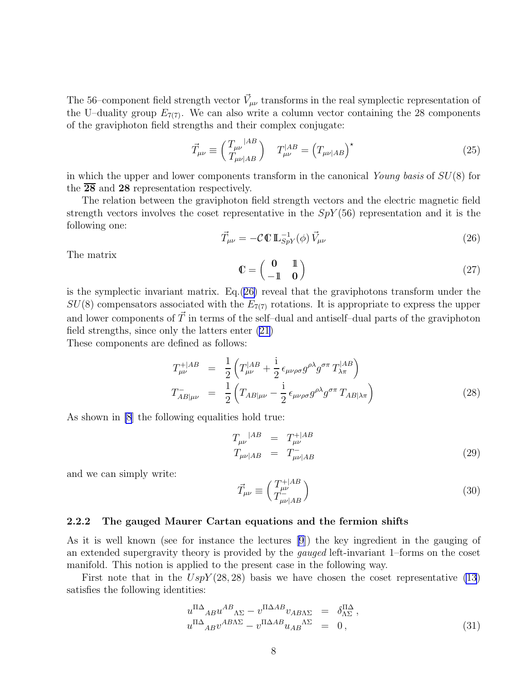The 56–component field strength vector  $\vec{V}_{\mu\nu}$  transforms in the real symplectic representation of the U–duality group  $E_{7(7)}$ . We can also write a column vector containing the 28 components of the graviphoton field strengths and their complex conjugate:

$$
\vec{T}_{\mu\nu} \equiv \begin{pmatrix} T_{\mu\nu} |^{AB} \\ T_{\mu\nu | AB} \end{pmatrix} \quad T_{\mu\nu}^{|AB} = \left( T_{\mu\nu | AB} \right)^{\star} \tag{25}
$$

in which the upper and lower components transform in the canonical Young basis of  $SU(8)$  for the  $\overline{28}$  and  $28$  representation respectively.

The relation between the graviphoton field strength vectors and the electric magnetic field strength vectors involves the coset representative in the  $SpY(56)$  representation and it is the following one:

$$
\vec{T}_{\mu\nu} = -\mathcal{C}\,\mathbb{C}\,\mathbb{L}_{SpY}^{-1}(\phi)\,\vec{V}_{\mu\nu} \tag{26}
$$

The matrix

$$
\mathbb{C} = \begin{pmatrix} \mathbf{0} & \mathbb{1} \\ -\mathbb{1} & \mathbf{0} \end{pmatrix} \tag{27}
$$

is the symplectic invariant matrix. Eq.(26) reveal that the graviphotons transform under the  $SU(8)$  compensators associated with the  $E_{7(7)}$  rotations. It is appropriate to express the upper and lower components of  $\vec{T}$  in terms of the self-dual and antiself-dual parts of the graviphoton field strengths, since only the latters enter [\(21](#page-7-0))

These components are defined as follows:

$$
T_{\mu\nu}^{+|AB} = \frac{1}{2} \left( T_{\mu\nu}^{|AB} + \frac{i}{2} \epsilon_{\mu\nu\rho\sigma} g^{\rho\lambda} g^{\sigma\pi} T_{\lambda\pi}^{|AB} \right)
$$
  

$$
T_{AB|\mu\nu}^- = \frac{1}{2} \left( T_{AB|\mu\nu} - \frac{i}{2} \epsilon_{\mu\nu\rho\sigma} g^{\rho\lambda} g^{\sigma\pi} T_{AB|\lambda\pi} \right)
$$
(28)

As shown in [\[8](#page-27-0)] the following equalities hold true:

$$
T_{\mu\nu}^{|AB} = T_{\mu\nu}^{+|AB}
$$
  
\n
$$
T_{\mu\nu|AB} = T_{\mu\nu|AB}^{-}
$$
 (29)

and we can simply write:

$$
\vec{T}_{\mu\nu} \equiv \begin{pmatrix} T_{\mu\nu}^{+|AB} \\ T_{\mu\nu|AB}^{-} \end{pmatrix} \tag{30}
$$

#### 2.2.2 The gauged Maurer Cartan equations and the fermion shifts

As it is well known (see for instance the lectures [\[9\]](#page-27-0)) the key ingredient in the gauging of an extended supergravity theory is provided by the gauged left-invariant 1–forms on the coset manifold. This notion is applied to the present case in the following way.

First note that in the  $UspY(28, 28)$  basis we have chosen the coset representative [\(13](#page-5-0)) satisfies the following identities:

$$
u^{\Pi\Delta}{}_{AB}u^{AB}{}_{\Lambda\Sigma} - v^{\Pi\Delta AB}v_{AB\Lambda\Sigma} = \delta^{\Pi\Delta}_{\Lambda\Sigma},
$$
  
\n
$$
u^{\Pi\Delta}{}_{AB}v^{AB\Lambda\Sigma} - v^{\Pi\Delta AB}u_{AB}{}^{\Lambda\Sigma} = 0,
$$
\n(31)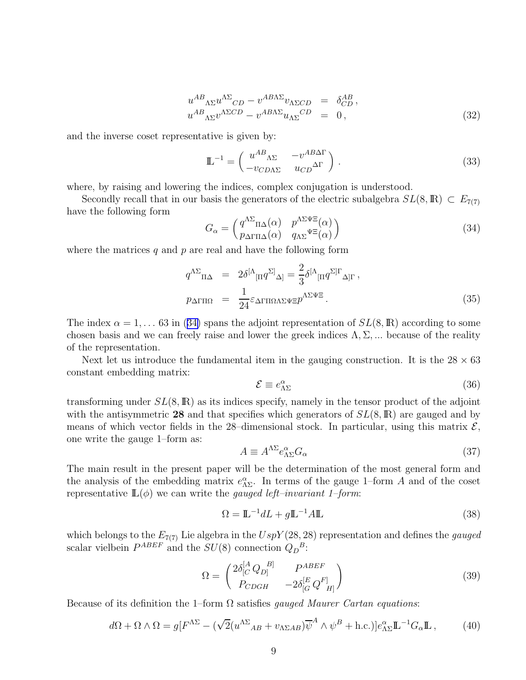$$
u^{AB}_{\Lambda\Sigma}u^{\Lambda\Sigma}_{CD} - v^{AB\Lambda\Sigma}v_{\Lambda\Sigma CD} = \delta^{AB}_{CD},
$$
  
\n
$$
u^{AB}_{\Lambda\Sigma}v^{\Lambda\Sigma CD} - v^{AB\Lambda\Sigma}u_{\Lambda\Sigma}^{CD} = 0,
$$
\n(32)

<span id="page-9-0"></span>and the inverse coset representative is given by:

$$
\mathbb{L}^{-1} = \begin{pmatrix} u^{AB}{}_{\Lambda\Sigma} & -v^{AB}\Delta\Gamma \\ -v_{CD\Lambda\Sigma} & u_{CD}^{\Delta\Gamma} \end{pmatrix} . \tag{33}
$$

where, by raising and lowering the indices, complex conjugation is understood.

Secondly recall that in our basis the generators of the electric subalgebra  $SL(8,\mathbb{R}) \subset E_{7(7)}$ have the following form

$$
G_{\alpha} = \begin{pmatrix} q^{\Lambda \Sigma} {}_{\Pi \Delta}(\alpha) & p^{\Lambda \Sigma \Psi \Xi}(\alpha) \\ p_{\Delta \Gamma \Pi \Delta}(\alpha) & q_{\Lambda \Sigma}^{\Psi \Xi}(\alpha) \end{pmatrix}
$$
(34)

where the matrices  $q$  and  $p$  are real and have the following form

$$
q^{\Lambda\Sigma}{}_{\Pi\Delta} = 2\delta^{[\Lambda}{}_{[\Pi}q^{\Sigma]}{}_{\Delta]} = \frac{2}{3}\delta^{[\Lambda}{}_{[\Pi}q^{\Sigma]}\Gamma_{\Delta]\Gamma},
$$
  
\n
$$
p_{\Delta\Gamma\Pi\Omega} = \frac{1}{24}\varepsilon_{\Delta\Gamma\Pi\Omega\Lambda\Sigma\Psi\Xi}p^{\Lambda\Sigma\Psi\Xi}.
$$
\n(35)

The index  $\alpha = 1, \ldots 63$  in (34) spans the adjoint representation of  $SL(8,\mathbb{R})$  according to some chosen basis and we can freely raise and lower the greek indices  $\Lambda$ ,  $\Sigma$ , ... because of the reality of the representation.

Next let us introduce the fundamental item in the gauging construction. It is the  $28 \times 63$ constant embedding matrix:

$$
\mathcal{E} \equiv e_{\Lambda\Sigma}^{\alpha} \tag{36}
$$

transforming under  $SL(8,\mathbb{R})$  as its indices specify, namely in the tensor product of the adjoint with the antisymmetric 28 and that specifies which generators of  $SL(8,\mathbb{R})$  are gauged and by means of which vector fields in the 28-dimensional stock. In particular, using this matrix  $\mathcal{E}$ , one write the gauge 1–form as:

$$
A \equiv A^{\Lambda \Sigma} e^{\alpha}_{\Lambda \Sigma} G_{\alpha} \tag{37}
$$

The main result in the present paper will be the determination of the most general form and the analysis of the embedding matrix  $e_{\Lambda\Sigma}^{\alpha}$ . In terms of the gauge 1–form A and of the coset representative  $\mathbb{L}(\phi)$  we can write the *gauged left–invariant 1–form:* 

$$
\Omega = \mathbb{L}^{-1} dL + g \mathbb{L}^{-1} A \mathbb{L}
$$
\n(38)

which belongs to the  $E_{7(7)}$  Lie algebra in the  $UspY(28, 28)$  representation and defines the *gauged* scalar vielbein  $P^{ABEF}$  and the  $SU(8)$  connection  $Q_D^B$ :

$$
\Omega = \begin{pmatrix} 2\delta_{[C}^{[A} Q_{D]}^{B]} & P^{ABEF} \\ P_{CDGH} & -2\delta_{[G}^{[E} Q_{H]}^{F]} \end{pmatrix}
$$
\n(39)

Because of its definition the 1–form  $\Omega$  satisfies *gauged Maurer Cartan equations*:

$$
d\Omega + \Omega \wedge \Omega = g[F^{\Lambda \Sigma} - (\sqrt{2}(u^{\Lambda \Sigma}{}_{AB} + v_{\Lambda \Sigma AB})\overline{\psi}^A \wedge \psi^B + \text{h.c.})]e^{\alpha}_{\Lambda \Sigma} \mathbb{L}^{-1} G_{\alpha} \mathbb{L} ,\qquad(40)
$$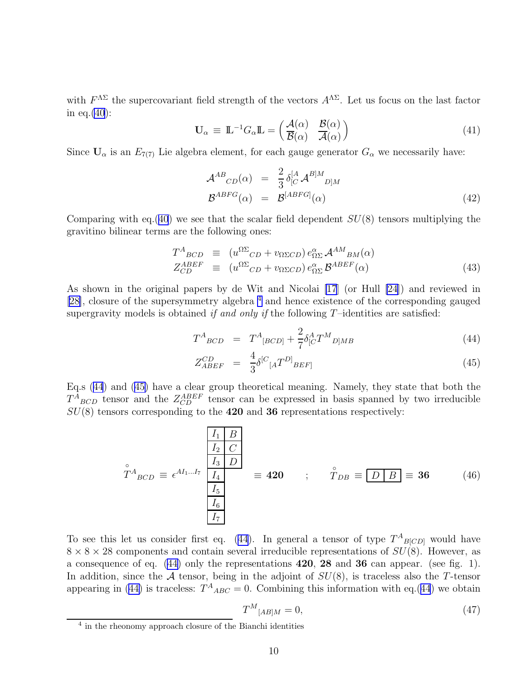<span id="page-10-0"></span>with  $F^{\Lambda\Sigma}$  the supercovariant field strength of the vectors  $A^{\Lambda\Sigma}$ . Let us focus on the last factor in eq.[\(40](#page-9-0)):

$$
\mathbf{U}_{\alpha} \equiv \mathbb{L}^{-1} G_{\alpha} \mathbb{L} = \begin{pmatrix} \mathcal{A}(\alpha) & \mathcal{B}(\alpha) \\ \overline{\mathcal{B}}(\alpha) & \overline{\mathcal{A}}(\alpha) \end{pmatrix}
$$
(41)

Since  $U_{\alpha}$  is an  $E_{7(7)}$  Lie algebra element, for each gauge generator  $G_{\alpha}$  we necessarily have:

$$
\mathcal{A}^{AB}_{CD}(\alpha) = \frac{2}{3} \delta_{[C}^{[A} \mathcal{A}^{B]M}_{D]M}
$$
  

$$
\mathcal{B}^{ABFG}(\alpha) = \mathcal{B}^{[ABFG]}(\alpha)
$$
 (42)

Comparing with eq.([40](#page-9-0)) we see that the scalar field dependent  $SU(8)$  tensors multiplying the gravitino bilinear terms are the following ones:

$$
T^{A}_{BCD} \equiv (u^{\Omega\Sigma}_{CD} + v_{\Omega\Sigma CD}) e^{\alpha}_{\Omega\Sigma} A^{AM}_{BM}(\alpha)
$$
  
\n
$$
Z^{ABEF}_{CD} \equiv (u^{\Omega\Sigma}_{CD} + v_{\Omega\Sigma CD}) e^{\alpha}_{\Omega\Sigma} B^{ABEF}(\alpha)
$$
\n(43)

As shown in the original papers by de Wit and Nicolai [\[17](#page-28-0)] (or Hull [\[24\]](#page-28-0)) and reviewed in [[28\]](#page-28-0), closure of the supersymmetry algebra <sup>4</sup> and hence existence of the corresponding gauged supergravity models is obtained if and only if the following  $T$ -identities are satisfied:

$$
T^{A}_{BCD} = T^{A}_{[BCD]} + \frac{2}{7} \delta^{A}_{[C} T^{M}{}_{D]MB} \tag{44}
$$

$$
Z_{ABEF}^{CD} = \frac{4}{3} \delta^{[C}{}_{[A} T^{D]}{}_{BEF]}
$$
 (45)

Eq.s (44) and (45) have a clear group theoretical meaning. Namely, they state that both the  $T^{A}_{BCD}$  tensor and the  $Z_{CD}^{ABEF}$  tensor can be expressed in basis spanned by two irreducible  $SU(8)$  tensors corresponding to the 420 and 36 representations respectively:

$$
\hat{T}^{A}_{BCD} \equiv \epsilon^{AI_1...I_7} \begin{bmatrix} I_1 & B \\ I_2 & C \\ I_3 & D \\ I_4 & I_5 \\ I_6 & I_7 \end{bmatrix} \equiv 420 \qquad ; \qquad \hat{T}_{DB} \equiv \boxed{D \mid B} \equiv 36 \qquad (46)
$$

To see this let us consider first eq. (44). In general a tensor of type  $T^{A}_{B[CD]}$  would have  $8 \times 8 \times 28$  components and contain several irreducible representations of  $SU(8)$ . However, as a consequence of eq.  $(44)$  only the representations  $420$ ,  $28$  and  $36$  can appear. (see fig. 1). In addition, since the  $A$  tensor, being in the adjoint of  $SU(8)$ , is traceless also the T-tensor appearing in (44) is traceless:  $T^{A}{}_{ABC} = 0$ . Combining this information with eq.(44) we obtain

$$
T^M_{\ [AB]M} = 0,\tag{47}
$$

<sup>4</sup> in the rheonomy approach closure of the Bianchi identities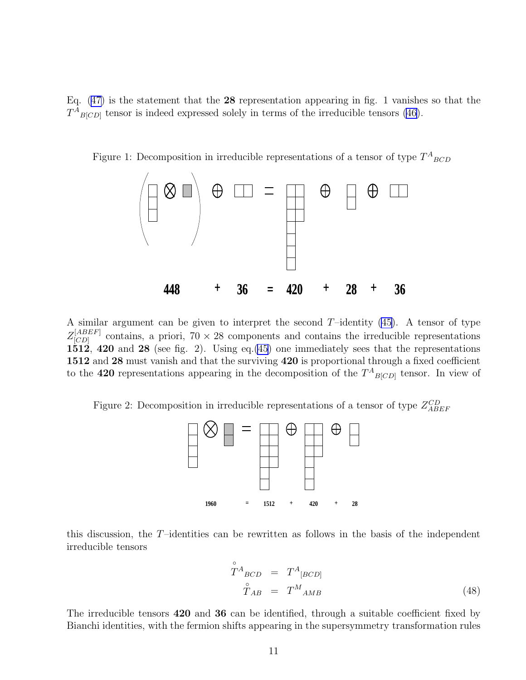Eq.  $(47)$  is the statement that the 28 representation appearing in fig. 1 vanishes so that the  $T^{A}_{B[CD]}$  tensor is indeed expressed solely in terms of the irreducible tensors [\(46](#page-10-0)).



Figure 1: Decomposition in irreducible representations of a tensor of type  $T^{A}{}_{BCD}$ 

A similar argument can be given to interpret the second  $T$ -identity  $(45)$ . A tensor of type  $Z^{[ABEF]}_{[CD]}$  $[CD]$  contains, a priori,  $70 \times 28$  components and contains the irreducible representations  $1512$ , 420 and 28 (see fig. 2). Using eq.[\(45](#page-10-0)) one immediately sees that the representations 1512 and 28 must vanish and that the surviving 420 is proportional through a fixed coefficient to the 420 representations appearing in the decomposition of the  $T^{A}{}_{B[CD]}$  tensor. In view of

Figure 2: Decomposition in irreducible representations of a tensor of type  $Z_{ABEF}^{CD}$ 



this discussion, the  $T$ -identities can be rewritten as follows in the basis of the independent irreducible tensors

$$
\tilde{T}^{A}{}_{BCD} = T^{A}{}_{[BCD]}
$$
\n
$$
\tilde{T}_{AB} = T^{M}{}_{AMB}
$$
\n(48)

The irreducible tensors 420 and 36 can be identified, through a suitable coefficient fixed by Bianchi identities, with the fermion shifts appearing in the supersymmetry transformation rules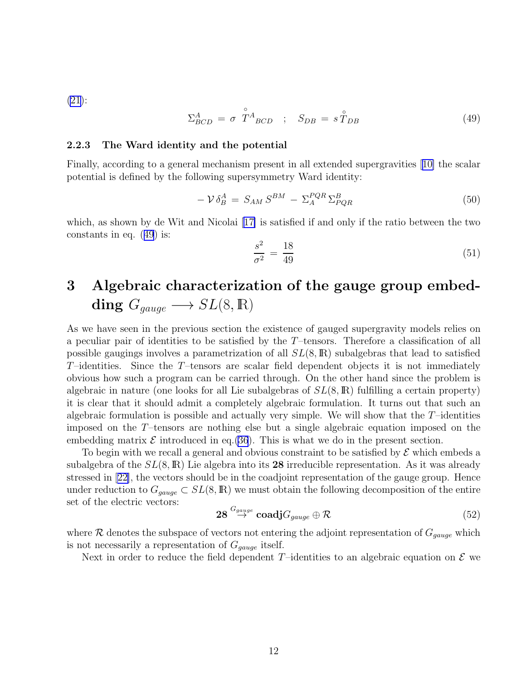[\(21\)](#page-7-0):

$$
\Sigma_{BCD}^A = \sigma \stackrel{\circ}{T}^A{}_{BCD} \; ; \; S_{DB} = s \stackrel{\circ}{T}_{DB} \tag{49}
$$

#### 2.2.3 The Ward identity and the potential

Finally, according to a general mechanism present in all extended supergravities[[10\]](#page-27-0) the scalar potential is defined by the following supersymmetry Ward identity:

$$
-\mathcal{V}\delta_B^A = S_{AM} S^{BM} - \Sigma_A^{PQR} \Sigma_{PQR}^B \tag{50}
$$

which, as shown by de Wit and Nicolai [\[17\]](#page-28-0) is satisfied if and only if the ratio between the two constants in eq. (49) is:

$$
\frac{s^2}{\sigma^2} = \frac{18}{49} \tag{51}
$$

# 3 Algebraic characterization of the gauge group embedding  $G_{gauge} \longrightarrow SL(8,\mathbb{R})$

As we have seen in the previous section the existence of gauged supergravity models relies on a peculiar pair of identities to be satisfied by the T–tensors. Therefore a classification of all possible gaugings involves a parametrization of all  $SL(8,\mathbb{R})$  subalgebras that lead to satisfied  $T$ –identities. Since the  $T$ –tensors are scalar field dependent objects it is not immediately obvious how such a program can be carried through. On the other hand since the problem is algebraic in nature (one looks for all Lie subalgebras of  $SL(8,\mathbb{R})$  fulfilling a certain property) it is clear that it should admit a completely algebraic formulation. It turns out that such an algebraic formulation is possible and actually very simple. We will show that the  $T$ -identities imposed on the T–tensors are nothing else but a single algebraic equation imposed on the embedding matrix  $\mathcal E$  introduced in eq.[\(36](#page-9-0)). This is what we do in the present section.

To begin with we recall a general and obvious constraint to be satisfied by  $\mathcal E$  which embeds a subalgebra of the  $SL(8,\mathbb{R})$  Lie algebra into its 28 irreducible representation. As it was already stressed in[[22\]](#page-28-0), the vectors should be in the coadjoint representation of the gauge group. Hence under reduction to  $G_{gauge} \subset SL(8,\mathbb{R})$  we must obtain the following decomposition of the entire set of the electric vectors:

$$
\mathbf{28} \stackrel{G_{gauge}}{\rightarrow} \mathbf{coadj} G_{gauge} \oplus \mathcal{R}
$$
 (52)

where R denotes the subspace of vectors not entering the adjoint representation of  $G_{gauge}$  which is not necessarily a representation of  $G_{gauge}$  itself.

Next in order to reduce the field dependent T-identities to an algebraic equation on  $\mathcal E$  we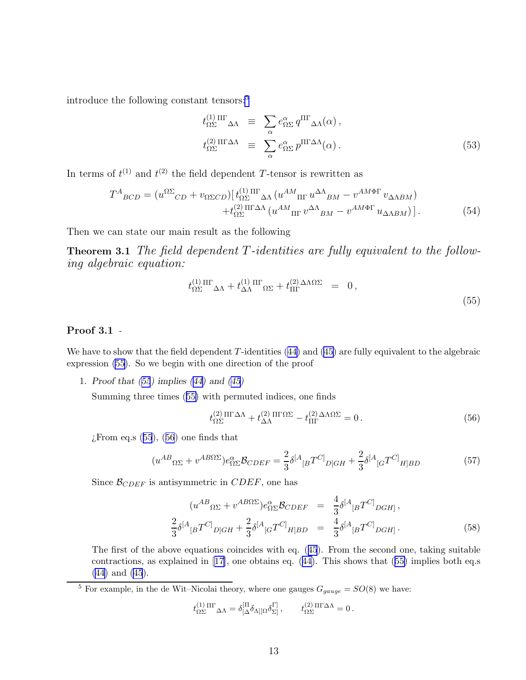<span id="page-13-0"></span>introduce the following constant tensors:<sup>5</sup>

$$
t_{\Omega\Sigma}^{(1)\,\Pi\Gamma}\Delta\Lambda \equiv \sum_{\alpha} e_{\Omega\Sigma}^{\alpha} q^{\Pi\Gamma}\Delta\Lambda(\alpha) ,
$$
  

$$
t_{\Omega\Sigma}^{(2)\,\Pi\Gamma\Delta\Lambda} \equiv \sum_{\alpha} e_{\Omega\Sigma}^{\alpha} p^{\Pi\Gamma\Delta\Lambda}(\alpha) .
$$
 (53)

In terms of  $t^{(1)}$  and  $t^{(2)}$  the field dependent T-tensor is rewritten as

$$
T^{A}_{BCD} = (u^{\Omega\Sigma}_{CD} + v_{\Omega\Sigma CD}) \left[ t_{\Omega\Sigma}^{(1) \text{ III}} \Delta\Lambda \left( u^{AM}_{\text{ III}} u^{\Delta\Lambda}_{BM} - v^{AM\Phi\Gamma} v_{\Delta\Lambda BM} \right) + t_{\Omega\Sigma}^{(2) \text{ III}\Delta\Lambda} \left( u^{AM}_{\text{ III}} v^{\Delta\Lambda}_{BM} - v^{AM\Phi\Gamma} u_{\Delta\Lambda BM} \right) \right].
$$
 (54)

Then we can state our main result as the following

Theorem 3.1 The field dependent T-identities are fully equivalent to the following algebraic equation:

$$
t_{\Omega\Sigma}^{(1)\,\Pi\Gamma}{}_{\Delta\Lambda} + t_{\Delta\Lambda}^{(1)\,\Pi\Gamma}{}_{\Omega\Sigma} + t_{\Pi\Gamma}^{(2)\,\Delta\Lambda\Omega\Sigma} = 0, \tag{55}
$$

### Proof 3.1 -

Wehave to show that the field dependent  $T$ -identities ([44\)](#page-10-0) and [\(45\)](#page-10-0) are fully equivalent to the algebraic expression (55). So we begin with one direction of the proof

1. Proof that (55) implies([44\)](#page-10-0) and([45\)](#page-10-0)

Summing three times (55) with permuted indices, one finds

$$
t_{\Omega\Sigma}^{(2)\Pi\Gamma\Delta\Lambda} + t_{\Delta\Lambda}^{(2)\Pi\Gamma\Omega\Sigma} - t_{\Pi\Gamma}^{(2)\Delta\Lambda\Omega\Sigma} = 0.
$$
 (56)

 $\chi$ From eq.s (55), (56) one finds that

$$
(u^{AB}_{\Omega\Sigma} + v^{AB\Omega\Sigma})e^{\alpha}_{\Omega\Sigma}\mathcal{B}_{CDEF} = \frac{2}{3}\delta^{[A}{}_{[B}T^{C]}{}_{D]GH} + \frac{2}{3}\delta^{[A}{}_{[G}T^{C]}{}_{H]BD}
$$
(57)

Since  $\mathcal{B}_{CDEF}$  is antisymmetric in  $CDEF$ , one has

$$
(u^{AB}_{\Omega\Sigma} + v^{AB\Omega\Sigma})e^{\alpha}_{\Omega\Sigma}\mathcal{B}_{CDEF} = \frac{4}{3}\delta^{[A}{}_{[B}T^{C]}{}_{DGH]},
$$
  

$$
\frac{2}{3}\delta^{[A}{}_{[B}T^{C]}{}_{D]GH} + \frac{2}{3}\delta^{[A}{}_{[G}T^{C]}{}_{H]BD} = \frac{4}{3}\delta^{[A}{}_{[B}T^{C]}{}_{DGH]}.
$$
 (58)

The first of the above equations coincides with eq.([45](#page-10-0)). From the second one, taking suitable contractions, as explained in[[17\]](#page-28-0), one obtains eq.([44\)](#page-10-0). This shows that (55) implies both eq.s [\(44\)](#page-10-0) and [\(45](#page-10-0)).

<sup>5</sup> For example, in the de Wit–Nicolai theory, where one gauges  $G_{gauge} = SO(8)$  we have:

$$
t^{(1)\; \Pi\Gamma}_{\Omega\Sigma}\Delta_\Lambda=\delta^{[\Pi}_{[\Delta}\delta_{\Lambda][\Omega}\delta_{\Sigma]}^{\Gamma]}\,,\qquad t^{(2)\; \Pi\Gamma\Delta\Lambda}_{\Omega\Sigma}=0\,.
$$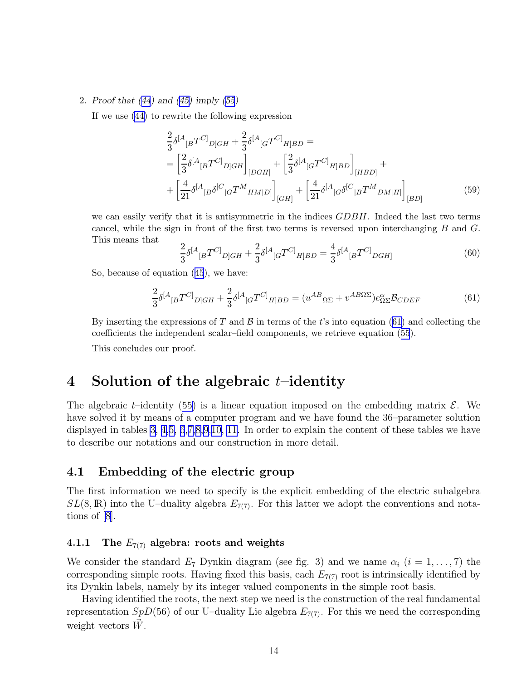#### 2. Proof that([44](#page-10-0)) and([45\)](#page-10-0) imply([55](#page-13-0))

If we use([44\)](#page-10-0) to rewrite the following expression

$$
\frac{2}{3}\delta^{[A}{}_{[B}T^{C]}{}_{D]GH} + \frac{2}{3}\delta^{[A}{}_{[G}T^{C]}{}_{H]BD} =
$$
\n
$$
= \left[\frac{2}{3}\delta^{[A}{}_{[B}T^{C]}{}_{D]GH}\right]_{[DGH]} + \left[\frac{2}{3}\delta^{[A}{}_{[G}T^{C]}{}_{H]BD}\right]_{[HBD]} +
$$
\n
$$
+ \left[\frac{4}{21}\delta^{[A}{}_{[B}\delta^{[C}{}_{[G}T^{M}{}_{HM]D]}\right]_{[GH]} + \left[\frac{4}{21}\delta^{[A}{}_{[G}\delta^{[C}{}_{[B}T^{M}{}_{DM]H]}\right]_{[BD]} \tag{59}
$$

we can easily verify that it is antisymmetric in the indices GDBH. Indeed the last two terms cancel, while the sign in front of the first two terms is reversed upon interchanging B and G. This means that

$$
\frac{2}{3}\delta^{[A}{}_{[B}T^{C]}{}_{D]GH} + \frac{2}{3}\delta^{[A}{}_{[G}T^{C]}{}_{H]BD} = \frac{4}{3}\delta^{[A}{}_{[B}T^{C]}{}_{DGH]}
$$
(60)

So, because of equation([45](#page-10-0)), we have:

$$
\frac{2}{3}\delta^{[A}{}_{[B}T^{C]}{}_{D]GH} + \frac{2}{3}\delta^{[A}{}_{[G}T^{C]}{}_{H]BD} = (u^{AB}{}_{\Omega\Sigma} + v^{AB\Omega\Sigma})e^{\alpha}_{\Omega\Sigma}\mathcal{B}_{CDEF}
$$
(61)

By inserting the expressions of T and  $\beta$  in terms of the t's into equation (61) and collecting the coefficients the independent scalar–field components, we retrieve equation([55](#page-13-0)).

This concludes our proof.

# 4 Solution of the algebraic  $t$ -identity

The algebraic t–identity [\(55\)](#page-13-0) is a linear equation imposed on the embedding matrix  $\mathcal{E}$ . We have solved it by means of a computer program and we have found the 36–parameter solution displayed in tables [3,](#page-32-0) [4,](#page-33-0)[5,](#page-34-0) [6](#page-35-0),[7,](#page-36-0)[8,](#page-37-0)[9,](#page-38-0)[10,](#page-39-0) [11](#page-40-0). In order to explain the content of these tables we have to describe our notations and our construction in more detail.

### 4.1 Embedding of the electric group

The first information we need to specify is the explicit embedding of the electric subalgebra  $SL(8,\mathbb{R})$  into the U–duality algebra  $E_{7(7)}$ . For this latter we adopt the conventions and notations of[[8\]](#page-27-0).

### 4.1.1 The  $E_{7(7)}$  algebra: roots and weights

We consider the standard  $E_7$  Dynkin diagram (see fig. 3) and we name  $\alpha_i$   $(i = 1, \ldots, 7)$  the corresponding simple roots. Having fixed this basis, each  $E_{7(7)}$  root is intrinsically identified by its Dynkin labels, namely by its integer valued components in the simple root basis.

Having identified the roots, the next step we need is the construction of the real fundamental representation  $SpD(56)$  of our U–duality Lie algebra  $E_{7(7)}$ . For this we need the corresponding weight vectors  $\dot{W}$ .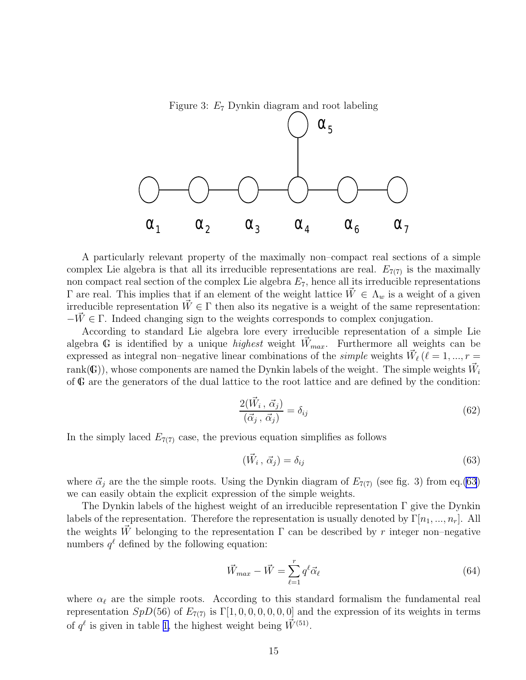Figure 3:  $E_7$  Dynkin diagram and root labeling



A particularly relevant property of the maximally non–compact real sections of a simple complex Lie algebra is that all its irreducible representations are real.  $E_{7(7)}$  is the maximally non compact real section of the complex Lie algebra  $E_7$ , hence all its irreducible representations  $\Gamma$  are real. This implies that if an element of the weight lattice  $\bar{W} \in \Lambda_w$  is a weight of a given irreducible representation  $W \in \Gamma$  then also its negative is a weight of the same representation:  $-V \in \Gamma$ . Indeed changing sign to the weights corresponds to complex conjugation.

According to standard Lie algebra lore every irreducible representation of a simple Lie algebra G is identified by a unique *highest* weight  $\vec{W}_{max}$ . Furthermore all weights can be expressed as integral non-negative linear combinations of the *simple* weights  $\vec{W}_{\ell}$  ( $\ell = 1, ..., r =$  $\mathrm{rank}(\mathbb{G})),$  whose components are named the Dynkin labels of the weight. The simple weights  $\vec{W}_i$ of G are the generators of the dual lattice to the root lattice and are defined by the condition:

$$
\frac{2(\vec{W}_i, \vec{\alpha}_j)}{(\vec{\alpha}_j, \vec{\alpha}_j)} = \delta_{ij} \tag{62}
$$

In the simply laced  $E_{7(7)}$  case, the previous equation simplifies as follows

$$
(\vec{W}_i, \vec{\alpha}_j) = \delta_{ij} \tag{63}
$$

where  $\vec{\alpha}_j$  are the the simple roots. Using the Dynkin diagram of  $E_{7(7)}$  (see fig. 3) from eq.(63) we can easily obtain the explicit expression of the simple weights.

The Dynkin labels of the highest weight of an irreducible representation  $\Gamma$  give the Dynkin labels of the representation. Therefore the representation is usually denoted by  $\Gamma[n_1, ..., n_r]$ . All the weights  $\vec{W}$  belonging to the representation  $\Gamma$  can be described by r integer non–negative numbers  $q^{\ell}$  defined by the following equation:

$$
\vec{W}_{max} - \vec{W} = \sum_{\ell=1}^{r} q^{\ell} \vec{\alpha}_{\ell} \tag{64}
$$

where  $\alpha_{\ell}$  are the simple roots. According to this standard formalism the fundamental real representation  $SpD(56)$  of  $E_{7(7)}$  is  $\Gamma[1,0,0,0,0,0,0]$  and the expression of its weights in terms of  $q^{\ell}$  is given in table [1,](#page-30-0) the highest weight being  $\vec{W}^{(51)}$ .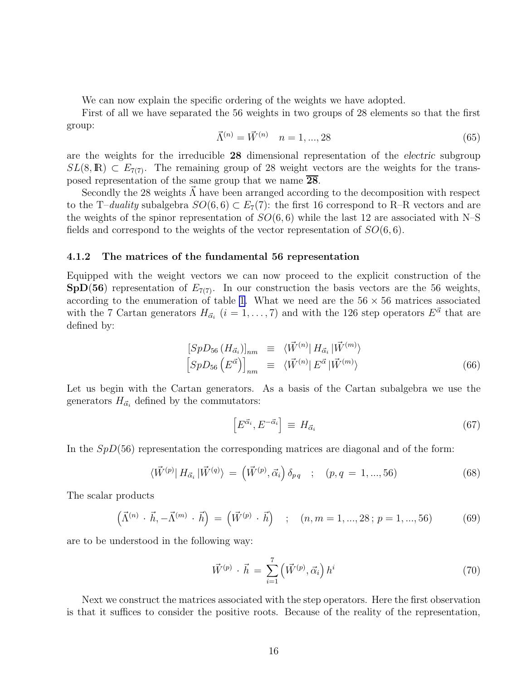We can now explain the specific ordering of the weights we have adopted.

First of all we have separated the 56 weights in two groups of 28 elements so that the first group:

$$
\vec{\Lambda}^{(n)} = \vec{W}^{(n)} \quad n = 1, ..., 28 \tag{65}
$$

are the weights for the irreducible 28 dimensional representation of the electric subgroup  $SL(8,\mathbb{R}) \subset E_{7(7)}$ . The remaining group of 28 weight vectors are the weights for the transposed representation of the same group that we name  $\overline{28}$ .

Secondly the 28 weights  $\Lambda$  have been arranged according to the decomposition with respect to the T–duality subalgebra  $SO(6,6) \subset E_7(7)$ : the first 16 correspond to R–R vectors and are the weights of the spinor representation of  $SO(6,6)$  while the last 12 are associated with N–S fields and correspond to the weights of the vector representation of  $SO(6,6)$ .

#### 4.1.2 The matrices of the fundamental 56 representation

Equipped with the weight vectors we can now proceed to the explicit construction of the  $SpD(56)$  representation of  $E_{7(7)}$ . In our construction the basis vectors are the 56 weights, according to the enumeration of table [1](#page-30-0). What we need are the  $56 \times 56$  matrices associated with the 7 Cartan generators  $H_{\vec{\alpha}_i}$   $(i = 1, \ldots, 7)$  and with the 126 step operators  $E^{\vec{\alpha}}$  that are defined by:

$$
[SpD_{56} (H_{\vec{\alpha}_i})]_{nm} \equiv \langle \vec{W}^{(n)} | H_{\vec{\alpha}_i} | \vec{W}^{(m)} \rangle
$$
  

$$
[SpD_{56} (E^{\vec{\alpha}})]_{nm} \equiv \langle \vec{W}^{(n)} | E^{\vec{\alpha}} | \vec{W}^{(m)} \rangle
$$
 (66)

Let us begin with the Cartan generators. As a basis of the Cartan subalgebra we use the generators  $H_{\vec{\alpha}_i}$  defined by the commutators:

$$
\left[E^{\vec{\alpha}_i}, E^{-\vec{\alpha}_i}\right] \equiv H_{\vec{\alpha}_i} \tag{67}
$$

In the  $SpD(56)$  representation the corresponding matrices are diagonal and of the form:

$$
\langle \vec{W}^{(p)} | H_{\vec{\alpha}_i} | \vec{W}^{(q)} \rangle = (\vec{W}^{(p)}, \vec{\alpha}_i) \delta_{pq} \quad ; \quad (p, q = 1, ..., 56)
$$
 (68)

The scalar products

$$
(\vec{\Lambda}^{(n)} \cdot \vec{h}, -\vec{\Lambda}^{(m)} \cdot \vec{h}) = (\vec{W}^{(p)} \cdot \vec{h}) \quad ; \quad (n, m = 1, ..., 28; p = 1, ..., 56)
$$
 (69)

are to be understood in the following way:

$$
\vec{W}^{(p)} \cdot \vec{h} = \sum_{i=1}^{7} \left( \vec{W}^{(p)}, \vec{\alpha}_i \right) h^i \tag{70}
$$

Next we construct the matrices associated with the step operators. Here the first observation is that it suffices to consider the positive roots. Because of the reality of the representation,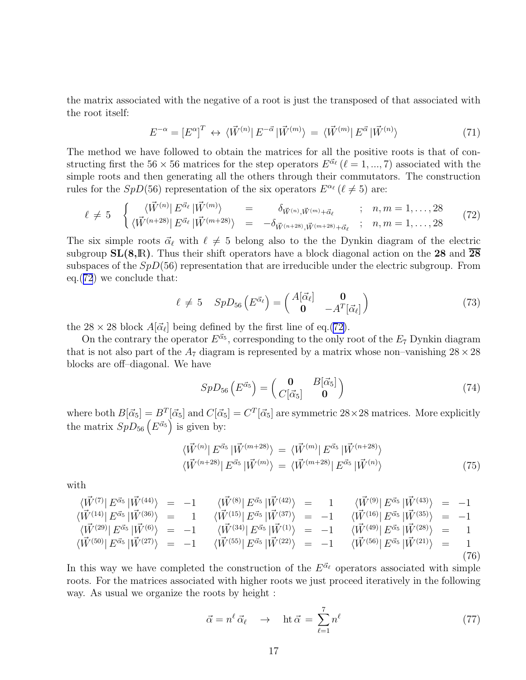the matrix associated with the negative of a root is just the transposed of that associated with the root itself:

$$
E^{-\alpha} = \left[E^{\alpha}\right]^T \leftrightarrow \langle \vec{W}^{(n)} \right| E^{-\vec{\alpha}} \left| \vec{W}^{(m)} \right\rangle = \langle \vec{W}^{(m)} \right| E^{\vec{\alpha}} \left| \vec{W}^{(n)} \right\rangle \tag{71}
$$

The method we have followed to obtain the matrices for all the positive roots is that of constructing first the 56  $\times$  56 matrices for the step operators  $E^{\vec{\alpha}_{\ell}}$  ( $\ell = 1, ..., 7$ ) associated with the simple roots and then generating all the others through their commutators. The construction rules for the  $SpD(56)$  representation of the six operators  $E^{\alpha_{\ell}}(\ell \neq 5)$  are:

$$
\ell \neq 5 \quad \begin{cases} \langle \vec{W}^{(n)} | E^{\vec{\alpha}_{\ell}} | \vec{W}^{(m)} \rangle & = \delta_{\vec{W}^{(n)}, \vec{W}^{(m)} + \vec{\alpha}_{\ell}}; \quad n, m = 1, \dots, 28\\ \langle \vec{W}^{(n+28)} | E^{\vec{\alpha}_{\ell}} | \vec{W}^{(m+28)} \rangle & = -\delta_{\vec{W}^{(n+28)}, \vec{W}^{(m+28)} + \vec{\alpha}_{\ell}}; \quad n, m = 1, \dots, 28 \end{cases} \tag{72}
$$

The six simple roots  $\vec{\alpha}_{\ell}$  with  $\ell \neq 5$  belong also to the the Dynkin diagram of the electric subgroup  $SL(8,\mathbb{R})$ . Thus their shift operators have a block diagonal action on the 28 and 28 subspaces of the  $SpD(56)$  representation that are irreducible under the electric subgroup. From eq.(72) we conclude that:

$$
\ell \neq 5 \quad SpD_{56}\left(E^{\vec{\alpha}_{\ell}}\right) = \begin{pmatrix} A[\vec{\alpha}_{\ell}] & \mathbf{0} \\ \mathbf{0} & -A^{T}[\vec{\alpha}_{\ell}] \end{pmatrix} \tag{73}
$$

the 28 × 28 block  $A[\vec{\alpha}_{\ell}]$  being defined by the first line of eq.(72).

On the contrary the operator  $E^{\vec{\alpha}_5}$ , corresponding to the only root of the  $E_7$  Dynkin diagram that is not also part of the  $A_7$  diagram is represented by a matrix whose non-vanishing  $28 \times 28$ blocks are off–diagonal. We have

$$
SpD_{56}\left(E^{\vec{\alpha}_5}\right) = \begin{pmatrix} \mathbf{0} & B[\vec{\alpha}_5] \\ C[\vec{\alpha}_5] & \mathbf{0} \end{pmatrix}
$$
(74)

where both  $B[\vec{\alpha}_5] = B^T[\vec{\alpha}_5]$  and  $C[\vec{\alpha}_5] = C^T[\vec{\alpha}_5]$  are symmetric  $28 \times 28$  matrices. More explicitly the matrix  $SpD_{56}\left(E^{\vec{\alpha}_5}\right)$  is given by:

$$
\langle \vec{W}^{(n)} | E^{\vec{\alpha}_5} | \vec{W}^{(m+28)} \rangle = \langle \vec{W}^{(m)} | E^{\vec{\alpha}_5} | \vec{W}^{(n+28)} \rangle \langle \vec{W}^{(n+28)} | E^{\vec{\alpha}_5} | \vec{W}^{(m)} \rangle = \langle \vec{W}^{(m+28)} | E^{\vec{\alpha}_5} | \vec{W}^{(n)} \rangle
$$
\n(75)

with

$$
\langle \vec{W}^{(7)} | E^{\vec{\alpha}_{5}} | \vec{W}^{(44)} \rangle = -1 \qquad \langle \vec{W}^{(8)} | E^{\vec{\alpha}_{5}} | \vec{W}^{(42)} \rangle = 1 \qquad \langle \vec{W}^{(9)} | E^{\vec{\alpha}_{5}} | \vec{W}^{(43)} \rangle = -1 \n\langle \vec{W}^{(14)} | E^{\vec{\alpha}_{5}} | \vec{W}^{(36)} \rangle = 1 \qquad \langle \vec{W}^{(15)} | E^{\vec{\alpha}_{5}} | \vec{W}^{(37)} \rangle = -1 \qquad \langle \vec{W}^{(16)} | E^{\vec{\alpha}_{5}} | \vec{W}^{(35)} \rangle = -1 \n\langle \vec{W}^{(29)} | E^{\vec{\alpha}_{5}} | \vec{W}^{(6)} \rangle = -1 \qquad \langle \vec{W}^{(34)} | E^{\vec{\alpha}_{5}} | \vec{W}^{(1)} \rangle = -1 \qquad \langle \vec{W}^{(49)} | E^{\vec{\alpha}_{5}} | \vec{W}^{(28)} \rangle = 1 \n\langle \vec{W}^{(50)} | E^{\vec{\alpha}_{5}} | \vec{W}^{(27)} \rangle = -1 \qquad \langle \vec{W}^{(55)} | E^{\vec{\alpha}_{5}} | \vec{W}^{(22)} \rangle = -1 \qquad \langle \vec{W}^{(56)} | E^{\vec{\alpha}_{5}} | \vec{W}^{(21)} \rangle = 1 \n(76)
$$

In this way we have completed the construction of the  $E^{\vec{\alpha}_{\ell}}$  operators associated with simple roots. For the matrices associated with higher roots we just proceed iteratively in the following way. As usual we organize the roots by height :

$$
\vec{\alpha} = n^{\ell} \vec{\alpha}_{\ell} \rightarrow \text{ht } \vec{\alpha} = \sum_{\ell=1}^{7} n^{\ell} \tag{77}
$$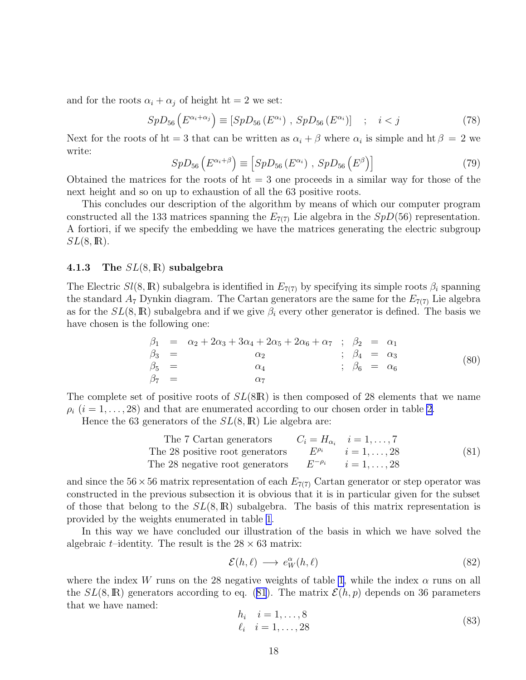and for the roots  $\alpha_i + \alpha_j$  of height ht = 2 we set:

$$
SpD_{56}\left(E^{\alpha_i+\alpha_j}\right) \equiv \left[SpD_{56}\left(E^{\alpha_i}\right), SpD_{56}\left(E^{\alpha_i}\right)\right] \quad ; \quad i < j \tag{78}
$$

Next for the roots of ht = 3 that can be written as  $\alpha_i + \beta$  where  $\alpha_i$  is simple and ht  $\beta = 2$  we write:

$$
SpD_{56}\left(E^{\alpha_i+\beta}\right) \equiv \left[SpD_{56}\left(E^{\alpha_i}\right), SpD_{56}\left(E^{\beta}\right)\right]
$$
\n(79)

Obtained the matrices for the roots of  $ht = 3$  one proceeds in a similar way for those of the next height and so on up to exhaustion of all the 63 positive roots.

This concludes our description of the algorithm by means of which our computer program constructed all the 133 matrices spanning the  $E_{7(7)}$  Lie algebra in the  $SpD(56)$  representation. A fortiori, if we specify the embedding we have the matrices generating the electric subgroup  $SL(8,\mathbb{R}).$ 

### 4.1.3 The  $SL(8,\mathbb{R})$  subalgebra

The Electric  $Sl(8,\mathbb{R})$  subalgebra is identified in  $E_{7(7)}$  by specifying its simple roots  $\beta_i$  spanning the standard  $A_7$  Dynkin diagram. The Cartan generators are the same for the  $E_{7(7)}$  Lie algebra as for the  $SL(8,\mathbb{R})$  subalgebra and if we give  $\beta_i$  every other generator is defined. The basis we have chosen is the following one:

$$
\begin{array}{rcl}\n\beta_1 & = & \alpha_2 + 2\alpha_3 + 3\alpha_4 + 2\alpha_5 + 2\alpha_6 + \alpha_7 \quad ; \quad \beta_2 & = & \alpha_1 \\
\beta_3 & = & \alpha_2 \quad ; \quad \beta_4 & = & \alpha_3 \\
\beta_5 & = & \alpha_4 \quad ; \quad \beta_6 & = & \alpha_6\n\end{array} \tag{80}
$$

The complete set of positive roots of  $SL(8\mathbb{R})$  is then composed of 28 elements that we name  $\rho_i$  (i = 1, ..., [2](#page-31-0)8) and that are enumerated according to our chosen order in table 2.

Hence the 63 generators of the  $SL(8,\mathbb{R})$  Lie algebra are:

The 7 Cartan generators 
$$
C_i = H_{\alpha_i}
$$
  $i = 1, ..., 7$   
The 28 positive root generators  $E^{\rho_i}$   $i = 1, ..., 28$   
The 28 negative root generators  $E^{-\rho_i}$   $i = 1, ..., 28$  (81)

and since the  $56 \times 56$  matrix representation of each  $E_{7(7)}$  Cartan generator or step operator was constructed in the previous subsection it is obvious that it is in particular given for the subset of those that belong to the  $SL(8,\mathbb{R})$  subalgebra. The basis of this matrix representation is provided by the weights enumerated in table [1](#page-30-0).

In this way we have concluded our illustration of the basis in which we have solved the algebraic *t*–identity. The result is the  $28 \times 63$  matrix:

$$
\mathcal{E}(h,\ell) \longrightarrow e_W^{\alpha}(h,\ell) \tag{82}
$$

where the index W runs on the 28 negative weights of table [1](#page-30-0), while the index  $\alpha$  runs on all the  $SL(8,\mathbb{R})$  generators according to eq. (81). The matrix  $\mathcal{E}(h, p)$  depends on 36 parameters that we have named:

$$
h_i \quad i = 1, ..., 8 \n\ell_i \quad i = 1, ..., 28
$$
\n(83)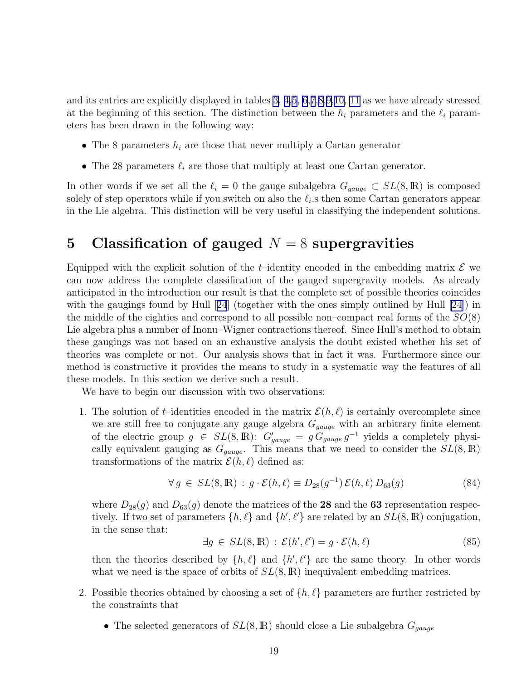<span id="page-19-0"></span>and its entries are explicitly displayed in tables [3](#page-32-0), [4,](#page-33-0)[5,](#page-34-0) [6](#page-35-0),[7](#page-36-0),[8,](#page-37-0)[9,](#page-38-0)[10,](#page-39-0) [11](#page-40-0) as we have already stressed at the beginning of this section. The distinction between the  $h_i$  parameters and the  $\ell_i$  parameters has been drawn in the following way:

- The 8 parameters  $h_i$  are those that never multiply a Cartan generator
- The 28 parameters  $\ell_i$  are those that multiply at least one Cartan generator.

In other words if we set all the  $\ell_i = 0$  the gauge subalgebra  $G_{gauge} \subset SL(8,\mathbb{R})$  is composed solely of step operators while if you switch on also the  $\ell_i$  s then some Cartan generators appear in the Lie algebra. This distinction will be very useful in classifying the independent solutions.

# 5 Classification of gauged  $N = 8$  supergravities

Equipped with the explicit solution of the t-identity encoded in the embedding matrix  $\mathcal E$  we can now address the complete classification of the gauged supergravity models. As already anticipated in the introduction our result is that the complete set of possible theories coincides withthe gaugings found by Hull [[24](#page-28-0)] (together with the ones simply outlined by Hull [\[24\]](#page-28-0)) in the middle of the eighties and correspond to all possible non–compact real forms of the  $SO(8)$ Lie algebra plus a number of Inonu–Wigner contractions thereof. Since Hull's method to obtain these gaugings was not based on an exhaustive analysis the doubt existed whether his set of theories was complete or not. Our analysis shows that in fact it was. Furthermore since our method is constructive it provides the means to study in a systematic way the features of all these models. In this section we derive such a result.

We have to begin our discussion with two observations:

1. The solution of t–identities encoded in the matrix  $\mathcal{E}(h, \ell)$  is certainly overcomplete since we are still free to conjugate any gauge algebra  $G_{gauge}$  with an arbitrary finite element of the electric group  $g \in SL(8,\mathbb{R})$ :  $G'_{gauge} = g G_{gauge} g^{-1}$  yields a completely physically equivalent gauging as  $G_{gauge}$ . This means that we need to consider the  $SL(8,\mathbb{R})$ transformations of the matrix  $\mathcal{E}(h, \ell)$  defined as:

$$
\forall g \in SL(8, \mathbb{R}) : g \cdot \mathcal{E}(h, \ell) \equiv D_{28}(g^{-1}) \mathcal{E}(h, \ell) D_{63}(g)
$$
\n(84)

where  $D_{28}(g)$  and  $D_{63}(g)$  denote the matrices of the 28 and the 63 representation respectively. If two set of parameters  $\{h, \ell\}$  and  $\{h', \ell'\}$  are related by an  $SL(8, \mathbb{R})$  conjugation, in the sense that:

$$
\exists g \in SL(8, \mathbb{R}) : \mathcal{E}(h', \ell') = g \cdot \mathcal{E}(h, \ell)
$$
\n(85)

then the theories described by  $\{h, \ell\}$  and  $\{h', \ell'\}$  are the same theory. In other words what we need is the space of orbits of  $SL(8,\mathbb{R})$  inequivalent embedding matrices.

- 2. Possible theories obtained by choosing a set of  $\{h, \ell\}$  parameters are further restricted by the constraints that
	- The selected generators of  $SL(8,\mathbb{R})$  should close a Lie subalgebra  $G_{gauge}$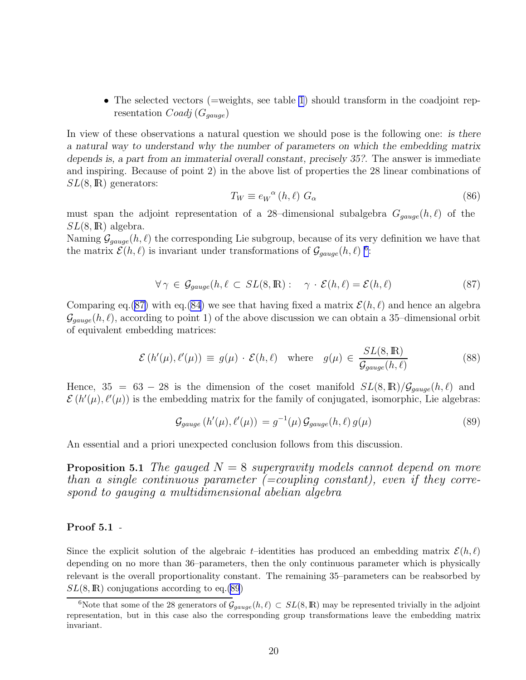<span id="page-20-0"></span>• The selected vectors (=weights, see table [1](#page-30-0)) should transform in the coadjoint representation  $Coadj(G_{gauge})$ 

In view of these observations a natural question we should pose is the following one: is there a natural way to understand why the number of parameters on which the embedding matrix depends is, a part from an immaterial overall constant, precisely 35?. The answer is immediate and inspiring. Because of point 2) in the above list of properties the 28 linear combinations of  $SL(8,\mathbb{R})$  generators:

$$
T_W \equiv e_W^{\alpha} (h, \ell) G_{\alpha} \tag{86}
$$

must span the adjoint representation of a 28-dimensional subalgebra  $G_{gauge}(h, \ell)$  of the  $SL(8,\mathbb{R})$  algebra.

Naming  $\mathcal{G}_{gauge}(h,\ell)$  the corresponding Lie subgroup, because of its very definition we have that the matrix  $\mathcal{E}(h,\ell)$  is invariant under transformations of  $\mathcal{G}_{gauge}(h,\ell)$ <sup>6</sup>:

$$
\forall \gamma \in \mathcal{G}_{gauge}(h, \ell \subset SL(8, \mathbb{R}):\ \gamma \cdot \mathcal{E}(h, \ell) = \mathcal{E}(h, \ell) \tag{87}
$$

Comparing eq.(87) with eq.[\(84\)](#page-19-0) we see that having fixed a matrix  $\mathcal{E}(h, \ell)$  and hence an algebra  $\mathcal{G}_{gauge}(h,\ell)$ , according to point 1) of the above discussion we can obtain a 35-dimensional orbit of equivalent embedding matrices:

$$
\mathcal{E}\left(h'(\mu), \ell'(\mu)\right) \equiv g(\mu) \cdot \mathcal{E}(h, \ell) \quad \text{where} \quad g(\mu) \in \frac{SL(8, \mathbb{R})}{\mathcal{G}_{gauge}(h, \ell)} \tag{88}
$$

Hence,  $35 = 63 - 28$  is the dimension of the coset manifold  $SL(8,\mathbb{R})/\mathcal{G}_{gauge}(h,\ell)$  and  $\mathcal{E}(h'(\mu), \ell'(\mu))$  is the embedding matrix for the family of conjugated, isomorphic, Lie algebras:

$$
\mathcal{G}_{gauge}\left(h'(\mu),\ell'(\mu)\right) = g^{-1}(\mu)\,\mathcal{G}_{gauge}(h,\ell)\,g(\mu) \tag{89}
$$

An essential and a priori unexpected conclusion follows from this discussion.

**Proposition 5.1** The gauged  $N = 8$  supergravity models cannot depend on more than a single continuous parameter  $(=coupling \ constant)$ , even if they correspond to gauging a multidimensional abelian algebra

### Proof 5.1 -

Since the explicit solution of the algebraic t–identities has produced an embedding matrix  $\mathcal{E}(h, \ell)$ depending on no more than 36–parameters, then the only continuous parameter which is physically relevant is the overall proportionality constant. The remaining 35–parameters can be reabsorbed by  $SL(8,\mathbb{R})$  conjugations according to eq.(89)

<sup>&</sup>lt;sup>6</sup>Note that some of the 28 generators of  $\mathcal{G}_{gauge}(h,\ell) \subset SL(8,\mathbb{R})$  may be represented trivially in the adjoint representation, but in this case also the corresponding group transformations leave the embedding matrix invariant.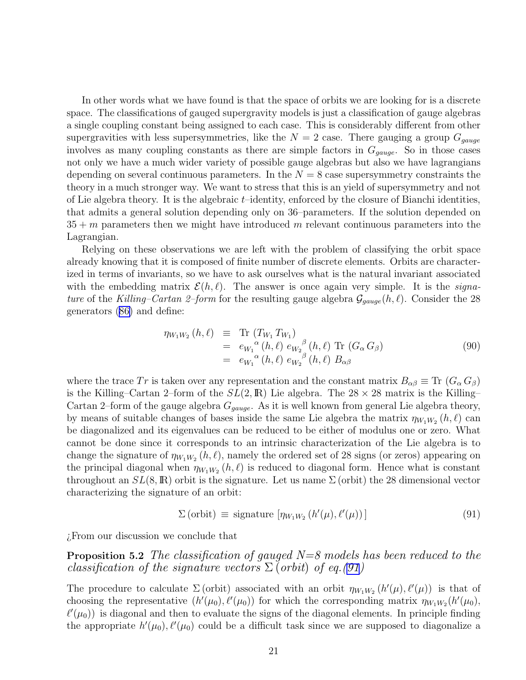In other words what we have found is that the space of orbits we are looking for is a discrete space. The classifications of gauged supergravity models is just a classification of gauge algebras a single coupling constant being assigned to each case. This is considerably different from other supergravities with less supersymmetries, like the  $N = 2$  case. There gauging a group  $G_{gauge}$ involves as many coupling constants as there are simple factors in  $G_{gauge}$ . So in those cases not only we have a much wider variety of possible gauge algebras but also we have lagrangians depending on several continuous parameters. In the  $N = 8$  case supersymmetry constraints the theory in a much stronger way. We want to stress that this is an yield of supersymmetry and not of Lie algebra theory. It is the algebraic  $t$ –identity, enforced by the closure of Bianchi identities, that admits a general solution depending only on 36–parameters. If the solution depended on  $35 + m$  parameters then we might have introduced m relevant continuous parameters into the Lagrangian.

Relying on these observations we are left with the problem of classifying the orbit space already knowing that it is composed of finite number of discrete elements. Orbits are characterized in terms of invariants, so we have to ask ourselves what is the natural invariant associated with the embedding matrix  $\mathcal{E}(h, \ell)$ . The answer is once again very simple. It is the *signa*ture of the Killing–Cartan 2–form for the resulting gauge algebra  $\mathcal{G}_{gauge}(h, \ell)$ . Consider the 28 generators([86\)](#page-20-0) and define:

$$
\eta_{W_1W_2}(h,\ell) \equiv \text{Tr} (T_{W_1} T_{W_1})
$$
  
\n
$$
= e_{W_1}^{\alpha}(h,\ell) e_{W_2}^{\beta}(h,\ell) \text{Tr} (G_{\alpha} G_{\beta})
$$
  
\n
$$
= e_{W_1}^{\alpha}(h,\ell) e_{W_2}^{\beta}(h,\ell) B_{\alpha\beta}
$$
\n(90)

where the trace Tr is taken over any representation and the constant matrix  $B_{\alpha\beta} \equiv \text{Tr} (G_{\alpha} G_{\beta})$ is the Killing–Cartan 2–form of the  $SL(2,\mathbb{R})$  Lie algebra. The  $28 \times 28$  matrix is the Killing– Cartan 2–form of the gauge algebra  $G_{gauge}$ . As it is well known from general Lie algebra theory, by means of suitable changes of bases inside the same Lie algebra the matrix  $\eta_{W_1W_2}(h, \ell)$  can be diagonalized and its eigenvalues can be reduced to be either of modulus one or zero. What cannot be done since it corresponds to an intrinsic characterization of the Lie algebra is to change the signature of  $\eta_{W_1W_2}(h, \ell)$ , namely the ordered set of 28 signs (or zeros) appearing on the principal diagonal when  $\eta_{W_1W_2}(h, \ell)$  is reduced to diagonal form. Hence what is constant throughout an  $SL(8,\mathbb{R})$  orbit is the signature. Let us name  $\Sigma$  (orbit) the 28 dimensional vector characterizing the signature of an orbit:

$$
\Sigma \left( \text{orbit} \right) \equiv \text{ signature } [\eta_{W_1 W_2} \left( h'(\mu), \ell'(\mu) \right)] \tag{91}
$$

¿From our discussion we conclude that

**Proposition 5.2** The classification of gauged  $N=8$  models has been reduced to the classification of the signature vectors  $\Sigma$  (orbit) of eq.(91)

The procedure to calculate  $\Sigma$  (orbit) associated with an orbit  $\eta_{W_1W_2}(h'(\mu), \ell'(\mu))$  is that of choosing the representative  $(h'(\mu_0), \ell'(\mu_0))$  for which the corresponding matrix  $\eta_{W_1W_2}(h'(\mu_0),$  $\ell'(\mu_0)$ ) is diagonal and then to evaluate the signs of the diagonal elements. In principle finding the appropriate  $h'(\mu_0), \ell'(\mu_0)$  could be a difficult task since we are supposed to diagonalize a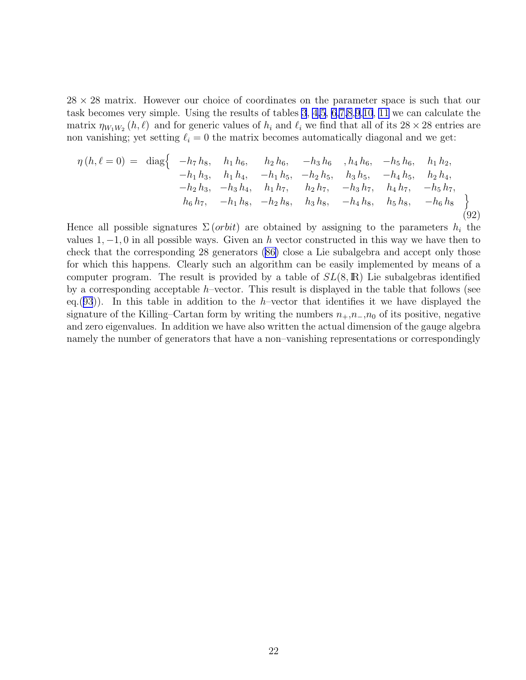$28 \times 28$  matrix. However our choice of coordinates on the parameter space is such that our task becomes very simple. Using the results of tables [3](#page-32-0), [4](#page-33-0)[,5](#page-34-0), [6](#page-35-0)[,7](#page-36-0)[,8](#page-37-0),[9](#page-38-0),[10](#page-39-0), [11](#page-40-0) we can calculate the matrix  $\eta_{W_1W_2}(h,\ell)$  and for generic values of  $h_i$  and  $\ell_i$  we find that all of its  $28 \times 28$  entries are non vanishing; yet setting  $\ell_i = 0$  the matrix becomes automatically diagonal and we get:

$$
\eta(h,\ell=0) = \text{diag}\left\{\begin{array}{ccc} -h_7 h_8, & h_1 h_6, & h_2 h_6, & -h_3 h_6, & h_4 h_6, & -h_5 h_6, & h_1 h_2, \\ -h_1 h_3, & h_1 h_4, & -h_1 h_5, & -h_2 h_5, & h_3 h_5, & -h_4 h_5, & h_2 h_4, \\ -h_2 h_3, & -h_3 h_4, & h_1 h_7, & h_2 h_7, & -h_3 h_7, & h_4 h_7, & -h_5 h_7, \\ h_6 h_7, & -h_1 h_8, & -h_2 h_8, & h_3 h_8, & -h_4 h_8, & h_5 h_8, & -h_6 h_8 \end{array}\right\}
$$
\n(92)

Hence all possible signatures  $\Sigma$  (*orbit*) are obtained by assigning to the parameters  $h_i$  the values  $1, -1, 0$  in all possible ways. Given an h vector constructed in this way we have then to check that the corresponding 28 generators([86\)](#page-20-0) close a Lie subalgebra and accept only those for which this happens. Clearly such an algorithm can be easily implemented by means of a computer program. The result is provided by a table of  $SL(8,\mathbb{R})$  Lie subalgebras identified by a corresponding acceptable  $h$ –vector. This result is displayed in the table that follows (see eq.([93](#page-23-0))). In this table in addition to the h–vector that identifies it we have displayed the signature of the Killing–Cartan form by writing the numbers  $n_+,n_-,n_0$  of its positive, negative and zero eigenvalues. In addition we have also written the actual dimension of the gauge algebra namely the number of generators that have a non–vanishing representations or correspondingly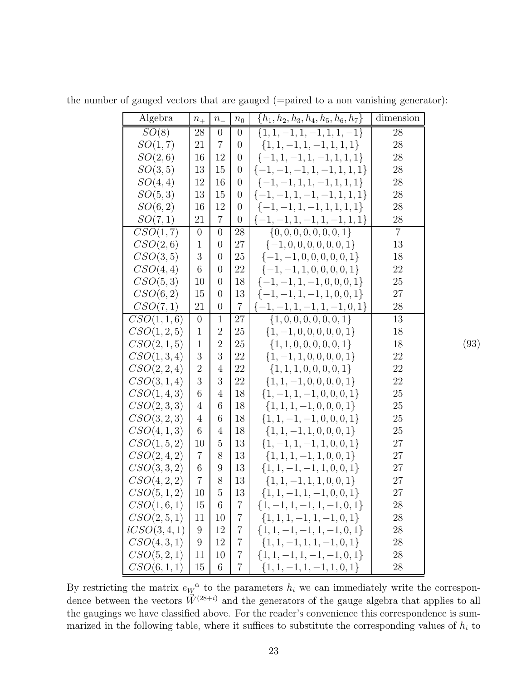| Algebra                  | $\mathfrak{n}_+$ | $\,n_-$        | $n_0$            | $\{h_1, h_2, h_3, h_4, h_5, h_6, h_7\}$ | dimension      |
|--------------------------|------------------|----------------|------------------|-----------------------------------------|----------------|
| SO(8)                    | 28               | $\overline{0}$ | $\boldsymbol{0}$ | $\{1, 1, -1, 1, -1, 1, 1, -1\}$         | 28             |
| SO(1,7)                  | 21               | $\overline{7}$ | 0                | $\{1, 1, -1, 1, -1, 1, 1, 1\}$          | 28             |
| SO(2,6)                  | 16               | 12             | $\theta$         | $\{-1, 1, -1, 1, -1, 1, 1, 1\}$         | 28             |
| SO(3,5)                  | 13               | 15             | 0                | $\{-1, -1, -1, 1, -1, 1, 1, 1\}$        | 28             |
| SO(4,4)                  | 12               | 16             | $\boldsymbol{0}$ | $\{-1, -1, 1, 1, -1, 1, 1, 1\}$         | 28             |
| SO(5,3)                  | 13               | 15             | $\overline{0}$   | $\{-1, -1, 1, -1, -1, 1, 1, 1\}$        | 28             |
| SO(6,2)                  | 16               | 12             | 0                | $\{-1, -1, 1, -1, 1, 1, 1, 1\}$         | 28             |
| SO(7,1)                  | 21               | $\overline{7}$ | $\overline{0}$   | $\{-1, -1, 1, -1, 1, -1, 1, 1\}$        | 28             |
| CSO(1,7)                 | $\overline{0}$   | $\overline{0}$ | 28               | $\{0, 0, 0, 0, 0, 0, 0, 1\}$            | $\overline{7}$ |
| CSO(2,6)                 | $\mathbf{1}$     | $\overline{0}$ | 27               | $\{-1, 0, 0, 0, 0, 0, 0, 1\}$           | 13             |
| CSO(3,5)                 | 3                | $\overline{0}$ | 25               | $\{-1, -1, 0, 0, 0, 0, 0, 1\}$          | 18             |
| CSO(4,4)                 | 6                | $\overline{0}$ | 22               | $\{-1, -1, 1, 0, 0, 0, 0, 1\}$          | 22             |
| CSO(5,3)                 | 10               | $\overline{0}$ | 18               | $\{-1, -1, 1, -1, 0, 0, 0, 1\}$         | 25             |
| CSO(6,2)                 | 15               | $\overline{0}$ | 13               | $\{-1, -1, 1, -1, 1, 0, 0, 1\}$         | 27             |
| CSO(7,1)                 | 21               | $\overline{0}$ | $\overline{7}$   | $\{-1, -1, 1, -1, 1, -1, 0, 1\}$        | 28             |
| CSO(1, 1, 6)             | $\boldsymbol{0}$ | $\mathbf{1}$   | 27               | $\{1,0,0,0,0,0,0,1\}$                   | 13             |
| CSO(1, 2, 5)             | $\mathbf{1}$     | $\overline{2}$ | 25               | $\{1, -1, 0, 0, 0, 0, 0, 1\}$           | 18             |
| CSO(2, 1, 5)             | $\mathbf{1}$     | $\overline{2}$ | 25               | $\{1, 1, 0, 0, 0, 0, 0, 1\}$            | 18             |
| CSO(1, 3, 4)             | 3                | 3              | 22               | $\{1, -1, 1, 0, 0, 0, 0, 1\}$           | 22             |
| CSO(2, 2, 4)             | $\overline{2}$   | 4              | 22               | $\{1, 1, 1, 0, 0, 0, 0, 1\}$            | 22             |
| CSO(3, 1, 4)             | 3                | 3              | 22               | $\{1, 1, -1, 0, 0, 0, 0, 1\}$           | 22             |
| CSO(1, 4, 3)             | 6                | 4              | 18               | $\{1, -1, 1, -1, 0, 0, 0, 1\}$          | 25             |
| CSO(2,3,3)               | 4                | 6              | 18               | $\{1, 1, 1, -1, 0, 0, 0, 1\}$           | 25             |
| CSO(3, 2, 3)             | 4                | 6              | 18               | $\{1, 1, -1, -1, 0, 0, 0, 1\}$          | 25             |
| CSO(4, 1, 3)             | 6                | $\overline{4}$ | 18               | $\{1, 1, -1, 1, 0, 0, 0, 1\}$           | 25             |
| CSO(1, 5, 2)             | 10               | 5              | 13               | $\{1, -1, 1, -1, 1, 0, 0, 1\}$          | 27             |
| CSO(2, 4, 2)             | $\overline{7}$   | 8              | 13               | $\{1, 1, 1, -1, 1, 0, 0, 1\}$           | 27             |
| CSO(3, 3, 2)             | 6                | 9              | 13               | $\{1, 1, -1, -1, 1, 0, 0, 1\}$          | 27             |
| CSO(4, 2, 2)             | 7                | 8              | 13               | $\{1, 1, -1, 1, 1, 0, 0, 1\}$           | 27             |
| CSO(5, 1, 2)             | $10\,$           | $\overline{5}$ | 13               | $\{1, 1, -1, 1, -1, 0, 0, 1\}$          | 27             |
| CSO(1,6,1)               | 15               | 6              | 7                | $\{1, -1, 1, -1, 1, -1, 0, 1\}$         | 28             |
| CSO(2, 5, 1)             | 11               | 10             | $7\phantom{.}$   | $\{1, 1, 1, -1, 1, -1, 0, 1\}$          | 28             |
| $\textit{LCSO}(3, 4, 1)$ | 9                | 12             | $7\phantom{.}$   | $\{1, 1, -1, -1, 1, -1, 0, 1\}$         | 28             |
| CSO(4, 3, 1)             | 9                | 12             | $\overline{7}$   | $\{1, 1, -1, 1, 1, -1, 0, 1\}$          | 28             |
| CSO(5, 2, 1)             | 11               | 10             | $\overline{7}$   | $\{1, 1, -1, 1, -1, -1, 0, 1\}$         | 28             |
| CSO(6, 1, 1)             | 15               | 6              | $\overline{7}$   | $\{1, 1, -1, 1, -1, 1, 0, 1\}$          | 28             |

(93)

<span id="page-23-0"></span>the number of gauged vectors that are gauged (=paired to a non vanishing generator):

By restricting the matrix  $e_W^{\alpha}$  to the parameters  $h_i$  we can immediately write the correspondence between the vectors  $\vec{W}^{(28+i)}$  and the generators of the gauge algebra that applies to all the gaugings we have classified above. For the reader's convenience this correspondence is summarized in the following table, where it suffices to substitute the corresponding values of  $h_i$  to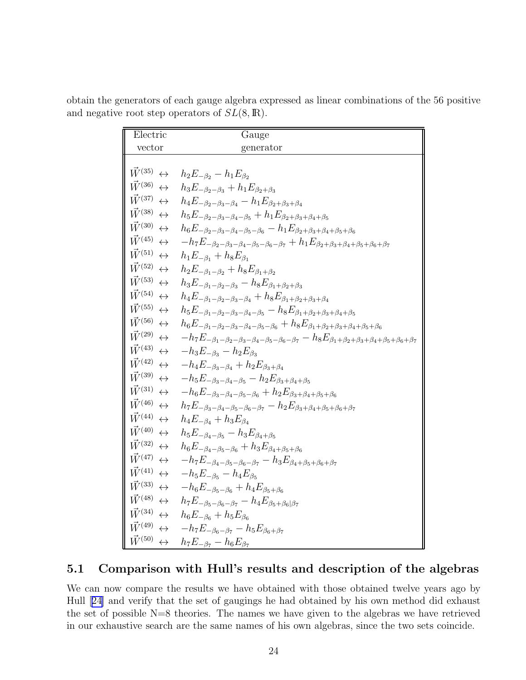| Electric                               | Gauge                                                                                                                             |
|----------------------------------------|-----------------------------------------------------------------------------------------------------------------------------------|
| vector                                 | generator                                                                                                                         |
|                                        |                                                                                                                                   |
| $\vec{W}^{(35)} \leftrightarrow$       | $h_2E_{-\beta_2}-h_1E_{\beta_2}$                                                                                                  |
| $\vec{W}^{(36)} \leftrightarrow$       | $h_3E_{-\beta_2-\beta_3}+h_1E_{\beta_2+\beta_3}$                                                                                  |
| $\vec{W}^{(37)} \leftrightarrow$       | $h_4E_{-\beta_2-\beta_3-\beta_4} - h_1E_{\beta_2+\beta_3+\beta_4}$                                                                |
| $\vec{W}^{(38)} \leftrightarrow$       | $h_5E_{-\beta_2-\beta_3-\beta_4-\beta_5}+h_1E_{\beta_2+\beta_3+\beta_4+\beta_5}$                                                  |
| $\vec{W}^{(30)} \leftrightarrow$       | $h_6E_{-\beta_2-\beta_3-\beta_4-\beta_5-\beta_6} - h_1E_{\beta_2+\beta_3+\beta_4+\beta_5+\beta_6}$                                |
| $\vec{W}^{(45)} \leftrightarrow$       | $-h_7E_{-\beta_2-\beta_3-\beta_4-\beta_5-\beta_6-\beta_7}+h_1E_{\beta_2+\beta_3+\beta_4+\beta_5+\beta_6+\beta_7}$                 |
| $\vec{W}^{(51)} \leftrightarrow$       | $h_1E_{-\beta_1}+h_8E_{\beta_1}$                                                                                                  |
| $\vec{W}^{(52)} \leftrightarrow$       | $h_2E_{-\beta_1-\beta_2}+h_8E_{\beta_1+\beta_2}$                                                                                  |
| $\vec{W}^{(53)} \leftrightarrow$       | $h_3E_{-\beta_1-\beta_2-\beta_3}-h_8E_{\beta_1+\beta_2+\beta_3}$                                                                  |
| $\vec{W}^{(54)} \leftrightarrow$       | $h_4E_{-\beta_1-\beta_2-\beta_3-\beta_4}+h_8E_{\beta_1+\beta_2+\beta_3+\beta_4}$                                                  |
| $\vec{W}^{(55)} \leftrightarrow$       | $h_5E_{-\beta_1-\beta_2-\beta_3-\beta_4-\beta_5} - h_8E_{\beta_1+\beta_2+\beta_3+\beta_4+\beta_5}$                                |
| $\vec{W}^{(56)} \leftrightarrow$       | $h_6E_{-\beta_1-\beta_2-\beta_3-\beta_4-\beta_5-\beta_6}+h_8E_{\beta_1+\beta_2+\beta_3+\beta_4+\beta_5+\beta_6}$                  |
| $\vec{W}^{(29)}\,\leftrightarrow$      | $-h_7E_{-\beta_1-\beta_2-\beta_3-\beta_4-\beta_5-\beta_6-\beta_7}-h_8E_{\beta_1+\beta_2+\beta_3+\beta_4+\beta_5+\beta_6+\beta_7}$ |
| $\vec{W}^{(43)} \leftrightarrow$       | $-h_3E_{-\beta_3}-h_2E_{\beta_3}$                                                                                                 |
| $\vec{W}^{(42)} \leftrightarrow$       | $-h_4E_{-\beta_3-\beta_4}+h_2E_{\beta_3+\beta_4}$                                                                                 |
| $\vec{W}^{(39)} \leftrightarrow$       | $-h_5E_{-\beta_3-\beta_4-\beta_5}-h_2E_{\beta_3+\beta_4+\beta_5}$                                                                 |
| $\vec{W}^{(31)} \leftrightarrow$       | $-h_6E_{-\beta_3-\beta_4-\beta_5-\beta_6}+h_2E_{\beta_3+\beta_4+\beta_5+\beta_6}$                                                 |
| $\vec{W}^{(46)} \leftrightarrow$       | $h_7E_{-\beta_3-\beta_4-\beta_5-\beta_6-\beta_7}-h_2E_{\beta_3+\beta_4+\beta_5+\beta_6+\beta_7}$                                  |
| $\vec{W}^{(44)} \leftrightarrow$       | $h_4E_{-\beta_4}+h_3E_{\beta_4}$                                                                                                  |
| $\vec{W}^{(40)} \leftrightarrow$       | $h_5E_{-\beta_4-\beta_5} - h_3E_{\beta_4+\beta_5}$                                                                                |
| $\vec{W}^{(32)} \leftrightarrow$       | $h_6E_{-\beta_4-\beta_5-\beta_6}+h_3E_{\beta_4+\beta_5+\beta_6}$                                                                  |
| $\vec{W}^{(47)} \leftrightarrow$       | $-h_7E_{-\beta_4-\beta_5-\beta_6-\beta_7}-h_3E_{\beta_4+\beta_5+\beta_6+\beta_7}$                                                 |
| $\vec{W}^{(41)} \leftrightarrow$       | $-h_5E_{-\beta_5}-h_4E_{\beta_5}$                                                                                                 |
| $\vec{W}^{(33)} \leftrightarrow$       | $-h_6E_{-85-86}+h_4E_{85+86}$                                                                                                     |
| $\vec{W}^{(48)} \leftrightarrow$       | $h_7E_{-\beta_5-\beta_6-\beta_7}-h_4E_{\beta_5+\beta_6 \beta_7}$                                                                  |
| $\vec{W}^{(34)}\,\leftrightarrow$      | $h_6E_{-\beta_6}+h_5E_{\beta_6}$                                                                                                  |
| $\vec{W}^{(49)} \leftrightarrow$       | $-h_7E_{-\beta_6-\beta_7}-h_5E_{\beta_6+\beta_7}$                                                                                 |
| $\vec{W}^{(50)} \, \leftrightarrow \,$ | $h_7E_{-\beta_7}-h_6E_{\beta_7}$                                                                                                  |

obtain the generators of each gauge algebra expressed as linear combinations of the 56 positive and negative root step operators of  $SL(8,\mathbb{R})$ .

### 5.1 Comparison with Hull's results and description of the algebras

We can now compare the results we have obtained with those obtained twelve years ago by Hull[[24\]](#page-28-0) and verify that the set of gaugings he had obtained by his own method did exhaust the set of possible N=8 theories. The names we have given to the algebras we have retrieved in our exhaustive search are the same names of his own algebras, since the two sets coincide.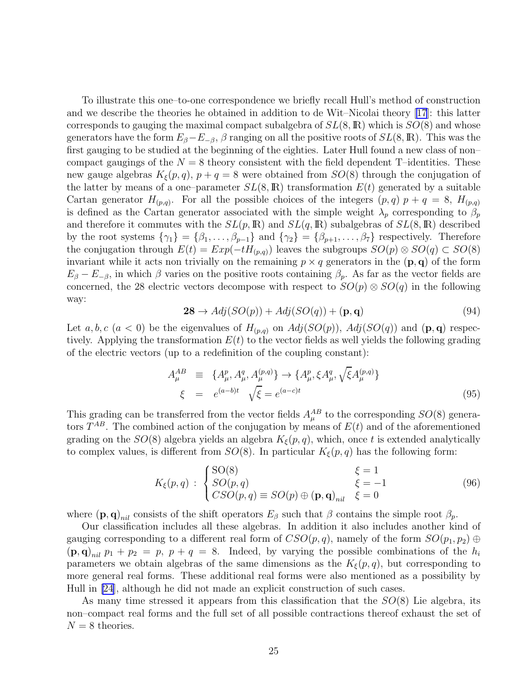To illustrate this one–to-one correspondence we briefly recall Hull's method of construction and we describe the theories he obtained in addition to de Wit–Nicolai theory [\[17](#page-28-0)]: this latter corresponds to gauging the maximal compact subalgebra of  $SL(8,\mathbb{R})$  which is  $SO(8)$  and whose generators have the form  $E_{\beta}-E_{-\beta}$ ,  $\beta$  ranging on all the positive roots of  $SL(8,\mathbb{R})$ . This was the first gauging to be studied at the beginning of the eighties. Later Hull found a new class of non– compact gaugings of the  $N = 8$  theory consistent with the field dependent T-identities. These new gauge algebras  $K_{\xi}(p,q)$ ,  $p+q=8$  were obtained from  $SO(8)$  through the conjugation of the latter by means of a one-parameter  $SL(8,\mathbb{R})$  transformation  $E(t)$  generated by a suitable Cartan generator  $H_{(p,q)}$ . For all the possible choices of the integers  $(p,q)$   $p + q = 8$ ,  $H_{(p,q)}$ is defined as the Cartan generator associated with the simple weight  $\lambda_p$  corresponding to  $\beta_p$ and therefore it commutes with the  $SL(p,\mathbb{R})$  and  $SL(q,\mathbb{R})$  subalgebras of  $SL(8,\mathbb{R})$  described by the root systems  $\{\gamma_1\} = \{\beta_1, \ldots, \beta_{p-1}\}\$  and  $\{\gamma_2\} = \{\beta_{p+1}, \ldots, \beta_7\}\$  respectively. Therefore the conjugation through  $E(t) = Exp(-tH_{(p,q)})$  leaves the subgroups  $SO(p) \otimes SO(q) \subset SO(8)$ invariant while it acts non trivially on the remaining  $p \times q$  generators in the  $(\mathbf{p}, \mathbf{q})$  of the form  $E_{\beta} - E_{-\beta}$ , in which  $\beta$  varies on the positive roots containing  $\beta_p$ . As far as the vector fields are concerned, the 28 electric vectors decompose with respect to  $SO(p) \otimes SO(q)$  in the following way:

$$
28 \to Adj(SO(p)) + Adj(SO(q)) + (\mathbf{p}, \mathbf{q})
$$
\n(94)

Let a, b, c (a < 0) be the eigenvalues of  $H_{(p,q)}$  on  $Adj(SO(p))$ ,  $Adj(SO(q))$  and  $(p,q)$  respectively. Applying the transformation  $E(t)$  to the vector fields as well yields the following grading of the electric vectors (up to a redefinition of the coupling constant):

$$
A_{\mu}^{AB} \equiv \{A_{\mu}^{p}, A_{\mu}^{q}, A_{\mu}^{(p,q)}\} \to \{A_{\mu}^{p}, \xi A_{\mu}^{q}, \sqrt{\xi}A_{\mu}^{(p,q)}\}
$$
  

$$
\xi = e^{(a-b)t} \sqrt{\xi} = e^{(a-c)t}
$$
 (95)

This grading can be transferred from the vector fields  $A_{\mu}^{AB}$  to the corresponding  $SO(8)$  generators  $T^{AB}$ . The combined action of the conjugation by means of  $E(t)$  and of the aforementioned grading on the  $SO(8)$  algebra yields an algebra  $K_{\xi}(p,q)$ , which, once t is extended analytically to complex values, is different from  $SO(8)$ . In particular  $K_{\xi}(p,q)$  has the following form:

$$
K_{\xi}(p,q) : \begin{cases} \text{SO}(8) & \xi = 1 \\ SO(p,q) & \xi = -1 \\ CSO(p,q) \equiv SO(p) \oplus (\mathbf{p}, \mathbf{q})_{nil} & \xi = 0 \end{cases}
$$
(96)

where  $(\mathbf{p}, \mathbf{q})_{nil}$  consists of the shift operators  $E_\beta$  such that  $\beta$  contains the simple root  $\beta_p$ .

Our classification includes all these algebras. In addition it also includes another kind of gauging corresponding to a different real form of  $CSO(p, q)$ , namely of the form  $SO(p_1, p_2) \oplus$  $(\mathbf{p}, \mathbf{q})_{nil}$   $p_1 + p_2 = p$ ,  $p + q = 8$ . Indeed, by varying the possible combinations of the  $h_i$ parameters we obtain algebras of the same dimensions as the  $K_{\xi}(p,q)$ , but corresponding to more general real forms. These additional real forms were also mentioned as a possibility by Hull in [\[24](#page-28-0)], although he did not made an explicit construction of such cases.

As many time stressed it appears from this classification that the  $SO(8)$  Lie algebra, its non–compact real forms and the full set of all possible contractions thereof exhaust the set of  $N = 8$  theories.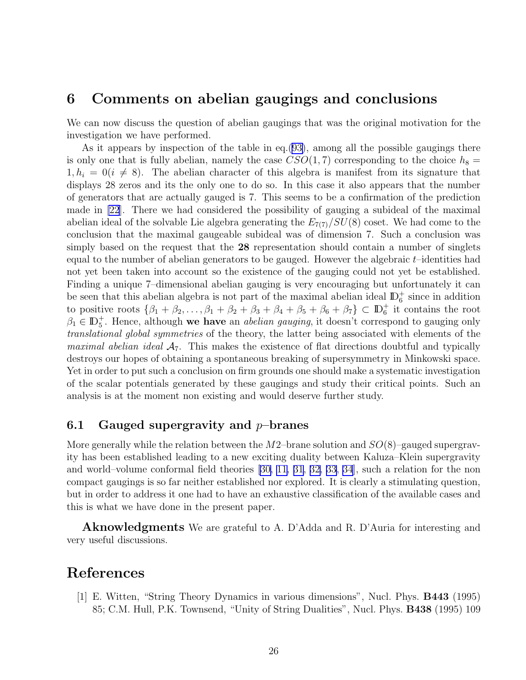### <span id="page-26-0"></span>6 Comments on abelian gaugings and conclusions

We can now discuss the question of abelian gaugings that was the original motivation for the investigation we have performed.

As it appears by inspection of the table in eq.[\(93\)](#page-23-0), among all the possible gaugings there is only one that is fully abelian, namely the case  $CSO(1, 7)$  corresponding to the choice  $h_8 =$  $1, h_i = 0(i \neq 8)$ . The abelian character of this algebra is manifest from its signature that displays 28 zeros and its the only one to do so. In this case it also appears that the number of generators that are actually gauged is 7. This seems to be a confirmation of the prediction made in [\[22](#page-28-0)]. There we had considered the possibility of gauging a subideal of the maximal abelian ideal of the solvable Lie algebra generating the  $E_{7(7)}/SU(8)$  coset. We had come to the conclusion that the maximal gaugeable subideal was of dimension 7. Such a conclusion was simply based on the request that the 28 representation should contain a number of singlets equal to the number of abelian generators to be gauged. However the algebraic  $t$ –identities had not yet been taken into account so the existence of the gauging could not yet be established. Finding a unique 7–dimensional abelian gauging is very encouraging but unfortunately it can be seen that this abelian algebra is not part of the maximal abelian ideal  $\mathbb{D}^+_6$  since in addition to positive roots  $\{\beta_1 + \beta_2, \dots, \beta_1 + \beta_2 + \beta_3 + \beta_4 + \beta_5 + \beta_6 + \beta_7\} \subset \mathbb{D}_6^+$  it contains the root  $\beta_1 \in \mathbb{D}_5^+$ . Hence, although we have an *abelian gauging*, it doesn't correspond to gauging only translational global symmetries of the theory, the latter being associated with elements of the *maximal abelian ideal*  $A_7$ . This makes the existence of flat directions doubtful and typically destroys our hopes of obtaining a spontaneous breaking of supersymmetry in Minkowski space. Yet in order to put such a conclusion on firm grounds one should make a systematic investigation of the scalar potentials generated by these gaugings and study their critical points. Such an analysis is at the moment non existing and would deserve further study.

### 6.1 Gauged supergravity and  $p$ -branes

More generally while the relation between the  $M2$ –brane solution and  $SO(8)$ –gauged supergravity has been established leading to a new exciting duality between Kaluza–Klein supergravity and world–volume conformal field theories [\[30,](#page-29-0) [11](#page-27-0), [31](#page-29-0), [32, 33, 34\]](#page-29-0), such a relation for the non compact gaugings is so far neither established nor explored. It is clearly a stimulating question, but in order to address it one had to have an exhaustive classification of the available cases and this is what we have done in the present paper.

**Aknowledgments** We are grateful to A. D'Adda and R. D'Auria for interesting and very useful discussions.

# References

[1] E. Witten, "String Theory Dynamics in various dimensions", Nucl. Phys. B443 (1995) 85; C.M. Hull, P.K. Townsend, "Unity of String Dualities", Nucl. Phys. B438 (1995) 109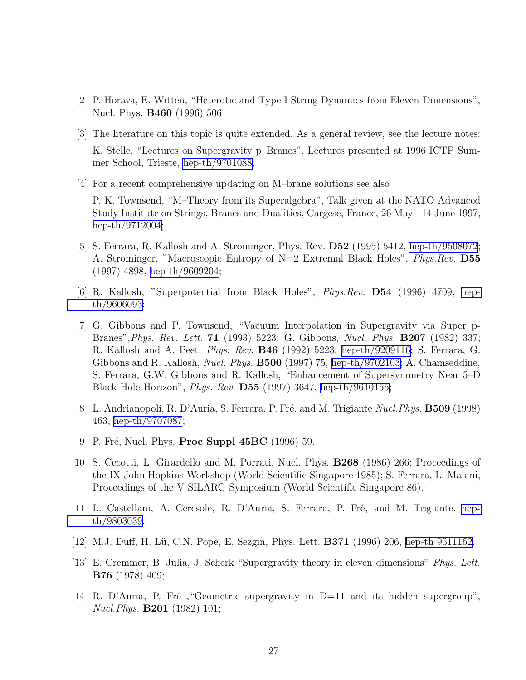- <span id="page-27-0"></span>[2] P. Horava, E. Witten, "Heterotic and Type I String Dynamics from Eleven Dimensions", Nucl. Phys. B460 (1996) 506
- [3] The literature on this topic is quite extended. As a general review, see the lecture notes: K. Stelle, "Lectures on Supergravity p–Branes", Lectures presented at 1996 ICTP Summer School, Trieste, [hep-th/9701088;](http://arxiv.org/abs/hep-th/9701088)
- [4] For a recent comprehensive updating on M–brane solutions see also

P. K. Townsend, "M–Theory from its Superalgebra", Talk given at the NATO Advanced Study Institute on Strings, Branes and Dualities, Cargese, France, 26 May - 14 June 1997, [hep-th/9712004;](http://arxiv.org/abs/hep-th/9712004)

- [5] S. Ferrara, R. Kallosh and A. Strominger, Phys. Rev. D52 (1995) 5412, [hep-th/9508072](http://arxiv.org/abs/hep-th/9508072); A. Strominger, "Macroscopic Entropy of N=2 Extremal Black Holes", *Phys.Rev.* D55 (1997) 4898, [hep-th/9609204;](http://arxiv.org/abs/hep-th/9609204)
- [6] R. Kallosh, "Superpotential from Black Holes", Phys.Rev. D54 (1996) 4709, [hep](http://arxiv.org/abs/hep-th/9606093)[th/9606093;](http://arxiv.org/abs/hep-th/9606093)
- [7] G. Gibbons and P. Townsend, "Vacuum Interpolation in Supergravity via Super p-Branes",Phys. Rev. Lett. 71 (1993) 5223; G. Gibbons, Nucl. Phys. B207 (1982) 337; R. Kallosh and A. Peet, Phys. Rev. B46 (1992) 5223, [hep-th/9209116;](http://arxiv.org/abs/hep-th/9209116) S. Ferrara, G. Gibbons and R. Kallosh, Nucl. Phys. B500 (1997) 75, [hep-th/9702103;](http://arxiv.org/abs/hep-th/9702103) A. Chamseddine, S. Ferrara, G.W. Gibbons and R. Kallosh, "Enhancement of Supersymmetry Near 5–D Black Hole Horizon", Phys. Rev. D55 (1997) 3647, [hep-th/9610155](http://arxiv.org/abs/hep-th/9610155);
- [8] L. Andrianopoli, R. D'Auria, S. Ferrara, P. Fré, and M. Trigiante Nucl. Phys. **B509** (1998) 463, [hep-th/9707087](http://arxiv.org/abs/hep-th/9707087);
- [9] P. Fré, Nucl. Phys. **Proc Suppl 45BC** (1996) 59.
- [10] S. Cecotti, L. Girardello and M. Porrati, Nucl. Phys. B268 (1986) 266; Proceedings of the IX John Hopkins Workshop (World Scientific Singapore 1985); S. Ferrara, L. Maiani, Proceedings of the V SILARG Symposium (World Scientific Singapore 86).
- [11] L. Castellani, A. Ceresole, R. D'Auria, S. Ferrara, P. Fré, and M. Trigiante. [hep](http://arxiv.org/abs/hep-th/9803039)[th/9803039.](http://arxiv.org/abs/hep-th/9803039)
- [12] M.J. Duff, H. Lü, C.N. Pope, E. Sezgin, Phys. Lett. **B371** (1996) 206, [hep-th 9511162](http://arxiv.org/abs/hep-th/9511162).
- [13] E. Cremmer, B. Julia, J. Scherk "Supergravity theory in eleven dimensions" Phys. Lett. B76 (1978) 409;
- [14] R. D'Auria, P. Fré, "Geometric supergravity in  $D=11$  and its hidden supergroup", Nucl.Phys. B201 (1982) 101;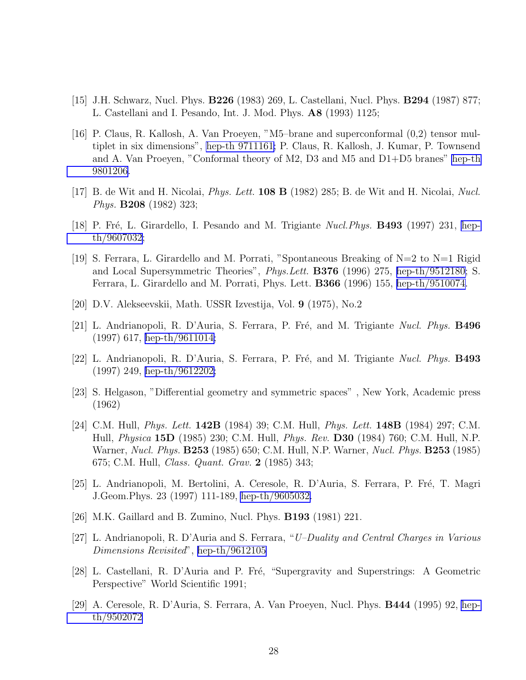- <span id="page-28-0"></span>[15] J.H. Schwarz, Nucl. Phys. B226 (1983) 269, L. Castellani, Nucl. Phys. B294 (1987) 877; L. Castellani and I. Pesando, Int. J. Mod. Phys. A8 (1993) 1125;
- [16] P. Claus, R. Kallosh, A. Van Proeyen, "M5–brane and superconformal (0,2) tensor multiplet in six dimensions", [hep-th 9711161;](http://arxiv.org/abs/hep-th/9711161) P. Claus, R. Kallosh, J. Kumar, P. Townsend and A. Van Proeyen, "Conformal theory of M2, D3 and M5 and D1+D5 branes" [hep-th](http://arxiv.org/abs/hep-th/9801206) [9801206.](http://arxiv.org/abs/hep-th/9801206)
- $[17]$  B. de Wit and H. Nicolai, *Phys. Lett.* **108 B** (1982) 285; B. de Wit and H. Nicolai, *Nucl.* Phys. B208 (1982) 323;
- [18] P. Fré, L. Girardello, I. Pesando and M. Trigiante *Nucl.Phys.* **B493** (1997) 231, [hep](http://arxiv.org/abs/hep-th/9607032)[th/9607032;](http://arxiv.org/abs/hep-th/9607032)
- [19] S. Ferrara, L. Girardello and M. Porrati, "Spontaneous Breaking of  $N=2$  to  $N=1$  Rigid and Local Supersymmetric Theories", Phys.Lett. B376 (1996) 275, [hep-th/9512180;](http://arxiv.org/abs/hep-th/9512180) S. Ferrara, L. Girardello and M. Porrati, Phys. Lett. B366 (1996) 155, [hep-th/9510074.](http://arxiv.org/abs/hep-th/9510074)
- [20] D.V. Alekseevskii, Math. USSR Izvestija, Vol. 9 (1975), No.2
- [21] L. Andrianopoli, R. D'Auria, S. Ferrara, P. Fré, and M. Trigiante Nucl. Phys. B496 (1997) 617, [hep-th/9611014;](http://arxiv.org/abs/hep-th/9611014)
- [22] L. Andrianopoli, R. D'Auria, S. Ferrara, P. Fré, and M. Trigiante Nucl. Phys. **B493** (1997) 249, [hep-th/9612202;](http://arxiv.org/abs/hep-th/9612202)
- [23] S. Helgason, "Differential geometry and symmetric spaces" , New York, Academic press (1962)
- [24] C.M. Hull, Phys. Lett. 142B (1984) 39; C.M. Hull, Phys. Lett. 148B (1984) 297; C.M. Hull, Physica 15D (1985) 230; C.M. Hull, Phys. Rev. D30 (1984) 760; C.M. Hull, N.P. Warner, *Nucl. Phys.* **B253** (1985) 650; C.M. Hull, N.P. Warner, *Nucl. Phys.* **B253** (1985) 675; C.M. Hull, Class. Quant. Grav. 2 (1985) 343;
- [25] L. Andrianopoli, M. Bertolini, A. Ceresole, R. D'Auria, S. Ferrara, P. Fré, T. Magri J.Geom.Phys. 23 (1997) 111-189, [hep-th/9605032.](http://arxiv.org/abs/hep-th/9605032)
- [26] M.K. Gaillard and B. Zumino, Nucl. Phys. B193 (1981) 221.
- [27] L. Andrianopoli, R. D'Auria and S. Ferrara, "U–Duality and Central Charges in Various Dimensions Revisited", [hep-th/9612105](http://arxiv.org/abs/hep-th/9612105)
- [28] L. Castellani, R. D'Auria and P. Fré, "Supergravity and Superstrings: A Geometric Perspective" World Scientific 1991;
- [29] A. Ceresole, R. D'Auria, S. Ferrara, A. Van Proeyen, Nucl. Phys. B444 (1995) 92, [hep](http://arxiv.org/abs/hep-th/9502072)[th/9502072](http://arxiv.org/abs/hep-th/9502072)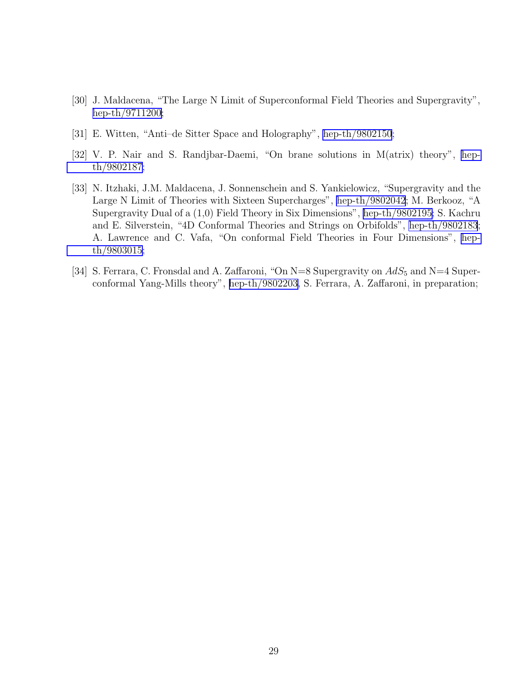- <span id="page-29-0"></span>[30] J. Maldacena, "The Large N Limit of Superconformal Field Theories and Supergravity", [hep-th/9711200;](http://arxiv.org/abs/hep-th/9711200)
- [31] E. Witten, "Anti–de Sitter Space and Holography", [hep-th/9802150](http://arxiv.org/abs/hep-th/9802150);
- [32] V. P. Nair and S. Randjbar-Daemi, "On brane solutions in M(atrix) theory", [hep](http://arxiv.org/abs/hep-th/9802187)[th/9802187;](http://arxiv.org/abs/hep-th/9802187)
- [33] N. Itzhaki, J.M. Maldacena, J. Sonnenschein and S. Yankielowicz, "Supergravity and the Large N Limit of Theories with Sixteen Supercharges", [hep-th/9802042](http://arxiv.org/abs/hep-th/9802042); M. Berkooz, "A Supergravity Dual of a (1,0) Field Theory in Six Dimensions", [hep-th/9802195](http://arxiv.org/abs/hep-th/9802195); S. Kachru and E. Silverstein, "4D Conformal Theories and Strings on Orbifolds", [hep-th/9802183](http://arxiv.org/abs/hep-th/9802183); A. Lawrence and C. Vafa, "On conformal Field Theories in Four Dimensions", [hep](http://arxiv.org/abs/hep-th/9803015)[th/9803015;](http://arxiv.org/abs/hep-th/9803015)
- [34] S. Ferrara, C. Fronsdal and A. Zaffaroni, "On N=8 Supergravity on  $AdS_5$  and N=4 Superconformal Yang-Mills theory", [hep-th/9802203,](http://arxiv.org/abs/hep-th/9802203) S. Ferrara, A. Zaffaroni, in preparation;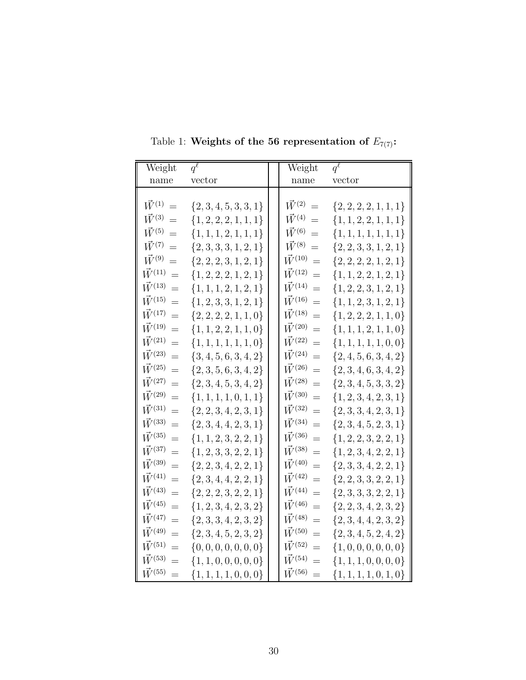| Weight                  | $q^{\ell}$                | Weight                  | $q^{\overline{\ell}}$     |
|-------------------------|---------------------------|-------------------------|---------------------------|
| name                    | vector                    | name                    | vector                    |
|                         |                           |                         |                           |
| $\vec{W}^{(1)}$<br>$=$  | $\{2,3,4,5,3,3,1\}$       | $\vec{W}^{(2)}$<br>$=$  | $\{2, 2, 2, 2, 1, 1, 1\}$ |
| $\vec{W}^{(3)}$<br>$=$  | $\{1, 2, 2, 2, 1, 1, 1\}$ | $\vec{W}^{(4)}$<br>$=$  | $\{1, 1, 2, 2, 1, 1, 1\}$ |
| $\vec{W}^{(5)}$<br>$=$  | $\{1, 1, 1, 2, 1, 1, 1\}$ | $\vec{W}^{(6)}$<br>$=$  | $\{1,1,1,1,1,1,1\}$       |
| $\vec{W}^{(7)}$<br>$=$  | $\{2,3,3,3,1,2,1\}$       | $\vec{W}^{(8)}$<br>$=$  | $\{2,2,3,3,1,2,1\}$       |
| $\vec{W}^{(9)}$<br>$=$  | $\{2,2,2,3,1,2,1\}$       | $\vec{W}^{(10)}$<br>$=$ | ${2, 2, 2, 2, 1, 2, 1}$   |
| $\vec{W}^{(11)}$<br>$=$ | $\{1, 2, 2, 2, 1, 2, 1\}$ | $\vec{W}^{(12)}$<br>$=$ | $\{1,1,2,2,1,2,1\}$       |
| $\vec{W}^{(13)}$<br>$=$ | $\{1, 1, 1, 2, 1, 2, 1\}$ | $\vec{W}^{(14)}$<br>$=$ | $\{1,2,2,3,1,2,1\}$       |
| $\vec{W}^{(15)}$<br>$=$ | $\{1, 2, 3, 3, 1, 2, 1\}$ | $\vec{W}^{(16)}$<br>$=$ | $\{1, 1, 2, 3, 1, 2, 1\}$ |
| $\vec{W}^{(17)}$<br>$=$ | $\{2, 2, 2, 2, 1, 1, 0\}$ | $\vec{W}^{(18)}$<br>$=$ | $\{1,2,2,2,1,1,0\}$       |
| $\vec{W}^{(19)}$<br>$=$ | $\{1, 1, 2, 2, 1, 1, 0\}$ | $\vec{W}^{(20)}$<br>$=$ | $\{1, 1, 1, 2, 1, 1, 0\}$ |
| $\vec{W}^{(21)}$<br>$=$ | $\{1, 1, 1, 1, 1, 1, 0\}$ | $\vec{W}^{(22)}$<br>$=$ | $\{1,1,1,1,1,0,0\}$       |
| $\vec{W}^{(23)}$<br>$=$ | $\{3, 4, 5, 6, 3, 4, 2\}$ | $\vec{W}^{(24)}$<br>$=$ | $\{2,4,5,6,3,4,2\}$       |
| $\vec{W}^{(25)}$<br>$=$ | $\{2,3,5,6,3,4,2\}$       | $\vec{W}^{(26)}$<br>$=$ | $\{2,3,4,6,3,4,2\}$       |
| $\vec{W}^{(27)}$<br>$=$ | $\{2,3,4,5,3,4,2\}$       | $\vec{W}^{(28)}$<br>$=$ | $\{2,3,4,5,3,3,2\}$       |
| $\vec{W}^{(29)}$<br>$=$ | $\{1, 1, 1, 1, 0, 1, 1\}$ | $\vec{W}^{(30)}$<br>$=$ | $\{1, 2, 3, 4, 2, 3, 1\}$ |
| $\vec{W}^{(31)}$<br>$=$ | $\{2,2,3,4,2,3,1\}$       | $\vec{W}^{(32)}$<br>$=$ | $\{2,3,3,4,2,3,1\}$       |
| $\vec{W}^{(33)}$<br>$=$ | $\{2,3,4,4,2,3,1\}$       | $\vec{W}^{(34)}$<br>$=$ | $\{2,3,4,5,2,3,1\}$       |
| $\vec{W}^{(35)}$<br>$=$ | $\{1, 1, 2, 3, 2, 2, 1\}$ | $\vec{W}^{(36)}$<br>$=$ | $\{1,2,2,3,2,2,1\}$       |
| $\vec{W}^{(37)}$<br>$=$ | $\{1, 2, 3, 3, 2, 2, 1\}$ | $\vec{W}^{(38)}$<br>$=$ | $\{1, 2, 3, 4, 2, 2, 1\}$ |
| $\vec{W}^{(39)}$<br>$=$ | $\{2,2,3,4,2,2,1\}$       | $\vec{W}^{(40)}$<br>$=$ | $\{2,3,3,4,2,2,1\}$       |
| $\vec{W}^{(41)}$<br>$=$ | $\{2,3,4,4,2,2,1\}$       | $\vec{W}^{(42)}$<br>$=$ | $\{2,2,3,3,2,2,1\}$       |
| $\vec{W}^{(43)}$<br>$=$ | $\{2, 2, 2, 3, 2, 2, 1\}$ | $\vec{W}^{(44)}$<br>$=$ | ${2, 3, 3, 3, 2, 2, 1}$   |
| $\vec{W}^{(45)}$<br>$=$ | $\{1, 2, 3, 4, 2, 3, 2\}$ | $\vec{W}^{(46)}$<br>$=$ | $\{2,2,3,4,2,3,2\}$       |
| $\vec{W}^{(47)}$<br>$=$ | $\{2,3,3,4,2,3,2\}$       | $\vec{W}^{(48)}$<br>$=$ | $\{2,3,4,4,2,3,2\}$       |
| $\vec{W}^{(49)}$<br>$=$ | $\{2,3,4,5,2,3,2\}$       | $\vec{W}^{(50)}$<br>$=$ | ${2, 3, 4, 5, 2, 4, 2}$   |
| $\vec{W}^{(51)}$<br>$=$ | $\{0, 0, 0, 0, 0, 0, 0\}$ | $\vec{W}^{(52)}$<br>$=$ | $\{1,0,0,0,0,0,0\}$       |
| $\vec{W}^{(53)}$<br>$=$ | $\{1, 1, 0, 0, 0, 0, 0\}$ | $\vec{W}^{(54)}$<br>$=$ | $\{1, 1, 1, 0, 0, 0, 0\}$ |
| $\vec{W}^{(55)}$<br>$=$ | $\{1,1,1,1,0,0,0\}$       | $\vec{W}^{(56)}$<br>$=$ | $\{1,1,1,1,0,1,0\}$       |

<span id="page-30-0"></span>Table 1: Weights of the 56 representation of  $E_{7(7)}$ :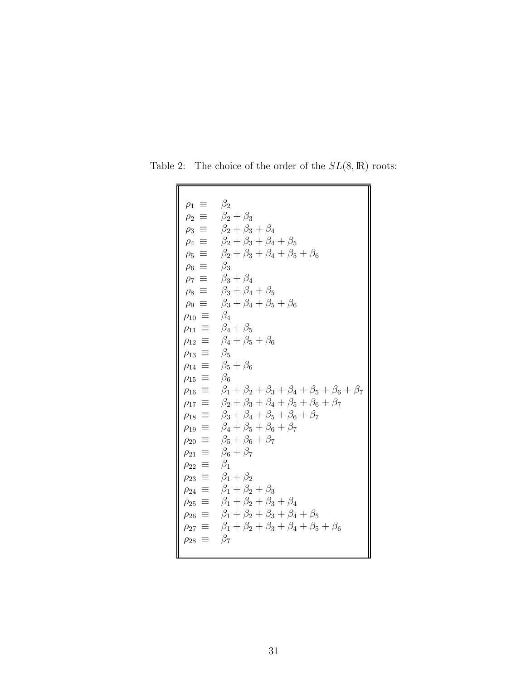| $\rho_1 \equiv$            | $\beta_2$                                                             |
|----------------------------|-----------------------------------------------------------------------|
| $\rho_2 \equiv$            | $\beta_2+\beta_3$                                                     |
|                            | $\rho_3 \equiv \beta_2 + \beta_3 + \beta_4$                           |
|                            | $\rho_4 \equiv \beta_2 + \beta_3 + \beta_4 + \beta_5$                 |
| $\rho_5 \equiv$            | $\beta_2+\beta_3+\beta_4+\beta_5+\beta_6$                             |
| $\rho_6 \equiv$            | $\beta_3$                                                             |
| $\rho_7 \equiv$            | $\beta_3+\beta_4$                                                     |
|                            | $\rho_8 \equiv \beta_3 + \beta_4 + \beta_5$                           |
| $\rho_9 \equiv$            | $\beta_3 + \beta_4 + \beta_5 + \beta_6$                               |
| $\rho_{10} \equiv \beta_4$ |                                                                       |
|                            | $\rho_{11} \equiv \beta_4 + \beta_5$                                  |
| $\rho_{12} \equiv$         | $\beta_4 + \beta_5 + \beta_6$                                         |
| $\rho_{13} \equiv$         | $\beta_5$                                                             |
| $\rho_{14} \equiv$         | $\beta_5+\beta_6$                                                     |
| $\rho_{15} \equiv$         | $\beta_6$                                                             |
| $\rho_{16} \equiv$         | $\beta_1 + \beta_2 + \beta_3 + \beta_4 + \beta_5 + \beta_6 + \beta_7$ |
| $\equiv$<br>$\rho_{17}$    | $\beta_2 + \beta_3 + \beta_4 + \beta_5 + \beta_6 + \beta_7$           |
| $\rho_{18} \equiv$         | $\beta_3+\beta_4+\beta_5+\beta_6+\beta_7$                             |
|                            | $\rho_{19} \equiv \beta_4 + \beta_5 + \beta_6 + \beta_7$              |
| $\rho_{20} \equiv$         | $\beta_5 + \beta_6 + \beta_7$                                         |
| $\rho_{21} \equiv$         | $\beta_6 + \beta_7$                                                   |
| 三<br>$\rho_{22}$           | $\beta_1$                                                             |
| $\rho_{23} \equiv$         | $\beta_1 + \beta_2$                                                   |
| 三<br>$\rho_{24}$           | $\beta_1 + \beta_2 + \beta_3$                                         |
| $\rho_{25} \equiv$         | $\beta_1 + \beta_2 + \beta_3 + \beta_4$                               |
| $\rho_{26}$                | $\equiv \beta_1 + \beta_2 + \beta_3 + \beta_4 + \beta_5$              |
| $\rho_{27} \equiv$         | $\beta_1 + \beta_2 + \beta_3 + \beta_4 + \beta_5 + \beta_6$           |
| 言<br>$\rho_{28}$           | $\beta_7$                                                             |
|                            |                                                                       |

<span id="page-31-0"></span>Table 2: The choice of the order of the  $SL(8,\mathbb{R})$  roots: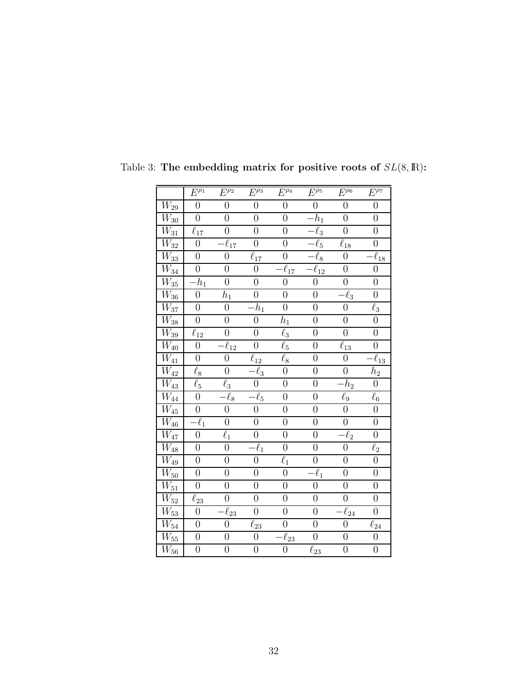|                                 | $E^{\rho_1}$           | $E^{\overline{\rho_2}}$            | $E^{\overline{\rho_3}}$ | $E^{\rho_4}$           | $E^{\rho_5}$           | $E^{\rho_6}$        | $E^{\rho_7}$                  |
|---------------------------------|------------------------|------------------------------------|-------------------------|------------------------|------------------------|---------------------|-------------------------------|
| $\overline{W_{29}}$             | $\boldsymbol{0}$       | $\boldsymbol{0}$                   | $\overline{0}$          | $\boldsymbol{0}$       | $\boldsymbol{0}$       | $\boldsymbol{0}$    | $\boldsymbol{0}$              |
| $\overline{W}_{30}$             | $\overline{0}$         | $\overline{0}$                     | $\overline{0}$          | $\overline{0}$         | $\cdot h_1$            | $\overline{0}$      | $\overline{0}$                |
| $\overline{W_{31}}$             | $\overline{\ell}_{17}$ | $\boldsymbol{0}$                   | $\overline{0}$          | $\overline{0}$         | $\overline{\ell}_3$    | $\overline{0}$      | $\overline{0}$                |
| $\overline{W}_{3\underline{2}}$ | $\boldsymbol{0}$       | $\ell_{17}$                        | $\overline{0}$          | $\boldsymbol{0}$       | $\overline{-}\ell_5$   | $\ell_{18}$         | $\boldsymbol{0}$              |
| $\overline{W_{33}}$             | $\boldsymbol{0}$       | $\overline{0}$                     | $\overline{\ell}_{17}$  | $\overline{0}$         | $-\ell_8$              | $\boldsymbol{0}$    | $\overline{\ell}_{18}$        |
| $\overline{W_{34}}$             | $\overline{0}$         | $\overline{0}$                     | $\overline{0}$          | $\overline{\ell}_{17}$ | $\overline{\ell}_{12}$ | $\overline{0}$      | $\overline{0}$                |
| $\overline{W_{35}}$             | $h_1$                  | $\boldsymbol{0}$                   | $\boldsymbol{0}$        | $\overline{0}$         | $\boldsymbol{0}$       | $\boldsymbol{0}$    | $\boldsymbol{0}$              |
| $\overline{W_{36}}$             | $\overline{0}$         | $\mathfrak{h}_1$                   | $\boldsymbol{0}$        | $\boldsymbol{0}$       | $\boldsymbol{0}$       | $\overline{\ell}_3$ | $\overline{0}$                |
| $W_{\rm 37}$                    | $\overline{0}$         | $\overline{0}$                     | $\cdot h_1$             | $\overline{0}$         | $\overline{0}$         | $\boldsymbol{0}$    | $\ell_3$                      |
| $\overline{W}_{38}$             | $\overline{0}$         | $\boldsymbol{0}$                   | $\overline{0}$          | $h_1$                  | $\boldsymbol{0}$       | $\boldsymbol{0}$    | $\overline{0}$                |
| $W_{39}$                        | $\ell_{12}$            | $\overline{0}$                     | $\overline{0}$          | $\ell_3$               | $\overline{0}$         | $\overline{0}$      | $\overline{0}$                |
| $\overline{W}_{40}$             | $\boldsymbol{0}$       | $\ell_{12}$                        | $\boldsymbol{0}$        | $\ell_5$               | $\boldsymbol{0}$       | $\ell_{13}$         | $\boldsymbol{0}$              |
| $\overline{W_{41}}$             | $\overline{0}$         | $\overline{0}$                     | $\ell_{12}$             | $\overline{\ell}_8$    | $\overline{0}$         | $\overline{0}$      | $\bar{\ell}_{\underline{13}}$ |
| $\overline{W}_{42}$             | $\ell_8$               | $\boldsymbol{0}$                   | $-\ell_3$               | $\boldsymbol{0}$       | $\boldsymbol{0}$       | $\overline{0}$      | $\mathfrak{h}_2$              |
| $\overline{W_{43}}$             | $\overline{\ell}_5$    | $\ell_3$                           | $\boldsymbol{0}$        | $\boldsymbol{0}$       | $\boldsymbol{0}$       | $\overline{-h}_2$   | $\boldsymbol{0}$              |
| $\overline{W_{44}}$             | $\overline{0}$         | $\bar{\ell}_8$                     | $\ell_5$                | $\overline{0}$         | $\overline{0}$         | $\ell_9$            | $\ell_6$                      |
| $\overline{W}_{45}$             | $\overline{0}$         | $\boldsymbol{0}$                   | $\overline{0}$          | $\boldsymbol{0}$       | $\boldsymbol{0}$       | $\boldsymbol{0}$    | $\boldsymbol{0}$              |
| $\overline{W_{46}}$             | $\overline{\ell}_1$    | $\overline{0}$                     | $\overline{0}$          | $\overline{0}$         | $\overline{0}$         | $\overline{0}$      | $\boldsymbol{0}$              |
| $\overline{W}_{47}$             | $\overline{0}$         | $\ell_1$                           | $\overline{0}$          | $\overline{0}$         | $\overline{0}$         | $-\ell_2$           | $\overline{0}$                |
| $\overline{W_{48}}$             | $\boldsymbol{0}$       | $\boldsymbol{0}$                   | $\overline{\ell}_1$     | $\overline{0}$         | $\boldsymbol{0}$       | $\boldsymbol{0}$    | $\ell_2$                      |
| $\mathcal{W}_{49}$              | $\boldsymbol{0}$       | $\boldsymbol{0}$                   | $\boldsymbol{0}$        | $\ell_1$               | $\overline{0}$         | $\boldsymbol{0}$    | $\boldsymbol{0}$              |
| $W_{50}$                        | $\boldsymbol{0}$       | $\boldsymbol{0}$                   | $\boldsymbol{0}$        | $\overline{0}$         | $\overline{\ell}_1$    | $\boldsymbol{0}$    | $\boldsymbol{0}$              |
| $\overline{W}_{51}$             | $\overline{0}$         | $\overline{0}$                     | $\overline{0}$          | $\overline{0}$         | $\overline{0}$         | $\boldsymbol{0}$    | $\overline{0}$                |
| $\overline{W}_{52}$             | $\ell_{23}$            | $\overline{0}$                     | $\overline{0}$          | $\overline{0}$         | $\overline{0}$         | $\overline{0}$      | $\boldsymbol{0}$              |
| $\overline{W}_{53}$             | $\overline{0}$         | $\overline{\ell}_{2\underline{3}}$ | $\overline{0}$          | $\boldsymbol{0}$       | $\overline{0}$         | $-\ell_{24}$        | $\overline{0}$                |
| $\overline{W_{54}}$             | $\overline{0}$         | $\overline{0}$                     | $\ell_{23}$             | $\overline{0}$         | $\boldsymbol{0}$       | $\overline{0}$      | $\ell_{24}$                   |
| $\overline{W_{55}}$             | $\overline{0}$         | $\overline{0}$                     | $\boldsymbol{0}$        | $\overline{\ell}_{23}$ | $\boldsymbol{0}$       | $\boldsymbol{0}$    | $\boldsymbol{0}$              |
| $\overline{W}_{56}$             | $\boldsymbol{0}$       | $\boldsymbol{0}$                   | $\boldsymbol{0}$        | $\overline{0}$         | $\ell_{23}$            | $\boldsymbol{0}$    | $\boldsymbol{0}$              |

<span id="page-32-0"></span>Table 3: The embedding matrix for positive roots of  $SL(8,\mathbb{R})$ :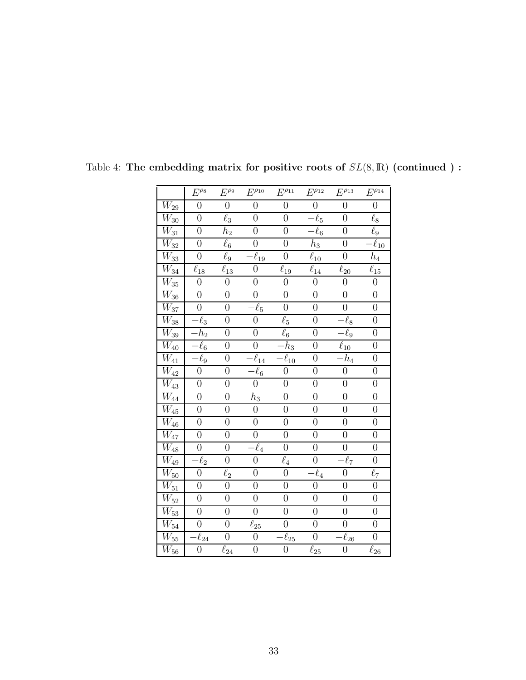|                               | $E^{\overline{\rho_8}}$ | $E^{\overline{\rho_9}}$ | $E^{\rho_{10}}$                                | $E^{\rho_{11}}$        | $E^{\rho_{12}}$        | $E^{\rho_{13}}$        | $E^{\rho_{14}}$                    |
|-------------------------------|-------------------------|-------------------------|------------------------------------------------|------------------------|------------------------|------------------------|------------------------------------|
| $\overline{W}_{29}$           | $\overline{0}$          | $\overline{0}$          | $\overline{0}$                                 | $\overline{0}$         | $\overline{0}$         | $\overline{0}$         | $\overline{0}$                     |
| $\overline{W_{30}}$           | $\boldsymbol{0}$        | $\overline{\ell}_3$     | $\boldsymbol{0}$                               | $\overline{0}$         | $\ell_5$               | $\overline{0}$         | $\ell_8$                           |
| $\overline{W_{31}}$           | $\overline{0}$          | $h_2$                   | $\boldsymbol{0}$                               | $\overline{0}$         | $\overline{\ell}_6$    | $\overline{0}$         | $\ell_9$                           |
| $\overline{W_{32}}$           | $\overline{0}$          | $\overline{\ell}_6$     | $\overline{0}$                                 | $\overline{0}$         | $\bar{h}_3$            | $\overline{0}$         | $-\overline{\ell}_{10}$            |
| $\overline{W}_{33}$           | $\overline{0}$          | $\ell_9$                | $\overline{\ell}_{19}$                         | $\overline{0}$         | $\ell_{10}$            | $\overline{0}$         | $\bar{h}_4$                        |
| $\overline{W_{34}}$           | $\ell_{18}$             | $\ell_{13}$             | $\overline{0}$                                 | $\overline{\ell}_{19}$ | $\overline{\ell}_{14}$ | $\ell_{20}$            | $\overline{\ell}_{\underline{15}}$ |
| $\overline{W}_{35}$           | $\boldsymbol{0}$        | $\overline{0}$          | $\boldsymbol{0}$                               | $\overline{0}$         | $\overline{0}$         | $\boldsymbol{0}$       | $\boldsymbol{0}$                   |
| $\overline{W_{36}}$           | $\overline{0}$          | $\boldsymbol{0}$        | $\boldsymbol{0}$                               | $\boldsymbol{0}$       | $\boldsymbol{0}$       | $\boldsymbol{0}$       | $\overline{0}$                     |
| $\overline{W_{37}}$           | $\overline{0}$          | $\boldsymbol{0}$        | $\overline{\ell_5}$                            | $\overline{0}$         | $\overline{0}$         | $\overline{0}$         | $\overline{0}$                     |
| $\overline{W_{38}}$           | $\overline{\ell}_3$     | $\overline{0}$          | $\overline{0}$                                 | $\overline{\ell}_5$    | $\overline{0}$         | $\overline{\ell}_8$    | $\overline{0}$                     |
| $W_{39}$                      | h <sub>2</sub>          | $\overline{0}$          | $\overline{0}$                                 | $\ell_6$               | $\overline{0}$         | $\cdot \ell_9$         | $\boldsymbol{0}$                   |
| $\overline{W_{40}}$           | $\ell_6$                | $\overline{0}$          | $\boldsymbol{0}$                               | $\overline{h}_3$       | $\boldsymbol{0}$       | $\overline{\ell}_{10}$ | $\overline{0}$                     |
| $\overline{W_{41}}$           | $\bar{\ell}_9$          | $\overline{0}$          | $\overline{\ell}_{\underline{1}\underline{4}}$ | $\overline{\ell}_{10}$ | $\overline{0}$         | $\overline{h}_4$       | $\overline{0}$                     |
| $\overline{W_4}$ <sub>2</sub> | $\overline{0}$          | $\overline{0}$          | $\overline{\ell_6}$                            | $\overline{0}$         | $\overline{0}$         | $\overline{0}$         | $\boldsymbol{0}$                   |
| $\overline{W_{43}}$           | $\overline{0}$          | $\overline{0}$          | $\overline{0}$                                 | $\overline{0}$         | $\overline{0}$         | $\overline{0}$         | $\overline{0}$                     |
| $\overline{W_{44}}$           | $\overline{0}$          | $\boldsymbol{0}$        | $h_3$                                          | $\boldsymbol{0}$       | $\boldsymbol{0}$       | $\overline{0}$         | $\boldsymbol{0}$                   |
| $\overline{W}_{45}$           | $\overline{0}$          | $\overline{0}$          | $\boldsymbol{0}$                               | $\overline{0}$         | $\overline{0}$         | $\boldsymbol{0}$       | $\overline{0}$                     |
| $\overline{W_{46}}$           | $\overline{0}$          | $\overline{0}$          | $\boldsymbol{0}$                               | $\overline{0}$         | $\boldsymbol{0}$       | $\overline{0}$         | $\overline{0}$                     |
| $\overline{W_{47}}$           | $\overline{0}$          | $\overline{0}$          | $\boldsymbol{0}$                               | $\overline{0}$         | $\overline{0}$         | $\overline{0}$         | $\boldsymbol{0}$                   |
| $\overline{W_{48}}$           | $\overline{0}$          | $\overline{0}$          | $\ell_4$                                       | $\overline{0}$         | $\overline{0}$         | $\overline{0}$         | $\overline{0}$                     |
| $\overline{W}_{49}$           | $\overline{\ell}_2$     | $\overline{0}$          | $\boldsymbol{0}$                               | $\ell_4$               | $\overline{0}$         | $-\ell_7$              | $\boldsymbol{0}$                   |
| $\overline{W_{50}}$           | $\overline{0}$          | $\bar{\ell}_2$          | $\boldsymbol{0}$                               | $\boldsymbol{0}$       | $\overline{\ell}_4$    | $\boldsymbol{0}$       | $\ell_7$                           |
| $\overline{W_{51}}$           | $\overline{0}$          | $\overline{0}$          | $\overline{0}$                                 | $\overline{0}$         | $\overline{0}$         | $\overline{0}$         | $\overline{0}$                     |
| $\overline{W_{52}}$           | $\overline{0}$          | $\overline{0}$          | $\overline{0}$                                 | $\overline{0}$         | $\overline{0}$         | $\overline{0}$         | $\overline{0}$                     |
| $\overline{W_{53}}$           | $\overline{0}$          | $\overline{0}$          | $\overline{0}$                                 | $\overline{0}$         | $\overline{0}$         | $\overline{0}$         | $\overline{0}$                     |
| $\overline{W_{54}}$           | $\boldsymbol{0}$        | $\boldsymbol{0}$        | $\ell_{25}$                                    | $\boldsymbol{0}$       | $\overline{0}$         | $\boldsymbol{0}$       | $\boldsymbol{0}$                   |
| $\overline{W_{55}}$           | $\overline{\ell_{24}}$  | $\boldsymbol{0}$        | $\boldsymbol{0}$                               | $\overline{\ell}_{25}$ | $\boldsymbol{0}$       | $\overline{\ell}_{26}$ | $\overline{0}$                     |
| $\overline{W}_{56}$           | $\boldsymbol{0}$        | $\ell_{24}$             | $\boldsymbol{0}$                               | $\boldsymbol{0}$       | $\ell_{25}$            | $\boldsymbol{0}$       | $\ell_{26}$                        |

<span id="page-33-0"></span>Table 4: The embedding matrix for positive roots of  $SL(8,\mathbb{R})$  (continued ):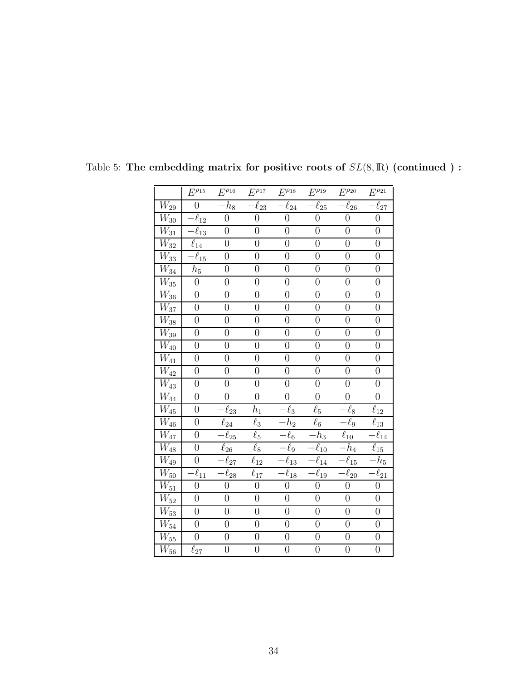|                                 | $E^{\overline{\rho_{15}}}$   | $E^{\overline{\rho_{16}}}$ | $E^{\overline{\rho_{17}}}$ | $\overline{E^{\rho_{18}}}$ | $E^{\rho_{19}}$         | $\overline{E^{\rho_{20}}}$ | $\overline{E^{\rho_{21}}}$ |
|---------------------------------|------------------------------|----------------------------|----------------------------|----------------------------|-------------------------|----------------------------|----------------------------|
| $\overline{W_{29}}$             | $\overline{0}$               | $-h_8$                     | $-\ell_{23}$               | $\overline{-\ell_{24}}$    | $-\ell_{25}$            | $-\ell_{26}$               | $-\overline{\ell}_{27}$    |
| $\overline{W}_{30}$             | $\overline{-\ell}_{12}$      | $\overline{0}$             | $\overline{0}$             | $\overline{0}$             | $\overline{0}$          | $\overline{0}$             | $\overline{0}$             |
| $\overline{W_{31}}$             | $\cdot \overline{\ell}_{13}$ | $\overline{0}$             | $\boldsymbol{0}$           | $\overline{0}$             | $\overline{0}$          | $\overline{0}$             | $\overline{0}$             |
| $\overline{W}_{32}$             | $\overline{\ell}_{14}$       | $\boldsymbol{0}$           | $\boldsymbol{0}$           | $\overline{0}$             | $\overline{0}$          | $\overline{0}$             | $\boldsymbol{0}$           |
| $\overline{W_{33}}$             | $\overline{\ell}_{15}$       | $\boldsymbol{0}$           | $\boldsymbol{0}$           | $\boldsymbol{0}$           | $\overline{0}$          | $\boldsymbol{0}$           | $\boldsymbol{0}$           |
| $\overline{W_{34}}$             | $h_{\rm 5}$                  | $\overline{0}$             | $\overline{0}$             | $\overline{0}$             | $\overline{0}$          | $\overline{0}$             | $\overline{0}$             |
| $\overline{W}_{\!\!35}$         | $\boldsymbol{0}$             | $\overline{0}$             | $\overline{0}$             | $\overline{0}$             | $\overline{0}$          | $\overline{0}$             | $\overline{0}$             |
| $W_{36}$                        | $\boldsymbol{0}$             | $\boldsymbol{0}$           | $\boldsymbol{0}$           | $\boldsymbol{0}$           | $\boldsymbol{0}$        | $\boldsymbol{0}$           | $\boldsymbol{0}$           |
| $W_{37}$                        | $\overline{0}$               | $\overline{0}$             | $\boldsymbol{0}$           | $\overline{0}$             | $\overline{0}$          | $\boldsymbol{0}$           | $\overline{0}$             |
| $\overline{W}_{38}$             | $\overline{0}$               | $\overline{0}$             | $\overline{0}$             | $\overline{0}$             | $\overline{0}$          | $\overline{0}$             | $\overline{0}$             |
| $W_{\rm 39}$                    | $\overline{0}$               | $\overline{0}$             | $\overline{0}$             | $\overline{0}$             | $\overline{0}$          | $\overline{0}$             | $\overline{0}$             |
| $\overline{W_{40}}$             | $\overline{0}$               | $\overline{0}$             | $\overline{0}$             | $\overline{0}$             | $\overline{0}$          | $\overline{0}$             | $\boldsymbol{0}$           |
| $\overline{W_{41}}$             | $\overline{0}$               | $\overline{0}$             | $\overline{0}$             | $\overline{0}$             | $\overline{0}$          | $\overline{0}$             | $\overline{0}$             |
| $\overline{W}_{42}$             | $\overline{0}$               | $\overline{0}$             | $\overline{0}$             | $\overline{0}$             | $\overline{0}$          | $\overline{0}$             | $\overline{0}$             |
| $\overline{W}_{43}$             | $\overline{0}$               | $\boldsymbol{0}$           | $\boldsymbol{0}$           | $\boldsymbol{0}$           | $\boldsymbol{0}$        | $\boldsymbol{0}$           | $\boldsymbol{0}$           |
| $\overline{W_{44}}$             | $\overline{0}$               | $\overline{0}$             | $\overline{0}$             | $\overline{0}$             | $\overline{0}$          | $\boldsymbol{0}$           | $\overline{0}$             |
| $\overline{W_{45}}$             | $\overline{0}$               | $\overline{\ell}_{23}$     | $h_1$                      | $\ell_3$                   | $\ell_5$                | $\ell_8$                   | $\ell_{12}$                |
| $\overline{W_{46}}$             | $\boldsymbol{0}$             | $\overline{\ell}_{24}$     | $\ell_3$                   | $\overline{-h_2}$          | $\overline{\ell}_6$     | $-\ell_9$                  | $\overline{\ell}_{13}$     |
| $\overline{W_{47}}$             | $\boldsymbol{0}$             | $\overline{\ell}_{25}$     | $\ell_5$                   | $-\overline{\ell_6}$       | $-h_3$                  | $\overline{\ell}_{10}$     | $\overline{\ell}_{14}$     |
| $\overline{W_{48}}$             | $\overline{0}$               | $\overline{\ell}_{26}$     | $\overline{\ell_8}$        | $-\ell_9$                  | $-\ell_{10}$            | $\overline{-h}_4$          | $\overline{\ell}_{15}$     |
| $\overline{W}_{49}$             | $\boldsymbol{0}$             | $\overline{-\ell_{27}}$    | $\ell_{12}$                | $\overline{-\ell_1}$       | $\overline{-\ell}_{14}$ | $\overline{-\ell_{15}}$    | $\overline{-}h_5$          |
| $\overline{W_{50}}$             | $\overline{\ell}_{11}$       | $\overline{\ell}_{28}$     | $\bar{\ell}_{17}$          | $-\ell_{18}$               | $-\ell_{19}$            | $-\ell_{20}$               | $\overline{\ell}_{21}$     |
| $\overline{W_{51}}$             | $\overline{0}$               | $\overline{0}$             | $\overline{0}$             | $\overline{0}$             | $\overline{0}$          | $\overline{0}$             | $\overline{0}$             |
| $\overline{W_{52}}$             | $\overline{0}$               | $\boldsymbol{0}$           | $\boldsymbol{0}$           | $\boldsymbol{0}$           | $\boldsymbol{0}$        | $\boldsymbol{0}$           | $\boldsymbol{0}$           |
| $\overline{W}_{53}$             | $\overline{0}$               | $\overline{0}$             | $\overline{0}$             | $\overline{0}$             | $\overline{0}$          | $\overline{0}$             | $\overline{0}$             |
| $\overline{W_{\underline{54}}}$ | $\overline{0}$               | $\overline{0}$             | $\overline{0}$             | $\overline{0}$             | $\overline{0}$          | $\overline{0}$             | $\boldsymbol{0}$           |
| $\overline{W_{55}}$             | $\overline{0}$               | $\boldsymbol{0}$           | $\boldsymbol{0}$           | $\boldsymbol{0}$           | $\boldsymbol{0}$        | $\boldsymbol{0}$           | $\overline{0}$             |
| $\overline{W}_{56}$             | $\ell_{27}$                  | $\overline{0}$             | $\boldsymbol{0}$           | $\boldsymbol{0}$           | $\overline{0}$          | $\boldsymbol{0}$           | $\overline{0}$             |

<span id="page-34-0"></span>Table 5: The embedding matrix for positive roots of  $SL(8,\mathbb{R})$  (continued ):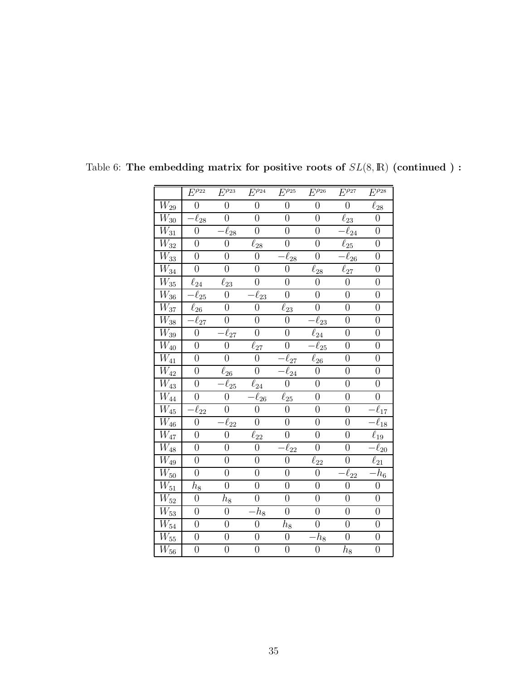|                              | $E^{\rho_{22}}$        | $\overline{E^{\rho_{23}}}$ | $\overline{E^{\rho_{24}}}$ | $E^{\rho_{25}}$        | $\overline{E^{\rho_{26}}}$    | $\overline{E^{\rho_{27}}}$         | $\overline{E^{\rho_{28}}}$ |
|------------------------------|------------------------|----------------------------|----------------------------|------------------------|-------------------------------|------------------------------------|----------------------------|
| $\overline{W_{29}}$          | $\overline{0}$         | $\overline{0}$             | $\overline{0}$             | $\overline{0}$         | $\overline{0}$                | $\overline{0}$                     | $\overline{\ell_{28}}$     |
| $\overline{W_{30}}$          | $\overline{\ell}_{28}$ | $\boldsymbol{0}$           | $\overline{0}$             | $\boldsymbol{0}$       | $\overline{0}$                | $\overline{\ell}_{23}$             | $\boldsymbol{0}$           |
| $\overline{W_{31}}$          | $\boldsymbol{0}$       | $\overline{\ell}_{28}$     | $\overline{0}$             | $\overline{0}$         | $\overline{0}$                | $\overline{\ell}_{\underline{24}}$ | $\overline{0}$             |
| $W_{32}$                     | $\overline{0}$         | $\boldsymbol{0}$           | $\ell_{28}$                | $\overline{0}$         | $\overline{0}$                | $\overline{\ell}_{25}$             | $\overline{0}$             |
| $\overline{W_{33}}$          | $\overline{0}$         | $\boldsymbol{0}$           | $\boldsymbol{0}$           | $\bar{\ell}_{28}$      | $\overline{0}$                | $\overline{\ell}_{26}$             | $\overline{0}$             |
| $\overline{W_{34}}$          | $\overline{0}$         | $\overline{0}$             | $\overline{0}$             | $\boldsymbol{0}$       | $\overline{\ell}_{28}$        | $\overline{\ell}_{27}$             | $\overline{0}$             |
| $\overline{W_{35}}$          | $\ell_{24}$            | $\ell_{23}$                | $\boldsymbol{0}$           | $\boldsymbol{0}$       | $\overline{0}$                | $\boldsymbol{0}$                   | $\overline{0}$             |
| $W_{36}$                     | $\overline{\ell}_{25}$ | $\overline{0}$             | $\overline{\ell}_{23}$     | $\overline{0}$         | $\overline{0}$                | $\boldsymbol{0}$                   | $\overline{0}$             |
| $\overline{W_{37}}$          | $\overline{\ell}_{26}$ | $\overline{0}$             | $\boldsymbol{0}$           | $\ell_{23}$            | $\overline{0}$                | $\boldsymbol{0}$                   | $\overline{0}$             |
| $\overline{W_{38}}$          | $\bar{\ell}_{27}$      | $\boldsymbol{0}$           | $\boldsymbol{0}$           | $\overline{0}$         | $\bar{\ell}_{23}$             | $\boldsymbol{0}$                   | $\overline{0}$             |
| $W_{39}$                     | $\boldsymbol{0}$       | $\overline{\ell}_{27}$     | $\overline{0}$             | $\boldsymbol{0}$       | $\bar{\ell}_{\underline{24}}$ | $\boldsymbol{0}$                   | $\overline{0}$             |
| $\overline{W_{40}}$          | $\overline{0}$         | $\overline{0}$             | $\ell_{27}$                | $\boldsymbol{0}$       | $-\overline{\ell}_{25}$       | $\overline{0}$                     | $\boldsymbol{0}$           |
| $\overline{W_{41}}$          | $\overline{0}$         | $\overline{0}$             | $\overline{0}$             | $\overline{\ell}_{27}$ | $\overline{\ell}_{26}$        | $\overline{0}$                     | $\overline{0}$             |
| $\overline{W_{42}}$          | $\boldsymbol{0}$       | $\ell_{26}$                | $\overline{0}$             | $\overline{\ell}_{24}$ | $\boldsymbol{0}$              | $\boldsymbol{0}$                   | $\overline{0}$             |
| $\overline{W_{43}}$          | $\boldsymbol{0}$       | $-\overline{\ell}_{25}$    | $\ell_{24}$                | $\overline{0}$         | $\overline{0}$                | $\boldsymbol{0}$                   | $\overline{0}$             |
| $\overline{W_{44}}$          | $\overline{0}$         | $\boldsymbol{0}$           | $\overline{\ell}_{26}$     | $\ell_{25}$            | $\overline{0}$                | $\boldsymbol{0}$                   | $\overline{0}$             |
| $\overline{W_{45}}$          | $\overline{\ell}_{22}$ | $\boldsymbol{0}$           | $\overline{0}$             | $\overline{0}$         | $\overline{0}$                | $\boldsymbol{0}$                   | $\overline{\ell}_{17}$     |
| $\overline{W_{46}}$          | $\overline{0}$         | $\overline{\ell}_{22}$     | $\overline{0}$             | $\overline{0}$         | $\overline{0}$                | $\overline{0}$                     | $\overline{\ell}_{18}$     |
| $\overline{W_{47}}$          | $\overline{0}$         | $\boldsymbol{0}$           | $\overline{\ell}_{22}$     | $\overline{0}$         | $\overline{0}$                | $\overline{0}$                     | $\overline{\ell}_{19}$     |
| $\overline{W_{48}}$          | $\overline{0}$         | $\overline{0}$             | $\boldsymbol{0}$           | $\overline{\ell}_{22}$ | $\overline{0}$                | $\boldsymbol{0}$                   | $\overline{\ell_{20}}$     |
| $\overline{W_{49}}$          | $\overline{0}$         | $\boldsymbol{0}$           | $\overline{0}$             | $\boldsymbol{0}$       | $\ell_{22}$                   | $\overline{0}$                     | $\overline{\ell}_{21}$     |
| $\overline{W_{50}}$          | $\overline{0}$         | $\overline{0}$             | $\overline{0}$             | $\overline{0}$         | $\overline{0}$                | $\overline{\ell}_{22}$             | $\overline{h_6}$           |
| $\overline{W}_{\mathbf{51}}$ | $h_8\,$                | $\overline{0}$             | $\overline{0}$             | $\boldsymbol{0}$       | $\overline{0}$                | $\overline{0}$                     | $\boldsymbol{0}$           |
| $\overline{W_{52}}$          | $\boldsymbol{0}$       | $\bar{h}_8$                | $\boldsymbol{0}$           | $\overline{0}$         | $\overline{0}$                | $\boldsymbol{0}$                   | $\overline{0}$             |
| $\overline{W_{53}}$          | $\overline{0}$         | $\overline{0}$             | $\bar{h}_8$                | $\overline{0}$         | $\overline{0}$                | $\overline{0}$                     | $\overline{0}$             |
| $\overline{W_{54}}$          | $\overline{0}$         | $\overline{0}$             | $\overline{0}$             | $h_{\rm 8}$            | $\overline{0}$                | $\overline{0}$                     | $\boldsymbol{0}$           |
| $\overline{W_{55}}$          | $\boldsymbol{0}$       | $\overline{0}$             | $\boldsymbol{0}$           | $\boldsymbol{0}$       | $\overline{h}_8$              | $\overline{0}$                     | $\overline{0}$             |
| $\overline{W}_{56}$          | $\overline{0}$         | $\overline{0}$             | $\boldsymbol{0}$           | $\boldsymbol{0}$       | $\boldsymbol{0}$              | $h_8\,$                            | $\overline{0}$             |

<span id="page-35-0"></span>Table 6: The embedding matrix for positive roots of  $SL(8,\mathbb{R})$  (continued ):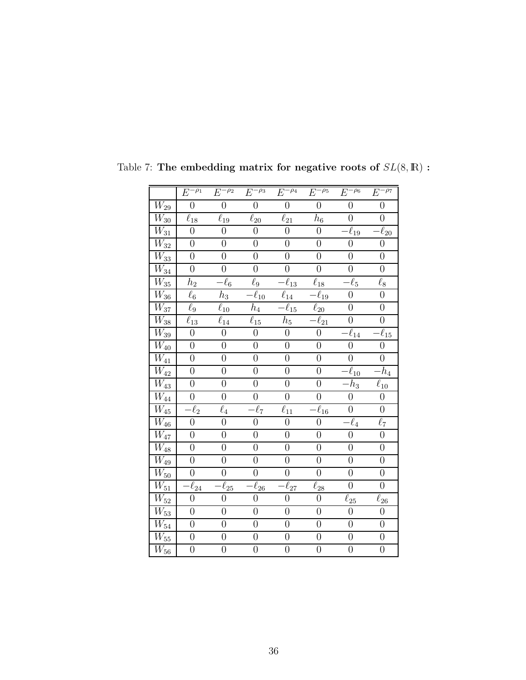|                              | $E^{-\rho_1}$          | $E^{-\rho_2}$    | $E^{-\rho_3}$          | $E^{-\rho_4}$          | $E^{-\rho_5}$           | $E^{-\rho_6}$          | $E^{-\rho_7}$          |
|------------------------------|------------------------|------------------|------------------------|------------------------|-------------------------|------------------------|------------------------|
| $\overline{W_{29}}$          | $\overline{0}$         | $\overline{0}$   | $\overline{0}$         | $\overline{0}$         | $\overline{0}$          | $\overline{0}$         | $\overline{0}$         |
| $W_{30}$                     | $\ell_{18}$            | $\ell_{19}$      | $\ell_{20}$            | $\ell_{21}$            | $\mathfrak{h}_6$        | $\boldsymbol{0}$       | $\boldsymbol{0}$       |
| $\overline{W_{31}}$          | $\overline{0}$         | $\overline{0}$   | $\overline{0}$         | $\overline{0}$         | $\overline{0}$          | $\overline{\ell}_{19}$ | $\overline{\ell}_{20}$ |
| $\mathcal{W}_{32}$           | $\overline{0}$         | $\overline{0}$   | $\boldsymbol{0}$       | $\overline{0}$         | $\overline{0}$          | $\overline{0}$         | $\boldsymbol{0}$       |
| $\overline{W}_{33}$          | $\overline{0}$         | $\overline{0}$   | $\overline{0}$         | $\overline{0}$         | $\overline{0}$          | $\boldsymbol{0}$       | $\boldsymbol{0}$       |
| $\overline{W_{34}}$          | $\overline{0}$         | $\boldsymbol{0}$ | $\overline{0}$         | $\overline{0}$         | $\overline{0}$          | $\overline{0}$         | $\overline{0}$         |
| $W_{\rm 35}$                 | $\mathfrak{h}_2$       | $\ell_6$         | $\ell_9$               | $\overline{\ell}_{13}$ | $\ell_{18}$             | $-\ell_5$              | $\ell_8$               |
| $\overline{W}_{36}$          | $\ell_6$               | $\mathfrak{h}_3$ | $\overline{\ell}_{10}$ | $\overline{\ell}_{14}$ | $-\overline{\ell}_{19}$ | $\overline{0}$         | $\overline{0}$         |
| $W_{37}$                     | $\ell_9$               | $\ell_{10}$      | $h_4$                  | $\ell_{15}$            | $\ell_{20}$             | $\overline{0}$         | $\boldsymbol{0}$       |
| $\overline{W}_{38}$          | $\ell_{13}$            | $\ell_{14}$      | $\ell_{15}$            | $\bar{h}_5$            | $-\overline{\ell}_{21}$ | $\overline{0}$         | $\overline{0}$         |
| $\overline{W}_{\mathbf{39}}$ | $\overline{0}$         | $\overline{0}$   | $\overline{0}$         | $\overline{0}$         | $\boldsymbol{0}$        | $\ell_{14}$            | $\overline{\ell}_{15}$ |
| $W_{40}$                     | $\boldsymbol{0}$       | $\boldsymbol{0}$ | $\boldsymbol{0}$       | $\boldsymbol{0}$       | $\boldsymbol{0}$        | $\overline{0}$         | $\boldsymbol{0}$       |
| $\overline{W}_{41}$          | $\overline{0}$         | $\overline{0}$   | $\overline{0}$         | $\overline{0}$         | $\overline{0}$          | $\overline{0}$         | $\overline{0}$         |
| $\overline{W}_{42}$          | $\overline{0}$         | $\overline{0}$   | $\overline{0}$         | $\overline{0}$         | $\overline{0}$          | $-\ell_{10}$           | $-h_4$                 |
| $\overline{W}_{43}$          | $\boldsymbol{0}$       | $\boldsymbol{0}$ | $\boldsymbol{0}$       | $\boldsymbol{0}$       | $\boldsymbol{0}$        | $-h_3$                 | $\ell_{10}$            |
| $\overline{W}_{44}$          | $\overline{0}$         | $\overline{0}$   | $\overline{0}$         | $\overline{0}$         | $\overline{0}$          | $\overline{0}$         | $\overline{0}$         |
| $\mathcal{W}_{45}$           | $\ell_2$               | $\ell_4$         | $\overline{\ell}_7$    | $\ell_{11}$            | $\bar{\ell}_{16}$       | $\boldsymbol{0}$       | $\overline{0}$         |
| $\overline{W_{46}}$          | $\overline{0}$         | $\overline{0}$   | $\boldsymbol{0}$       | $\overline{0}$         | $\boldsymbol{0}$        | $-\ell_4$              | $\overline{\ell_7}$    |
| $\overline{W}_{47}$          | $\overline{0}$         | $\overline{0}$   | $\overline{0}$         | $\overline{0}$         | $\overline{0}$          | $\overline{0}$         | $\boldsymbol{0}$       |
| $\overline{W_{48}}$          | $\overline{0}$         | $\overline{0}$   | $\overline{0}$         | $\overline{0}$         | $\overline{0}$          | $\overline{0}$         | $\overline{0}$         |
| $\overline{W}_{49}$          | $\overline{0}$         | $\overline{0}$   | $\boldsymbol{0}$       | $\overline{0}$         | $\overline{0}$          | $\overline{0}$         | $\overline{0}$         |
| $\overline{W}_{50}$          | $\overline{0}$         | $\boldsymbol{0}$ | $\boldsymbol{0}$       | $\boldsymbol{0}$       | $\overline{0}$          | $\boldsymbol{0}$       | $\boldsymbol{0}$       |
| $\overline{W_{51}}$          | $\overline{\ell}_{24}$ | $\ell_{25}$      | $\overline{\ell}_{26}$ | $\overline{\ell}_{27}$ | $\ell_{28}$             | $\overline{0}$         | $\overline{0}$         |
| $\overline{W}_{52}$          | $\overline{0}$         | $\overline{0}$   | $\overline{0}$         | $\overline{0}$         | $\overline{0}$          | $\ell_{25}$            | $\overline{\ell}_{26}$ |
| $\overline{W}_{53}$          | $\boldsymbol{0}$       | $\overline{0}$   | $\overline{0}$         | $\overline{0}$         | $\boldsymbol{0}$        | $\overline{0}$         | $\boldsymbol{0}$       |
| $\overline{W_{54}}$          | $\overline{0}$         | $\overline{0}$   | $\overline{0}$         | $\overline{0}$         | $\overline{0}$          | $\overline{0}$         | $\overline{0}$         |
| $\overline{W}_{55}$          | $\overline{0}$         | $\overline{0}$   | $\boldsymbol{0}$       | $\overline{0}$         | $\overline{0}$          | $\boldsymbol{0}$       | $\boldsymbol{0}$       |
| $\overline{W}_{56}$          | $\overline{0}$         | $\boldsymbol{0}$ | $\boldsymbol{0}$       | $\boldsymbol{0}$       | $\boldsymbol{0}$        | $\overline{0}$         | $\boldsymbol{0}$       |

<span id="page-36-0"></span>Table 7: The embedding matrix for negative roots of  $SL(8,\mathbb{R})$  :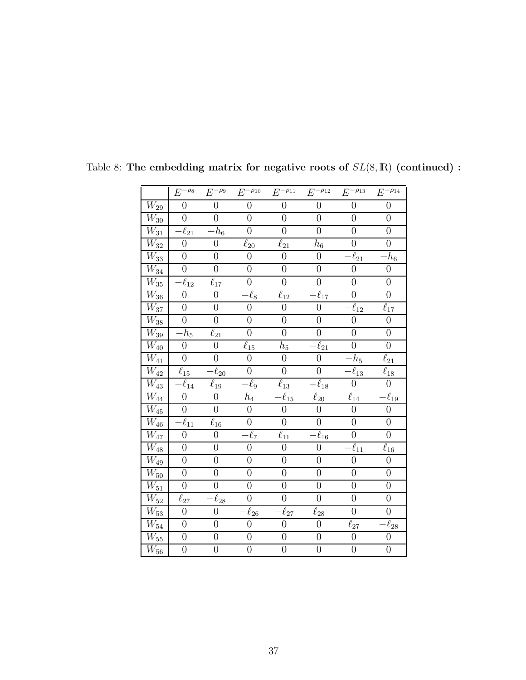|                     | $E^{-\overline{\rho_8}}$ | $E^{-\rho_9}$          | $E^{-\rho_{10}}$       | $E^{-\overline{\rho_{11}}}$ | $E^{-\rho_{12}}$        | $E^{-\rho_{13}}$       | $E^{-\rho_{14}}$        |
|---------------------|--------------------------|------------------------|------------------------|-----------------------------|-------------------------|------------------------|-------------------------|
| $\overline{W}_{29}$ | $\overline{0}$           | $\overline{0}$         | $\overline{0}$         | $\overline{0}$              | $\overline{0}$          | $\overline{0}$         | $\overline{0}$          |
| $\overline{W}_{30}$ | $\boldsymbol{0}$         | $\boldsymbol{0}$       | $\boldsymbol{0}$       | $\boldsymbol{0}$            | $\overline{0}$          | $\overline{0}$         | $\boldsymbol{0}$        |
| $\overline{W}_{31}$ | $\overline{\ell}_{21}$   | $\bar{h}_6$            | $\overline{0}$         | $\overline{0}$              | $\overline{0}$          | $\overline{0}$         | $\overline{0}$          |
| $\overline{W_{32}}$ | $\boldsymbol{0}$         | $\boldsymbol{0}$       | $\ell_{20}$            | $\ell_{21}$                 | $h_6$                   | $\boldsymbol{0}$       | $\boldsymbol{0}$        |
| $W_{33}$            | $\boldsymbol{0}$         | $\boldsymbol{0}$       | $\overline{0}$         | $\overline{0}$              | $\boldsymbol{0}$        | $\bar{\ell}_{21}$      | $h_{\rm 6}$             |
| $\overline{W}_{34}$ | $\boldsymbol{0}$         | $\overline{0}$         | $\overline{0}$         | $\overline{0}$              | $\boldsymbol{0}$        | $\overline{0}$         | $\boldsymbol{0}$        |
| $\overline{W}_{35}$ | $\bar{\ell}_{12}$        | $\ell_{17}$            | $\overline{0}$         | $\overline{0}$              | $\boldsymbol{0}$        | $\boldsymbol{0}$       | $\boldsymbol{0}$        |
| $\overline{W}_{36}$ | $\overline{0}$           | $\overline{0}$         | $-\ell_8$              | $\overline{\ell}_{12}$      | $-\ell_{17}$            | $\overline{0}$         | $\overline{0}$          |
| $\overline{W}_{37}$ | $\boldsymbol{0}$         | $\boldsymbol{0}$       | $\boldsymbol{0}$       | $\boldsymbol{0}$            | $\boldsymbol{0}$        | $\ell_{12}$            | $\bar{\ell}_{17}$       |
| $\overline{W}_{38}$ | $\boldsymbol{0}$         | $\overline{0}$         | $\overline{0}$         | $\overline{0}$              | $\boldsymbol{0}$        | $\overline{0}$         | $\overline{0}$          |
| $\overline{W_{39}}$ | $h_5$                    | $\ell_{21}$            | $\overline{0}$         | $\overline{0}$              | $\boldsymbol{0}$        | $\boldsymbol{0}$       | $\overline{0}$          |
| $W_{40}$            | $\overline{0}$           | $\overline{0}$         | $\ell_{15}$            | $h_5$                       | $\ell_{21}$             | $\overline{0}$         | $\overline{0}$          |
| $W_{\rm 41}$        | $\overline{0}$           | $\overline{0}$         | $\boldsymbol{0}$       | $\overline{0}$              | $\overline{0}$          | $-h_5$                 | $\overline{\ell}_{21}$  |
| $\overline{W}_{42}$ | $\ell_{15}$              | $\ell_{20}$            | $\boldsymbol{0}$       | $\boldsymbol{0}$            | $\boldsymbol{0}$        | $-\ell_{13}$           | $\ell_{18}$             |
| $\overline{W}_{43}$ | $\overline{\ell}_{14}$   | $\ell_{19}$            | $-\ell_9$              | $\ell_{13}$                 | $-\overline{\ell}_{18}$ | $\overline{0}$         | $\overline{0}$          |
| $\overline{W}_{44}$ | $\boldsymbol{0}$         | $\boldsymbol{0}$       | $h_4$                  | $\ell_{15}$                 | $\overline{\ell}_{20}$  | $\ell_{14}$            | $\ell_{\underline{19}}$ |
| $\overline{W}_{45}$ | $\overline{0}$           | $\overline{0}$         | $\boldsymbol{0}$       | $\overline{0}$              | $\boldsymbol{0}$        | $\boldsymbol{0}$       | $\boldsymbol{0}$        |
| $\overline{W_{46}}$ | $\overline{\ell}_{11}$   | $\ell_{16}$            | $\overline{0}$         | $\overline{0}$              | $\boldsymbol{0}$        | $\overline{0}$         | $\overline{0}$          |
| $\overline{W}_{47}$ | $\overline{0}$           | $\boldsymbol{0}$       | $-\ell_7$              | $\ell_{11}$                 | $\ell_{16}$             | $\boldsymbol{0}$       | $\overline{0}$          |
| $\overline{W}_{48}$ | $\overline{0}$           | $\overline{0}$         | $\overline{0}$         | $\overline{0}$              | $\boldsymbol{0}$        | $\overline{\ell}_{11}$ | $\overline{\ell}_{16}$  |
| $\overline{W}_{49}$ | $\boldsymbol{0}$         | $\overline{0}$         | $\overline{0}$         | $\overline{0}$              | $\boldsymbol{0}$        | $\boldsymbol{0}$       | $\boldsymbol{0}$        |
| $\overline{W}_{50}$ | $\boldsymbol{0}$         | $\boldsymbol{0}$       | $\boldsymbol{0}$       | $\overline{0}$              | $\boldsymbol{0}$        | $\boldsymbol{0}$       | $\boldsymbol{0}$        |
| $\overline{W_{51}}$ | $\boldsymbol{0}$         | $\overline{0}$         | $\overline{0}$         | $\overline{0}$              | $\boldsymbol{0}$        | $\overline{0}$         | $\overline{0}$          |
| $\overline{W}_{52}$ | $\bar{\ell}_{27}$        | $\overline{\ell}_{28}$ | $\overline{0}$         | $\overline{0}$              | $\overline{0}$          | $\overline{0}$         | $\overline{0}$          |
| $W_{53}$            | $\overline{0}$           | $\overline{0}$         | $\overline{\ell}_{26}$ | $\overline{\ell}_{27}$      | $\overline{\ell}_{28}$  | $\overline{0}$         | $\overline{0}$          |
| $\overline{W}_{54}$ | $\overline{0}$           | $\overline{0}$         | $\overline{0}$         | $\overline{0}$              | $\overline{0}$          | $\ell_{27}$            | $\ell_{28}$             |
| $\overline{W_{55}}$ | $\boldsymbol{0}$         | $\overline{0}$         | $\boldsymbol{0}$       | $\overline{0}$              | $\boldsymbol{0}$        | $\boldsymbol{0}$       | $\boldsymbol{0}$        |
| $W_{56}$            | $\overline{0}$           | $\overline{0}$         | $\overline{0}$         | $\overline{0}$              | $\overline{0}$          | $\overline{0}$         | $\overline{0}$          |

<span id="page-37-0"></span>Table 8: The embedding matrix for negative roots of  $SL(8,\mathbb{R})$  (continued) :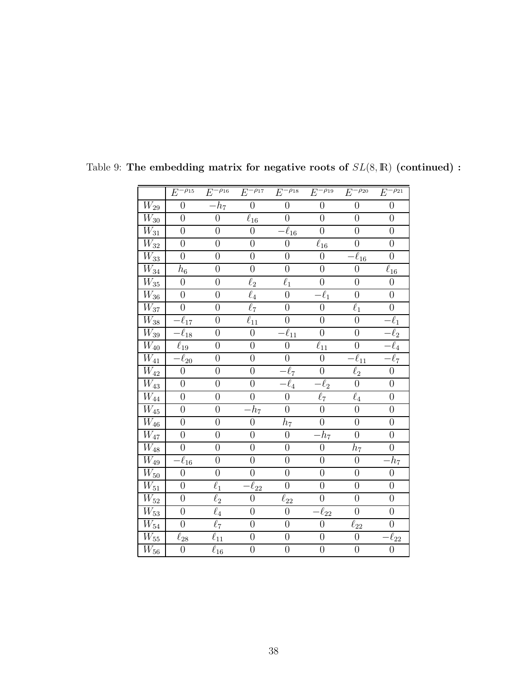|                     | $E^{-\overline{\rho_{15}}}$ | $-\rho_{16}$<br>E                         | $E^{-\rho_{17}}$    | $E^{-\overline{\rho_{18}}}$               | $E^{-\overline{\rho_{19}}}$ | $E^{-\rho_{20}}$       | $E^{-\rho_{21}}$       |
|---------------------|-----------------------------|-------------------------------------------|---------------------|-------------------------------------------|-----------------------------|------------------------|------------------------|
| $\overline{W_{29}}$ | $\overline{0}$              | $\overline{-h_7}$                         | $\overline{0}$      | $\overline{0}$                            | $\boldsymbol{0}$            | $\overline{0}$         | $\overline{0}$         |
| $\overline{W}_{30}$ | $\overline{0}$              | $\boldsymbol{0}$                          | $\ell_{16}$         | $\boldsymbol{0}$                          | $\boldsymbol{0}$            | $\boldsymbol{0}$       | $\boldsymbol{0}$       |
| $\overline{W_{31}}$ | $\overline{0}$              | $\overline{0}$                            | $\overline{0}$      | $\overline{\ell}_{16}$                    | $\overline{0}$              | $\overline{0}$         | $\overline{0}$         |
| $\overline{W}_{32}$ | $\overline{0}$              | $\boldsymbol{0}$                          | $\overline{0}$      | $\overline{0}$                            | $\ell_{16}$                 | $\overline{0}$         | $\boldsymbol{0}$       |
| $\overline{W_{33}}$ | $\overline{0}$              | $\boldsymbol{0}$                          | $\overline{0}$      | $\overline{0}$                            | $\overline{0}$              | $\overline{\ell}_{16}$ | $\overline{0}$         |
| $\overline{W_{34}}$ | $h_{\rm 6}$                 | $\overline{0}$                            | $\overline{0}$      | $\overline{0}$                            | $\overline{0}$              | $\overline{0}$         | $\overline{\ell_{16}}$ |
| $\overline{W}_{35}$ | $\boldsymbol{0}$            | $\boldsymbol{0}$                          | $\ell_2$            | $\ell_1$                                  | $\boldsymbol{0}$            | $\boldsymbol{0}$       | $\boldsymbol{0}$       |
| $W_{36}$            | $\boldsymbol{0}$            | $\overline{0}$                            | $\ell_4$            | $\overline{0}$                            | $\ell_1$                    | $\overline{0}$         | $\overline{0}$         |
| $W_{37}$            | $\overline{0}$              | $\overline{0}$                            | $\overline{\ell}_7$ | $\overline{0}$                            | $\boldsymbol{0}$            | $\ell_1$               | $\boldsymbol{0}$       |
| $\overline{W_{38}}$ | $\ell_{17}$                 | $\overline{0}$                            | $\ell_{11}$         | $\overline{0}$                            | $\overline{0}$              | $\overline{0}$         | $\overline{\ell_1}$    |
| $W_{39}$            | $-\overline{\ell}_{18}$     | $\boldsymbol{0}$                          | $\boldsymbol{0}$    | $\bar{\ell}_{\underline{1}\underline{1}}$ | $\boldsymbol{0}$            | $\boldsymbol{0}$       | $\bar{\ell}_2$         |
| $\overline{W}_{40}$ | $\overline{\ell}_{19}$      | $\overline{0}$                            | $\overline{0}$      | $\overline{0}$                            | $\bar{\ell}_{11}$           | $\boldsymbol{0}$       | $\ell_4$               |
| $\overline{W_{41}}$ | $\overline{\ell}_{20}$      | $\overline{0}$                            | $\overline{0}$      | $\overline{0}$                            | $\overline{0}$              | $\overline{\ell}_{11}$ | $\overline{\ell}_7$    |
| $\overline{W}_{42}$ | $\boldsymbol{0}$            | $\boldsymbol{0}$                          | $\boldsymbol{0}$    | $-\ell_7$                                 | $\boldsymbol{0}$            | $\overline{\ell_2}$    | $\boldsymbol{0}$       |
| $\overline{W}_{43}$ | $\boldsymbol{0}$            | $\overline{0}$                            | $\boldsymbol{0}$    | $\overline{-\ell_4}$                      | $\overline{\ell}_2$         | $\overline{0}$         | $\overline{0}$         |
| $\overline{W_{44}}$ | $\overline{0}$              | $\boldsymbol{0}$                          | $\overline{0}$      | $\boldsymbol{0}$                          | $\ell_7$                    | $\ell_4$               | $\overline{0}$         |
| $\overline{W_{45}}$ | $\overline{0}$              | $\overline{0}$                            | $\bar{h}_7$         | $\overline{0}$                            | $\boldsymbol{0}$            | $\overline{0}$         | $\overline{0}$         |
| $\overline{W_{46}}$ | $\overline{0}$              | $\overline{0}$                            | $\overline{0}$      | $h_7$                                     | $\overline{0}$              | $\overline{0}$         | $\overline{0}$         |
| $W_{47}$            | $\boldsymbol{0}$            | $\boldsymbol{0}$                          | $\boldsymbol{0}$    | $\boldsymbol{0}$                          | $\overline{h}_7$            | $\overline{0}$         | $\boldsymbol{0}$       |
| $\overline{W_{48}}$ | $\overline{0}$              | $\overline{0}$                            | $\overline{0}$      | $\overline{0}$                            | $\boldsymbol{0}$            | $h_7\,$                | $\overline{0}$         |
| $\overline{W}_{49}$ | $\ell_{16}$                 | $\overline{0}$                            | $\overline{0}$      | $\overline{0}$                            | $\overline{0}$              | $\overline{0}$         | $\overline{h_7}$       |
| $\overline{W}_{50}$ | $\boldsymbol{0}$            | $\boldsymbol{0}$                          | $\boldsymbol{0}$    | $\overline{0}$                            | $\boldsymbol{0}$            | $\overline{0}$         | $\boldsymbol{0}$       |
| $\overline{W_{51}}$ | $\overline{0}$              | $\ell_1$                                  | $\bar{\ell}_{22}$   | $\overline{0}$                            | $\overline{0}$              | $\overline{0}$         | $\overline{0}$         |
| $\overline{W_{52}}$ | $\boldsymbol{0}$            | $\ell_2$                                  | $\boldsymbol{0}$    | $\overline{\ell}_{22}$                    | $\boldsymbol{0}$            | $\boldsymbol{0}$       | $\overline{0}$         |
| $\overline{W_{53}}$ | $\boldsymbol{0}$            | $\overline{\ell_4}$                       | $\overline{0}$      | $\boldsymbol{0}$                          | $-\overline{\ell}_{22}$     | $\overline{0}$         | $\boldsymbol{0}$       |
| $\overline{W}_{54}$ | $\overline{0}$              | $\ell_7$                                  | $\overline{0}$      | $\overline{0}$                            | $\overline{0}$              | $\bar{\ell}_{22}$      | $\boldsymbol{0}$       |
| $\overline{W_{55}}$ | $\overline{\ell_{28}}$      | $\bar{\ell}_{\underline{1}\underline{1}}$ | $\boldsymbol{0}$    | $\overline{0}$                            | $\boldsymbol{0}$            | $\overline{0}$         | $\overline{\ell_{22}}$ |
| $\overline{W}_{56}$ | $\overline{0}$              | $\ell_{16}$                               | $\overline{0}$      | $\overline{0}$                            | $\overline{0}$              | $\overline{0}$         | $\overline{0}$         |

<span id="page-38-0"></span>Table 9: The embedding matrix for negative roots of  $SL(8,\mathbb{R})$  (continued) :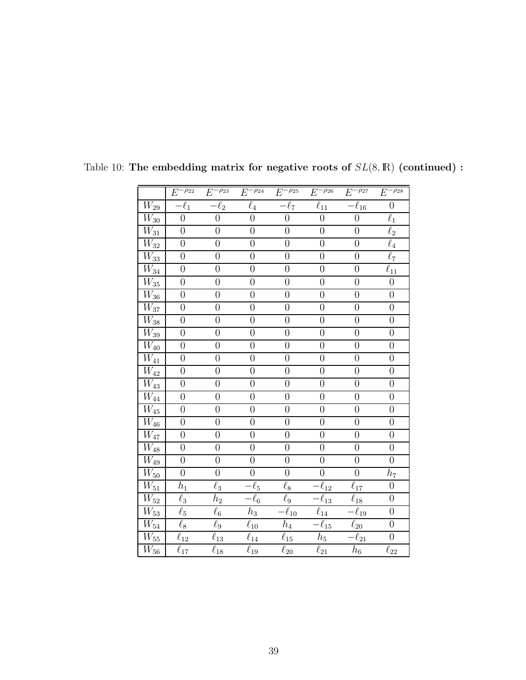|                                                 | $E^{-\overline{\rho_{22}}}$                    | $E^{-\rho_{23}}$ | $E^{-\overline{\rho_{24}}}$ | $E^{-\rho_{25}}$    | $E^{-\rho_{26}}$                               | $E^{-\rho_{27}}$        | $E^{-\rho_{28}}$                               |
|-------------------------------------------------|------------------------------------------------|------------------|-----------------------------|---------------------|------------------------------------------------|-------------------------|------------------------------------------------|
| $W_{29}$                                        | $-\ell_1$                                      | $-\ell_2$        | $\ell_4$                    | $-\ell_7$           | $\overline{\ell_{11}}$                         | $\overline{-\ell_{16}}$ | $\boldsymbol{0}$                               |
| $\overline{W_{30}}$                             | $\overline{0}$                                 | $\overline{0}$   | $\boldsymbol{0}$            | $\overline{0}$      | $\overline{0}$                                 | $\overline{0}$          | $\ell_1$                                       |
| $\overline{W_{31}}$                             | $\overline{0}$                                 | $\overline{0}$   | $\boldsymbol{0}$            | $\boldsymbol{0}$    | $\overline{0}$                                 | $\overline{0}$          | $\ell_2$                                       |
| $\overline{W}_{\! \underline{3} \underline{2}}$ | $\overline{0}$                                 | $\overline{0}$   | $\overline{0}$              | $\boldsymbol{0}$    | $\boldsymbol{0}$                               | $\boldsymbol{0}$        | $\ell_4$                                       |
| $\overline{W_{33}}$                             | $\overline{0}$                                 | $\overline{0}$   | $\overline{0}$              | $\overline{0}$      | $\overline{0}$                                 | $\overline{0}$          | $\ell_7$                                       |
| $\overline{W_{34}}$                             | $\overline{0}$                                 | $\overline{0}$   | $\overline{0}$              | $\overline{0}$      | $\overline{0}$                                 | $\overline{0}$          | $\overline{\ell}_{\underline{1}\underline{1}}$ |
| $\overline{W_{35}}$                             | $\overline{0}$                                 | $\boldsymbol{0}$ | $\overline{0}$              | $\overline{0}$      | $\boldsymbol{0}$                               | $\boldsymbol{0}$        | $\boldsymbol{0}$                               |
| $W_{36}$                                        | $\boldsymbol{0}$                               | $\boldsymbol{0}$ | $\boldsymbol{0}$            | $\boldsymbol{0}$    | $\boldsymbol{0}$                               | $\boldsymbol{0}$        | $\overline{0}$                                 |
| $\overline{W}_{37}$                             | $\overline{0}$                                 | $\overline{0}$   | $\overline{0}$              | $\overline{0}$      | $\overline{0}$                                 | $\overline{0}$          | $\overline{0}$                                 |
| $\overline{W_{38}}$                             | $\overline{0}$                                 | $\overline{0}$   | $\overline{0}$              | $\overline{0}$      | $\overline{0}$                                 | $\overline{0}$          | $\overline{0}$                                 |
| $\overline{W}_{\mathbf{39}}$                    | $\overline{0}$                                 | $\overline{0}$   | $\overline{0}$              | $\boldsymbol{0}$    | $\boldsymbol{0}$                               | $\boldsymbol{0}$        | $\boldsymbol{0}$                               |
| $\overline{W_{40}}$                             | $\overline{0}$                                 | $\overline{0}$   | $\overline{0}$              | $\overline{0}$      | $\overline{0}$                                 | $\boldsymbol{0}$        | $\overline{0}$                                 |
| $\overline{W}_{41}$                             | $\overline{0}$                                 | $\overline{0}$   | $\overline{0}$              | $\overline{0}$      | $\overline{0}$                                 | $\overline{0}$          | $\overline{0}$                                 |
| $\overline{W}_{42}$                             | $\overline{0}$                                 | $\boldsymbol{0}$ | $\overline{0}$              | $\boldsymbol{0}$    | $\boldsymbol{0}$                               | $\boldsymbol{0}$        | $\boldsymbol{0}$                               |
| $\overline{W}_{43}$                             | $\boldsymbol{0}$                               | $\overline{0}$   | $\boldsymbol{0}$            | $\overline{0}$      | $\boldsymbol{0}$                               | $\boldsymbol{0}$        | $\overline{0}$                                 |
| $\overline{W_{44}}$                             | $\overline{0}$                                 | $\overline{0}$   | $\overline{0}$              | $\overline{0}$      | $\overline{0}$                                 | $\overline{0}$          | $\overline{0}$                                 |
| $\overline{W_{45}}$                             | $\overline{0}$                                 | $\overline{0}$   | $\overline{0}$              | $\overline{0}$      | $\overline{0}$                                 | $\overline{0}$          | $\overline{0}$                                 |
| $\overline{W_{46}}$                             | $\overline{0}$                                 | $\overline{0}$   | $\boldsymbol{0}$            | $\boldsymbol{0}$    | $\boldsymbol{0}$                               | $\boldsymbol{0}$        | $\boldsymbol{0}$                               |
| $\overline{W_{47}}$                             | $\overline{0}$                                 | $\overline{0}$   | $\overline{0}$              | $\overline{0}$      | $\overline{0}$                                 | $\boldsymbol{0}$        | $\overline{0}$                                 |
| $\overline{W_{48}}$                             | $\overline{0}$                                 | $\overline{0}$   | $\overline{0}$              | $\overline{0}$      | $\overline{0}$                                 | $\overline{0}$          | $\overline{0}$                                 |
| $\overline{W}_{49}$                             | $\overline{0}$                                 | $\boldsymbol{0}$ | $\boldsymbol{0}$            | $\boldsymbol{0}$    | $\boldsymbol{0}$                               | $\boldsymbol{0}$        | $\boldsymbol{0}$                               |
| $\overline{W}_{50}$                             | $\overline{0}$                                 | $\overline{0}$   | $\overline{0}$              | $\overline{0}$      | $\overline{0}$                                 | $\overline{0}$          | $\overline{h}_7$                               |
| $\overline{W_{51}}$                             | $h_1$                                          | $\ell_3$         | $\ell_5$                    | $\ell_8$            | $-\ell_{12}$                                   | $\ell_{17}$             | $\overline{0}$                                 |
| $\overline{W_{52}}$                             | $\bar{\ell}_3$                                 | $\bar{h}_2$      | $-\ell_6$                   | $\overline{\ell}_9$ | $-\ell_{13}$                                   | $\overline{\ell}_{18}$  | $\overline{0}$                                 |
| $\overline{W_{53}}$                             | $\ell_5$                                       | $\ell_6$         | $\bar{h}_3$                 | $-\ell_{10}$        | $\overline{\ell}_{\underline{1}\underline{4}}$ | $\overline{-\ell_{19}}$ | $\boldsymbol{0}$                               |
| $\mathcal{W}_{54}$                              | $\ell_8$                                       | $\ell_9$         | $\overline{\ell}_{10}$      | $\overline{h}_4$    | $\overline{-\ell_{15}}$                        | $\overline{\ell}_{20}$  | $\overline{0}$                                 |
| $\overline{W_{55}}$                             | $\overline{\ell}_{\underline{1}\underline{2}}$ | $\ell_{13}$      | $\overline{\ell}_{14}$      | $\ell_{15}$         | $h_5$                                          | $-\ell_{21}$            | $\overline{0}$                                 |
| $\overline{W}_{56}$                             | $\overline{\ell}_{17}$                         | $\ell_{18}$      | $\ell_{19}$                 | $\ell_{20}$         | $\ell_{21}$                                    | $\bar{h}_6$             | $\ell_{22}$                                    |

<span id="page-39-0"></span>Table 10: The embedding matrix for negative roots of  $SL(8,\mathbb{R})$  (continued) :